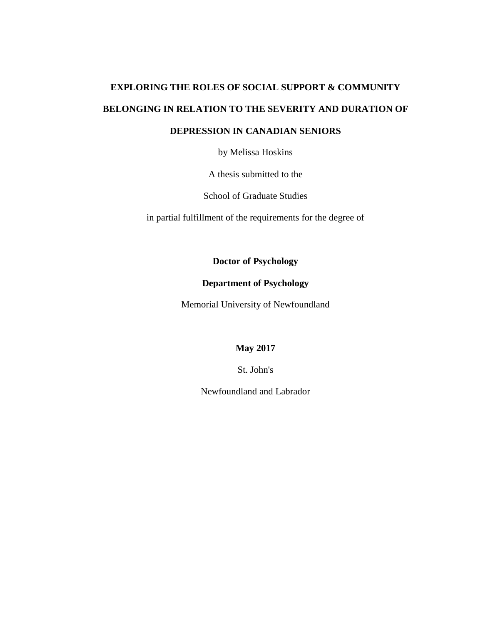# **EXPLORING THE ROLES OF SOCIAL SUPPORT & COMMUNITY BELONGING IN RELATION TO THE SEVERITY AND DURATION OF DEPRESSION IN CANADIAN SENIORS**

by Melissa Hoskins

A thesis submitted to the

School of Graduate Studies

in partial fulfillment of the requirements for the degree of

**Doctor of Psychology**

# **Department of Psychology**

Memorial University of Newfoundland

**May 2017**

St. John's

Newfoundland and Labrador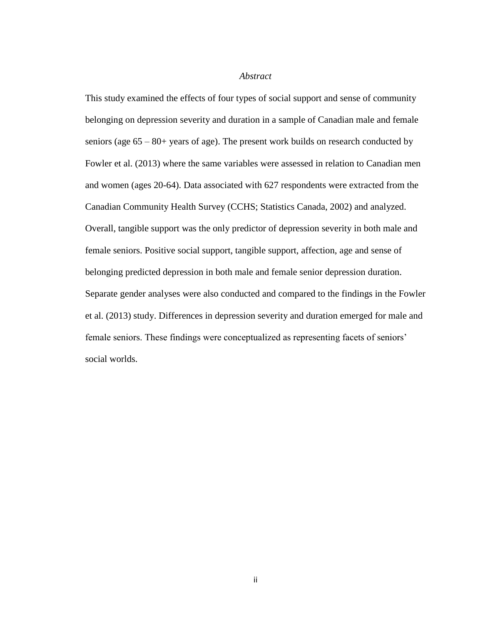#### *Abstract*

This study examined the effects of four types of social support and sense of community belonging on depression severity and duration in a sample of Canadian male and female seniors (age 65 – 80+ years of age). The present work builds on research conducted by Fowler et al. (2013) where the same variables were assessed in relation to Canadian men and women (ages 20-64). Data associated with 627 respondents were extracted from the Canadian Community Health Survey (CCHS; Statistics Canada, 2002) and analyzed. Overall, tangible support was the only predictor of depression severity in both male and female seniors. Positive social support, tangible support, affection, age and sense of belonging predicted depression in both male and female senior depression duration. Separate gender analyses were also conducted and compared to the findings in the Fowler et al. (2013) study. Differences in depression severity and duration emerged for male and female seniors. These findings were conceptualized as representing facets of seniors' social worlds.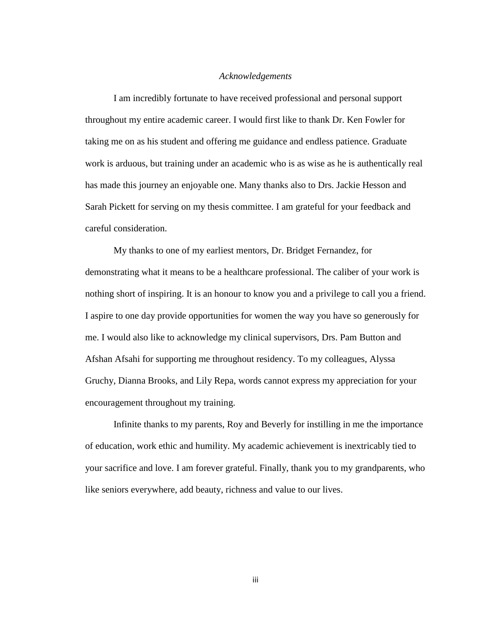#### *Acknowledgements*

I am incredibly fortunate to have received professional and personal support throughout my entire academic career. I would first like to thank Dr. Ken Fowler for taking me on as his student and offering me guidance and endless patience. Graduate work is arduous, but training under an academic who is as wise as he is authentically real has made this journey an enjoyable one. Many thanks also to Drs. Jackie Hesson and Sarah Pickett for serving on my thesis committee. I am grateful for your feedback and careful consideration.

My thanks to one of my earliest mentors, Dr. Bridget Fernandez, for demonstrating what it means to be a healthcare professional. The caliber of your work is nothing short of inspiring. It is an honour to know you and a privilege to call you a friend. I aspire to one day provide opportunities for women the way you have so generously for me. I would also like to acknowledge my clinical supervisors, Drs. Pam Button and Afshan Afsahi for supporting me throughout residency. To my colleagues, Alyssa Gruchy, Dianna Brooks, and Lily Repa, words cannot express my appreciation for your encouragement throughout my training.

Infinite thanks to my parents, Roy and Beverly for instilling in me the importance of education, work ethic and humility. My academic achievement is inextricably tied to your sacrifice and love. I am forever grateful. Finally, thank you to my grandparents, who like seniors everywhere, add beauty, richness and value to our lives.

iii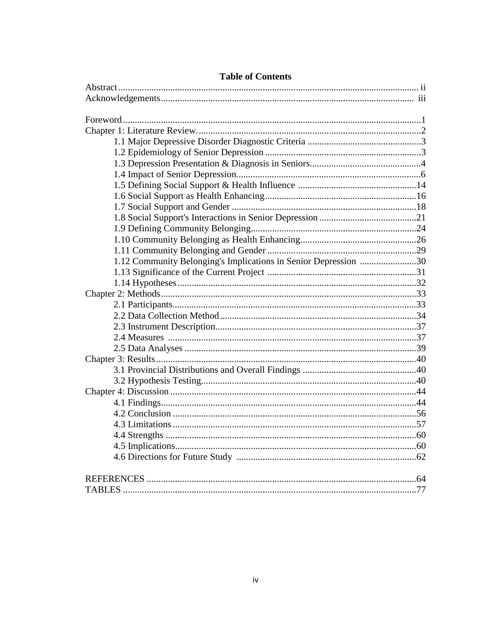| 1.12 Community Belonging's Implications in Senior Depression 30 |  |
|-----------------------------------------------------------------|--|
|                                                                 |  |
|                                                                 |  |
|                                                                 |  |
|                                                                 |  |
|                                                                 |  |
|                                                                 |  |
|                                                                 |  |
|                                                                 |  |
|                                                                 |  |
|                                                                 |  |
|                                                                 |  |
|                                                                 |  |
|                                                                 |  |
|                                                                 |  |
|                                                                 |  |
|                                                                 |  |
|                                                                 |  |
|                                                                 |  |
|                                                                 |  |
|                                                                 |  |

# **Table of Contents**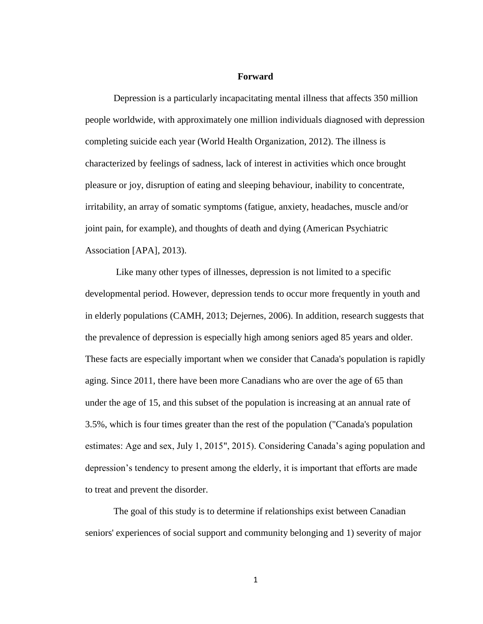#### **Forward**

Depression is a particularly incapacitating mental illness that affects 350 million people worldwide, with approximately one million individuals diagnosed with depression completing suicide each year (World Health Organization, 2012). The illness is characterized by feelings of sadness, lack of interest in activities which once brought pleasure or joy, disruption of eating and sleeping behaviour, inability to concentrate, irritability, an array of somatic symptoms (fatigue, anxiety, headaches, muscle and/or joint pain, for example), and thoughts of death and dying (American Psychiatric Association [APA], 2013).

Like many other types of illnesses, depression is not limited to a specific developmental period. However, depression tends to occur more frequently in youth and in elderly populations (CAMH, 2013; Dejernes, 2006). In addition, research suggests that the prevalence of depression is especially high among seniors aged 85 years and older. These facts are especially important when we consider that Canada's population is rapidly aging. Since 2011, there have been more Canadians who are over the age of 65 than under the age of 15, and this subset of the population is increasing at an annual rate of 3.5%, which is four times greater than the rest of the population ("Canada's population estimates: Age and sex, July 1, 2015", 2015). Considering Canada's aging population and depression's tendency to present among the elderly, it is important that efforts are made to treat and prevent the disorder.

The goal of this study is to determine if relationships exist between Canadian seniors' experiences of social support and community belonging and 1) severity of major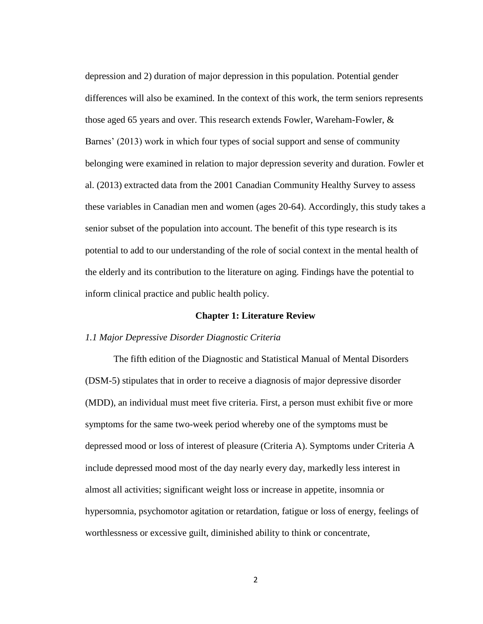depression and 2) duration of major depression in this population. Potential gender differences will also be examined. In the context of this work, the term seniors represents those aged 65 years and over. This research extends Fowler, Wareham-Fowler, & Barnes' (2013) work in which four types of social support and sense of community belonging were examined in relation to major depression severity and duration. Fowler et al. (2013) extracted data from the 2001 Canadian Community Healthy Survey to assess these variables in Canadian men and women (ages 20-64). Accordingly, this study takes a senior subset of the population into account. The benefit of this type research is its potential to add to our understanding of the role of social context in the mental health of the elderly and its contribution to the literature on aging. Findings have the potential to inform clinical practice and public health policy.

#### **Chapter 1: Literature Review**

# *1.1 Major Depressive Disorder Diagnostic Criteria*

The fifth edition of the Diagnostic and Statistical Manual of Mental Disorders (DSM-5) stipulates that in order to receive a diagnosis of major depressive disorder (MDD), an individual must meet five criteria. First, a person must exhibit five or more symptoms for the same two-week period whereby one of the symptoms must be depressed mood or loss of interest of pleasure (Criteria A). Symptoms under Criteria A include depressed mood most of the day nearly every day, markedly less interest in almost all activities; significant weight loss or increase in appetite, insomnia or hypersomnia, psychomotor agitation or retardation, fatigue or loss of energy, feelings of worthlessness or excessive guilt, diminished ability to think or concentrate,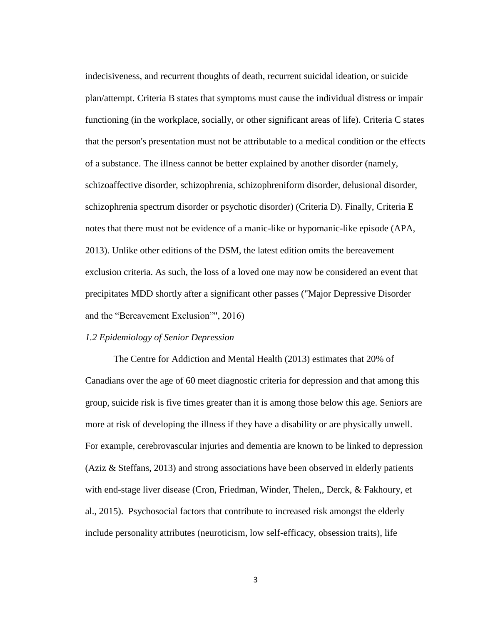indecisiveness, and recurrent thoughts of death, recurrent suicidal ideation, or suicide plan/attempt. Criteria B states that symptoms must cause the individual distress or impair functioning (in the workplace, socially, or other significant areas of life). Criteria C states that the person's presentation must not be attributable to a medical condition or the effects of a substance. The illness cannot be better explained by another disorder (namely, schizoaffective disorder, schizophrenia, schizophreniform disorder, delusional disorder, schizophrenia spectrum disorder or psychotic disorder) (Criteria D). Finally, Criteria E notes that there must not be evidence of a manic-like or hypomanic-like episode (APA, 2013). Unlike other editions of the DSM, the latest edition omits the bereavement exclusion criteria. As such, the loss of a loved one may now be considered an event that precipitates MDD shortly after a significant other passes ("Major Depressive Disorder and the "Bereavement Exclusion"", 2016)

# *1.2 Epidemiology of Senior Depression*

The Centre for Addiction and Mental Health (2013) estimates that 20% of Canadians over the age of 60 meet diagnostic criteria for depression and that among this group, suicide risk is five times greater than it is among those below this age. Seniors are more at risk of developing the illness if they have a disability or are physically unwell. For example, cerebrovascular injuries and dementia are known to be linked to depression (Aziz & Steffans, 2013) and strong associations have been observed in elderly patients with end-stage liver disease (Cron, Friedman, Winder, Thelen,, Derck, & Fakhoury, et al., 2015). Psychosocial factors that contribute to increased risk amongst the elderly include personality attributes (neuroticism, low self-efficacy, obsession traits), life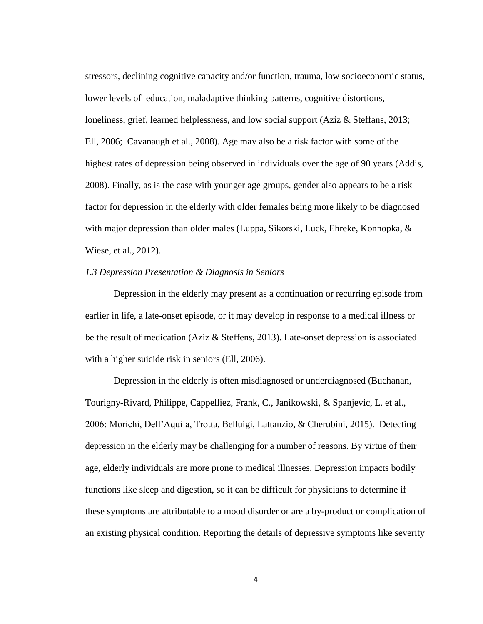stressors, declining cognitive capacity and/or function, trauma, low socioeconomic status, lower levels of education, maladaptive thinking patterns, cognitive distortions, loneliness, grief, learned helplessness, and low social support (Aziz & Steffans, 2013; Ell, 2006; Cavanaugh et al., 2008). Age may also be a risk factor with some of the highest rates of depression being observed in individuals over the age of 90 years (Addis, 2008). Finally, as is the case with younger age groups, gender also appears to be a risk factor for depression in the elderly with older females being more likely to be diagnosed with major depression than older males (Luppa, Sikorski, Luck, Ehreke, Konnopka,  $\&$ Wiese, et al., 2012).

#### *1.3 Depression Presentation & Diagnosis in Seniors*

Depression in the elderly may present as a continuation or recurring episode from earlier in life, a late-onset episode, or it may develop in response to a medical illness or be the result of medication (Aziz & Steffens, 2013). Late-onset depression is associated with a higher suicide risk in seniors (Ell, 2006).

Depression in the elderly is often misdiagnosed or underdiagnosed (Buchanan, Tourigny-Rivard, Philippe, Cappelliez, Frank, C., Janikowski, & Spanjevic, L. et al., 2006; Morichi, Dell'Aquila, Trotta, Belluigi, Lattanzio, & Cherubini, 2015). Detecting depression in the elderly may be challenging for a number of reasons. By virtue of their age, elderly individuals are more prone to medical illnesses. Depression impacts bodily functions like sleep and digestion, so it can be difficult for physicians to determine if these symptoms are attributable to a mood disorder or are a by-product or complication of an existing physical condition. Reporting the details of depressive symptoms like severity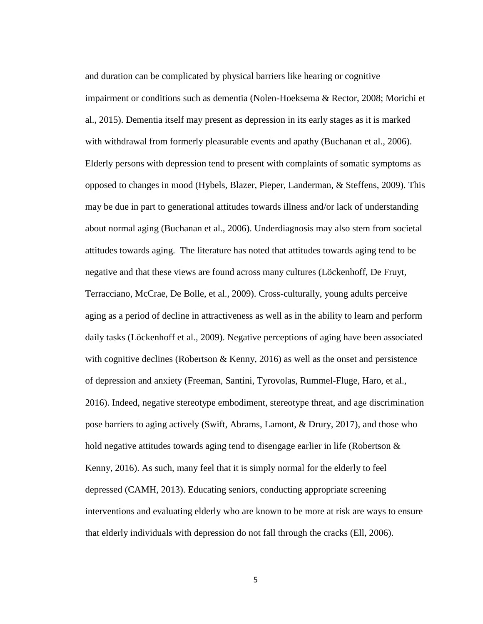and duration can be complicated by physical barriers like hearing or cognitive impairment or conditions such as dementia (Nolen-Hoeksema & Rector, 2008; Morichi et al., 2015). Dementia itself may present as depression in its early stages as it is marked with withdrawal from formerly pleasurable events and apathy (Buchanan et al., 2006). Elderly persons with depression tend to present with complaints of somatic symptoms as opposed to changes in mood (Hybels, Blazer, Pieper, Landerman, & Steffens, 2009). This may be due in part to generational attitudes towards illness and/or lack of understanding about normal aging (Buchanan et al., 2006). Underdiagnosis may also stem from societal attitudes towards aging. The literature has noted that attitudes towards aging tend to be negative and that these views are found across many cultures (Löckenhoff, De Fruyt, Terracciano, McCrae, De Bolle, et al., 2009). Cross-culturally, young adults perceive aging as a period of decline in attractiveness as well as in the ability to learn and perform daily tasks (Löckenhoff et al., 2009). Negative perceptions of aging have been associated with cognitive declines (Robertson & Kenny, 2016) as well as the onset and persistence of depression and anxiety (Freeman, Santini, Tyrovolas, Rummel-Fluge, Haro, et al., 2016). Indeed, negative stereotype embodiment, stereotype threat, and age discrimination pose barriers to aging actively (Swift, Abrams, Lamont, & Drury, 2017), and those who hold negative attitudes towards aging tend to disengage earlier in life (Robertson & Kenny, 2016). As such, many feel that it is simply normal for the elderly to feel depressed (CAMH, 2013). Educating seniors, conducting appropriate screening interventions and evaluating elderly who are known to be more at risk are ways to ensure that elderly individuals with depression do not fall through the cracks (Ell, 2006).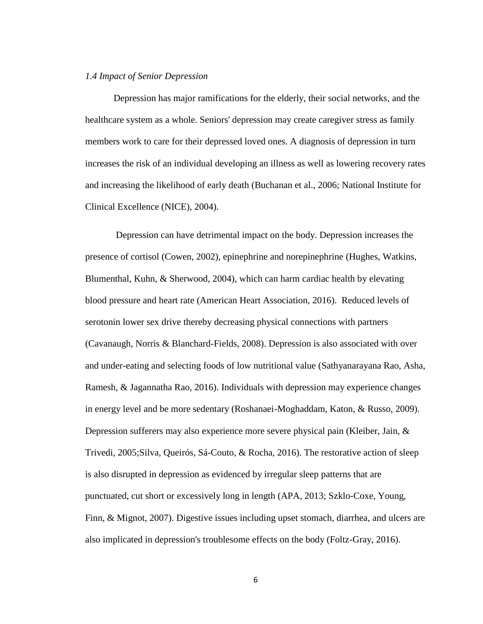### *1.4 Impact of Senior Depression*

Depression has major ramifications for the elderly, their social networks, and the healthcare system as a whole. Seniors' depression may create caregiver stress as family members work to care for their depressed loved ones. A diagnosis of depression in turn increases the risk of an individual developing an illness as well as lowering recovery rates and increasing the likelihood of early death (Buchanan et al., 2006; National Institute for Clinical Excellence (NICE), 2004).

Depression can have detrimental impact on the body. Depression increases the presence of cortisol (Cowen, 2002), epinephrine and norepinephrine (Hughes, Watkins, Blumenthal, Kuhn, & Sherwood, 2004), which can harm cardiac health by elevating blood pressure and heart rate (American Heart Association, 2016). Reduced levels of serotonin lower sex drive thereby decreasing physical connections with partners (Cavanaugh, Norris & Blanchard-Fields, 2008). Depression is also associated with over and under-eating and selecting foods of low nutritional value (Sathyanarayana Rao, Asha, Ramesh, & Jagannatha Rao, 2016). Individuals with depression may experience changes in energy level and be more sedentary (Roshanaei-Moghaddam, Katon, & Russo, 2009). Depression sufferers may also experience more severe physical pain (Kleiber, Jain, & Trivedi, 2005;Silva, Queirós, Sá-Couto, & Rocha, 2016). The restorative action of sleep is also disrupted in depression as evidenced by irregular sleep patterns that are punctuated, cut short or excessively long in length (APA, 2013; Szklo-Coxe, Young, Finn, & Mignot, 2007). Digestive issues including upset stomach, diarrhea, and ulcers are also implicated in depression's troublesome effects on the body (Foltz-Gray, 2016).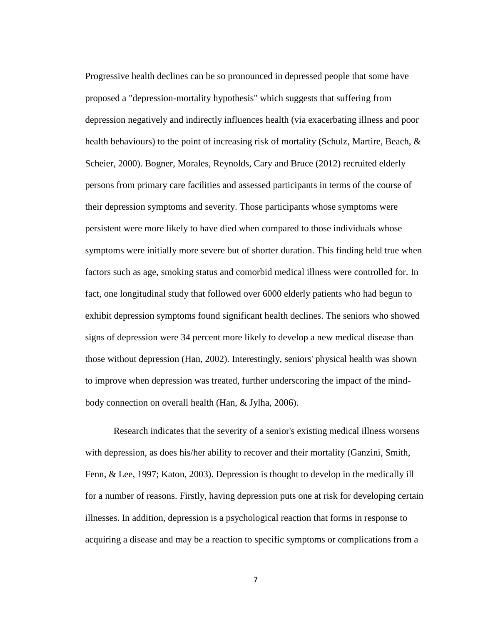Progressive health declines can be so pronounced in depressed people that some have proposed a "depression-mortality hypothesis" which suggests that suffering from depression negatively and indirectly influences health (via exacerbating illness and poor health behaviours) to the point of increasing risk of mortality (Schulz, Martire, Beach,  $\&$ Scheier, 2000). Bogner, Morales, Reynolds, Cary and Bruce (2012) recruited elderly persons from primary care facilities and assessed participants in terms of the course of their depression symptoms and severity. Those participants whose symptoms were persistent were more likely to have died when compared to those individuals whose symptoms were initially more severe but of shorter duration. This finding held true when factors such as age, smoking status and comorbid medical illness were controlled for. In fact, one longitudinal study that followed over 6000 elderly patients who had begun to exhibit depression symptoms found significant health declines. The seniors who showed signs of depression were 34 percent more likely to develop a new medical disease than those without depression (Han, 2002). Interestingly, seniors' physical health was shown to improve when depression was treated, further underscoring the impact of the mindbody connection on overall health (Han, & Jylha, 2006).

Research indicates that the severity of a senior's existing medical illness worsens with depression, as does his/her ability to recover and their mortality (Ganzini, Smith, Fenn, & Lee, 1997; Katon, 2003). Depression is thought to develop in the medically ill for a number of reasons. Firstly, having depression puts one at risk for developing certain illnesses. In addition, depression is a psychological reaction that forms in response to acquiring a disease and may be a reaction to specific symptoms or complications from a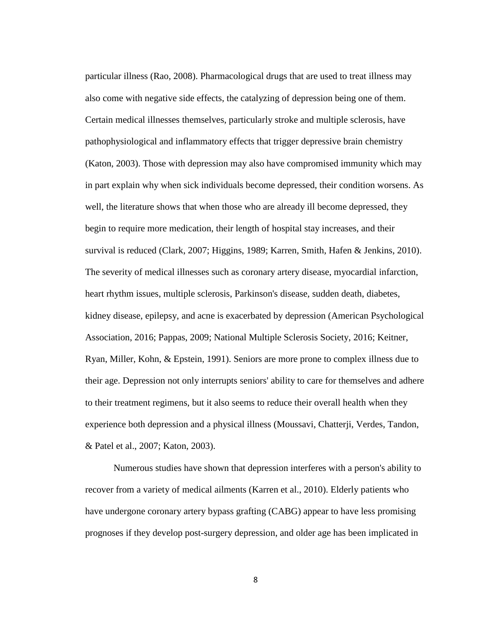particular illness (Rao, 2008). Pharmacological drugs that are used to treat illness may also come with negative side effects, the catalyzing of depression being one of them. Certain medical illnesses themselves, particularly stroke and multiple sclerosis, have pathophysiological and inflammatory effects that trigger depressive brain chemistry (Katon, 2003). Those with depression may also have compromised immunity which may in part explain why when sick individuals become depressed, their condition worsens. As well, the literature shows that when those who are already ill become depressed, they begin to require more medication, their length of hospital stay increases, and their survival is reduced (Clark, 2007; Higgins, 1989; Karren, Smith, Hafen & Jenkins, 2010). The severity of medical illnesses such as coronary artery disease, myocardial infarction, heart rhythm issues, multiple sclerosis, Parkinson's disease, sudden death, diabetes, kidney disease, epilepsy, and acne is exacerbated by depression (American Psychological Association, 2016; Pappas, 2009; National Multiple Sclerosis Society, 2016; Keitner, Ryan, Miller, Kohn, & Epstein, 1991). Seniors are more prone to complex illness due to their age. Depression not only interrupts seniors' ability to care for themselves and adhere to their treatment regimens, but it also seems to reduce their overall health when they experience both depression and a physical illness (Moussavi, Chatterji, Verdes, Tandon, & Patel et al., 2007; Katon, 2003).

Numerous studies have shown that depression interferes with a person's ability to recover from a variety of medical ailments (Karren et al., 2010). Elderly patients who have undergone coronary artery bypass grafting (CABG) appear to have less promising prognoses if they develop post-surgery depression, and older age has been implicated in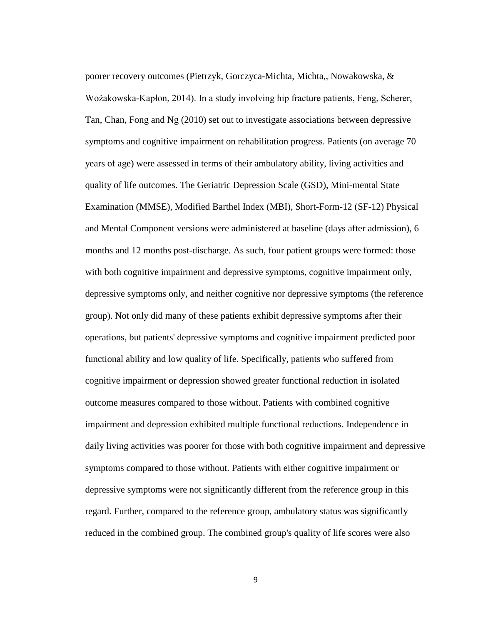poorer recovery outcomes (Pietrzyk, Gorczyca-Michta, Michta,, Nowakowska, & Wożakowska-Kapłon, 2014). In a study involving hip fracture patients, Feng, Scherer, Tan, Chan, Fong and Ng (2010) set out to investigate associations between depressive symptoms and cognitive impairment on rehabilitation progress. Patients (on average 70 years of age) were assessed in terms of their ambulatory ability, living activities and quality of life outcomes. The Geriatric Depression Scale (GSD), Mini-mental State Examination (MMSE), Modified Barthel Index (MBI), Short-Form-12 (SF-12) Physical and Mental Component versions were administered at baseline (days after admission), 6 months and 12 months post-discharge. As such, four patient groups were formed: those with both cognitive impairment and depressive symptoms, cognitive impairment only, depressive symptoms only, and neither cognitive nor depressive symptoms (the reference group). Not only did many of these patients exhibit depressive symptoms after their operations, but patients' depressive symptoms and cognitive impairment predicted poor functional ability and low quality of life. Specifically, patients who suffered from cognitive impairment or depression showed greater functional reduction in isolated outcome measures compared to those without. Patients with combined cognitive impairment and depression exhibited multiple functional reductions. Independence in daily living activities was poorer for those with both cognitive impairment and depressive symptoms compared to those without. Patients with either cognitive impairment or depressive symptoms were not significantly different from the reference group in this regard. Further, compared to the reference group, ambulatory status was significantly reduced in the combined group. The combined group's quality of life scores were also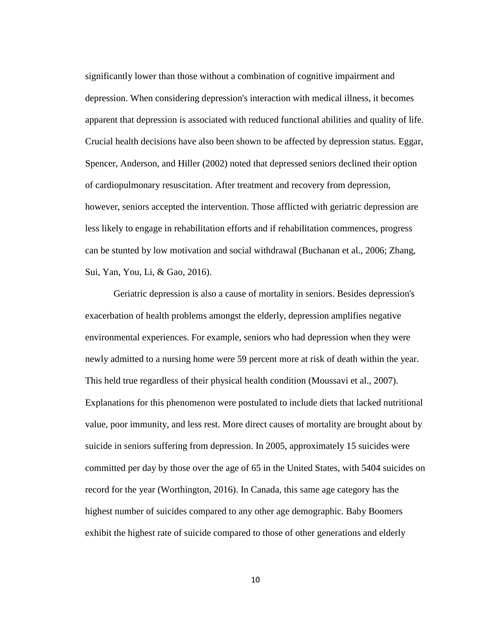significantly lower than those without a combination of cognitive impairment and depression. When considering depression's interaction with medical illness, it becomes apparent that depression is associated with reduced functional abilities and quality of life. Crucial health decisions have also been shown to be affected by depression status. Eggar, Spencer, Anderson, and Hiller (2002) noted that depressed seniors declined their option of cardiopulmonary resuscitation. After treatment and recovery from depression, however, seniors accepted the intervention. Those afflicted with geriatric depression are less likely to engage in rehabilitation efforts and if rehabilitation commences, progress can be stunted by low motivation and social withdrawal (Buchanan et al., 2006; Zhang, Sui, Yan, You, Li, & Gao, 2016).

Geriatric depression is also a cause of mortality in seniors. Besides depression's exacerbation of health problems amongst the elderly, depression amplifies negative environmental experiences. For example, seniors who had depression when they were newly admitted to a nursing home were 59 percent more at risk of death within the year. This held true regardless of their physical health condition (Moussavi et al., 2007). Explanations for this phenomenon were postulated to include diets that lacked nutritional value, poor immunity, and less rest. More direct causes of mortality are brought about by suicide in seniors suffering from depression. In 2005, approximately 15 suicides were committed per day by those over the age of 65 in the United States, with 5404 suicides on record for the year (Worthington, 2016). In Canada, this same age category has the highest number of suicides compared to any other age demographic. Baby Boomers exhibit the highest rate of suicide compared to those of other generations and elderly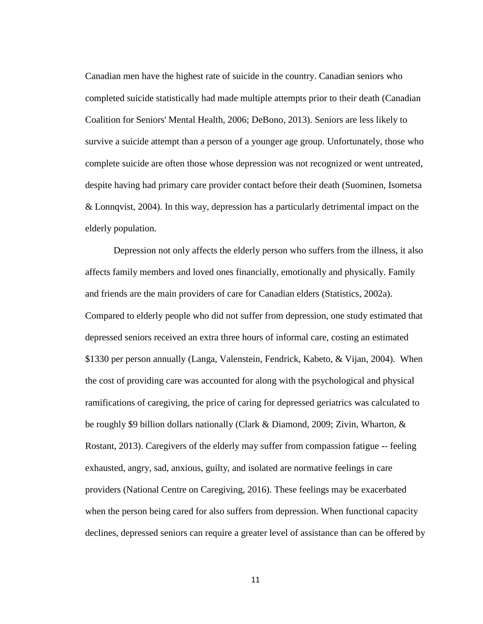Canadian men have the highest rate of suicide in the country. Canadian seniors who completed suicide statistically had made multiple attempts prior to their death (Canadian Coalition for Seniors' Mental Health, 2006; DeBono, 2013). Seniors are less likely to survive a suicide attempt than a person of a younger age group. Unfortunately, those who complete suicide are often those whose depression was not recognized or went untreated, despite having had primary care provider contact before their death (Suominen, Isometsa & Lonnqvist, 2004). In this way, depression has a particularly detrimental impact on the elderly population.

Depression not only affects the elderly person who suffers from the illness, it also affects family members and loved ones financially, emotionally and physically. Family and friends are the main providers of care for Canadian elders (Statistics, 2002a). Compared to elderly people who did not suffer from depression, one study estimated that depressed seniors received an extra three hours of informal care, costing an estimated \$1330 per person annually (Langa, Valenstein, Fendrick, Kabeto, & Vijan, 2004). When the cost of providing care was accounted for along with the psychological and physical ramifications of caregiving, the price of caring for depressed geriatrics was calculated to be roughly \$9 billion dollars nationally (Clark & Diamond, 2009; Zivin, Wharton, & Rostant, 2013). Caregivers of the elderly may suffer from compassion fatigue -- feeling exhausted, angry, sad, anxious, guilty, and isolated are normative feelings in care providers (National Centre on Caregiving, 2016). These feelings may be exacerbated when the person being cared for also suffers from depression. When functional capacity declines, depressed seniors can require a greater level of assistance than can be offered by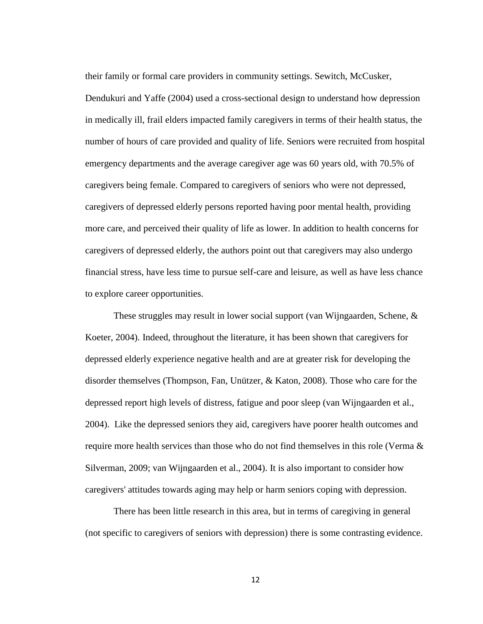their family or formal care providers in community settings. Sewitch, McCusker, Dendukuri and Yaffe (2004) used a cross-sectional design to understand how depression in medically ill, frail elders impacted family caregivers in terms of their health status, the number of hours of care provided and quality of life. Seniors were recruited from hospital emergency departments and the average caregiver age was 60 years old, with 70.5% of caregivers being female. Compared to caregivers of seniors who were not depressed, caregivers of depressed elderly persons reported having poor mental health, providing more care, and perceived their quality of life as lower. In addition to health concerns for caregivers of depressed elderly, the authors point out that caregivers may also undergo financial stress, have less time to pursue self-care and leisure, as well as have less chance to explore career opportunities.

These struggles may result in lower social support (van Wijngaarden, Schene, & Koeter, 2004). Indeed, throughout the literature, it has been shown that caregivers for depressed elderly experience negative health and are at greater risk for developing the disorder themselves (Thompson, Fan, Unützer, & Katon, 2008). Those who care for the depressed report high levels of distress, fatigue and poor sleep (van Wijngaarden et al., 2004). Like the depressed seniors they aid, caregivers have poorer health outcomes and require more health services than those who do not find themselves in this role (Verma & Silverman, 2009; van Wijngaarden et al., 2004). It is also important to consider how caregivers' attitudes towards aging may help or harm seniors coping with depression.

There has been little research in this area, but in terms of caregiving in general (not specific to caregivers of seniors with depression) there is some contrasting evidence.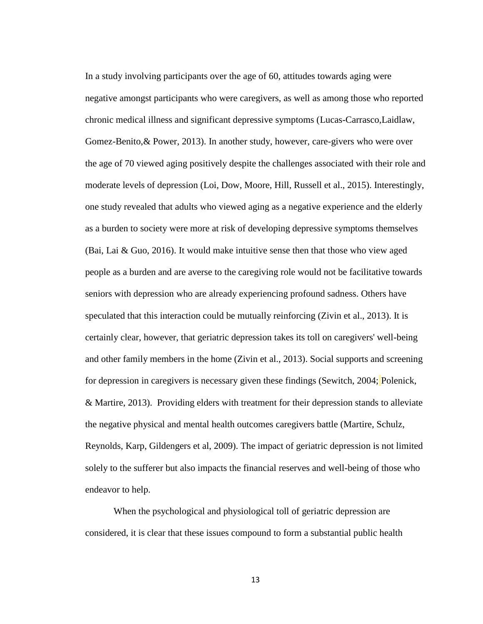In a study involving participants over the age of 60, attitudes towards aging were negative amongst participants who were caregivers, as well as among those who reported chronic medical illness and significant depressive symptoms (Lucas-Carrasco,Laidlaw, Gomez-Benito,& Power, 2013). In another study, however, care-givers who were over the age of 70 viewed aging positively despite the challenges associated with their role and moderate levels of depression (Loi, Dow, Moore, Hill, Russell et al., 2015). Interestingly, one study revealed that adults who viewed aging as a negative experience and the elderly as a burden to society were more at risk of developing depressive symptoms themselves (Bai, Lai & Guo, 2016). It would make intuitive sense then that those who view aged people as a burden and are averse to the caregiving role would not be facilitative towards seniors with depression who are already experiencing profound sadness. Others have speculated that this interaction could be mutually reinforcing (Zivin et al., 2013). It is certainly clear, however, that geriatric depression takes its toll on caregivers' well-being and other family members in the home (Zivin et al., 2013). Social supports and screening for depression in caregivers is necessary given these findings (Sewitch, 2004; Polenick, & Martire, 2013). Providing elders with treatment for their depression stands to alleviate the negative physical and mental health outcomes caregivers battle (Martire, Schulz, Reynolds, Karp, Gildengers et al, 2009). The impact of geriatric depression is not limited solely to the sufferer but also impacts the financial reserves and well-being of those who endeavor to help.

When the psychological and physiological toll of geriatric depression are considered, it is clear that these issues compound to form a substantial public health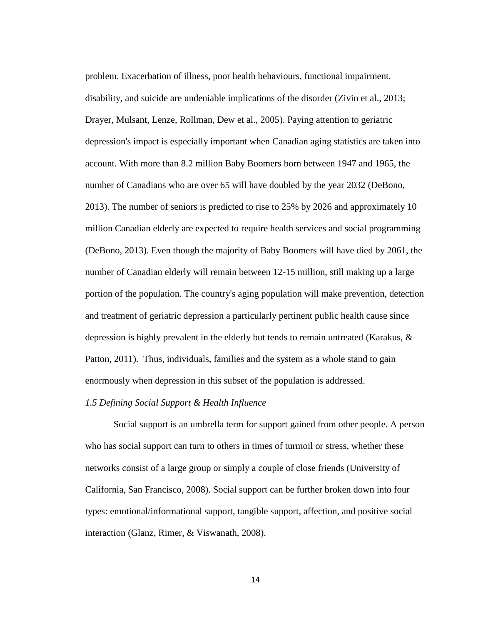problem. Exacerbation of illness, poor health behaviours, functional impairment, disability, and suicide are undeniable implications of the disorder (Zivin et al., 2013; Drayer, Mulsant, Lenze, Rollman, Dew et al., 2005). Paying attention to geriatric depression's impact is especially important when Canadian aging statistics are taken into account. With more than 8.2 million Baby Boomers born between 1947 and 1965, the number of Canadians who are over 65 will have doubled by the year 2032 (DeBono, 2013). The number of seniors is predicted to rise to 25% by 2026 and approximately 10 million Canadian elderly are expected to require health services and social programming (DeBono, 2013). Even though the majority of Baby Boomers will have died by 2061, the number of Canadian elderly will remain between 12-15 million, still making up a large portion of the population. The country's aging population will make prevention, detection and treatment of geriatric depression a particularly pertinent public health cause since depression is highly prevalent in the elderly but tends to remain untreated (Karakus, & Patton, 2011). Thus, individuals, families and the system as a whole stand to gain enormously when depression in this subset of the population is addressed.

#### *1.5 Defining Social Support & Health Influence*

Social support is an umbrella term for support gained from other people. A person who has social support can turn to others in times of turmoil or stress, whether these networks consist of a large group or simply a couple of close friends (University of California, San Francisco, 2008). Social support can be further broken down into four types: emotional/informational support, tangible support, affection, and positive social interaction (Glanz, Rimer, & Viswanath, 2008).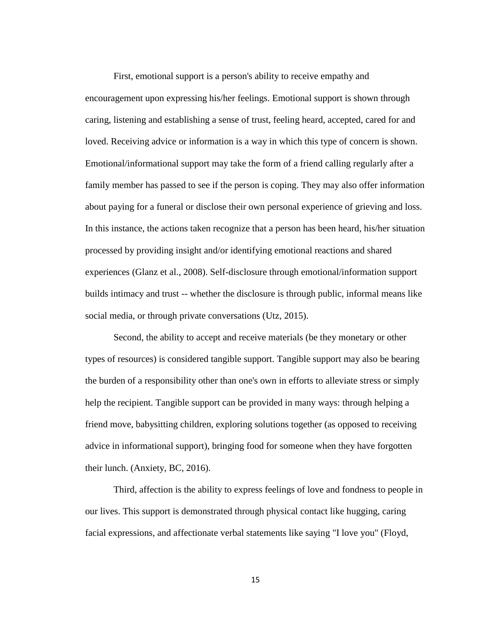First, emotional support is a person's ability to receive empathy and encouragement upon expressing his/her feelings. Emotional support is shown through caring, listening and establishing a sense of trust, feeling heard, accepted, cared for and loved. Receiving advice or information is a way in which this type of concern is shown. Emotional/informational support may take the form of a friend calling regularly after a family member has passed to see if the person is coping. They may also offer information about paying for a funeral or disclose their own personal experience of grieving and loss. In this instance, the actions taken recognize that a person has been heard, his/her situation processed by providing insight and/or identifying emotional reactions and shared experiences (Glanz et al., 2008). Self-disclosure through emotional/information support builds intimacy and trust -- whether the disclosure is through public, informal means like social media, or through private conversations (Utz, 2015).

Second, the ability to accept and receive materials (be they monetary or other types of resources) is considered tangible support. Tangible support may also be bearing the burden of a responsibility other than one's own in efforts to alleviate stress or simply help the recipient. Tangible support can be provided in many ways: through helping a friend move, babysitting children, exploring solutions together (as opposed to receiving advice in informational support), bringing food for someone when they have forgotten their lunch. (Anxiety, BC, 2016).

Third, affection is the ability to express feelings of love and fondness to people in our lives. This support is demonstrated through physical contact like hugging, caring facial expressions, and affectionate verbal statements like saying "I love you" (Floyd,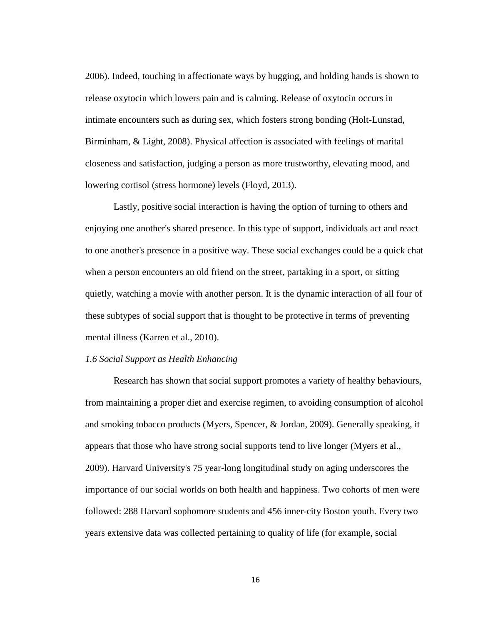2006). Indeed, touching in affectionate ways by hugging, and holding hands is shown to release oxytocin which lowers pain and is calming. Release of oxytocin occurs in intimate encounters such as during sex, which fosters strong bonding (Holt-Lunstad, Birminham, & Light, 2008). Physical affection is associated with feelings of marital closeness and satisfaction, judging a person as more trustworthy, elevating mood, and lowering cortisol (stress hormone) levels (Floyd, 2013).

Lastly, positive social interaction is having the option of turning to others and enjoying one another's shared presence. In this type of support, individuals act and react to one another's presence in a positive way. These social exchanges could be a quick chat when a person encounters an old friend on the street, partaking in a sport, or sitting quietly, watching a movie with another person. It is the dynamic interaction of all four of these subtypes of social support that is thought to be protective in terms of preventing mental illness (Karren et al., 2010).

# *1.6 Social Support as Health Enhancing*

Research has shown that social support promotes a variety of healthy behaviours, from maintaining a proper diet and exercise regimen, to avoiding consumption of alcohol and smoking tobacco products (Myers, Spencer, & Jordan, 2009). Generally speaking, it appears that those who have strong social supports tend to live longer (Myers et al., 2009). Harvard University's 75 year-long longitudinal study on aging underscores the importance of our social worlds on both health and happiness. Two cohorts of men were followed: 288 Harvard sophomore students and 456 inner-city Boston youth. Every two years extensive data was collected pertaining to quality of life (for example, social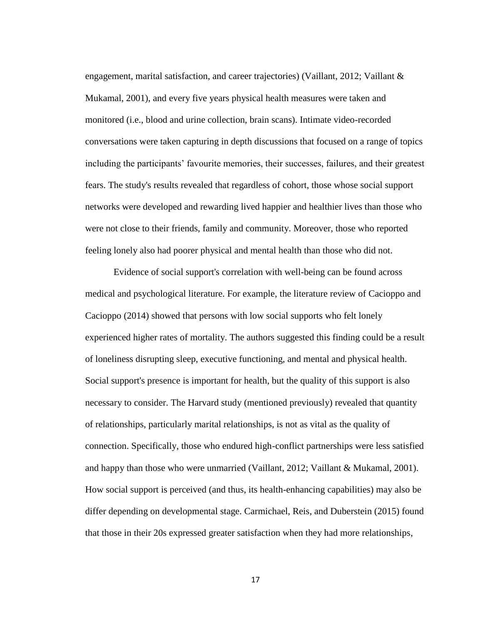engagement, marital satisfaction, and career trajectories) (Vaillant, 2012; Vaillant & Mukamal, 2001), and every five years physical health measures were taken and monitored (i.e., blood and urine collection, brain scans). Intimate video-recorded conversations were taken capturing in depth discussions that focused on a range of topics including the participants' favourite memories, their successes, failures, and their greatest fears. The study's results revealed that regardless of cohort, those whose social support networks were developed and rewarding lived happier and healthier lives than those who were not close to their friends, family and community. Moreover, those who reported feeling lonely also had poorer physical and mental health than those who did not.

Evidence of social support's correlation with well-being can be found across medical and psychological literature. For example, the literature review of Cacioppo and Cacioppo (2014) showed that persons with low social supports who felt lonely experienced higher rates of mortality. The authors suggested this finding could be a result of loneliness disrupting sleep, executive functioning, and mental and physical health. Social support's presence is important for health, but the quality of this support is also necessary to consider. The Harvard study (mentioned previously) revealed that quantity of relationships, particularly marital relationships, is not as vital as the quality of connection. Specifically, those who endured high-conflict partnerships were less satisfied and happy than those who were unmarried (Vaillant, 2012; Vaillant & Mukamal, 2001). How social support is perceived (and thus, its health-enhancing capabilities) may also be differ depending on developmental stage. Carmichael, Reis, and Duberstein (2015) found that those in their 20s expressed greater satisfaction when they had more relationships,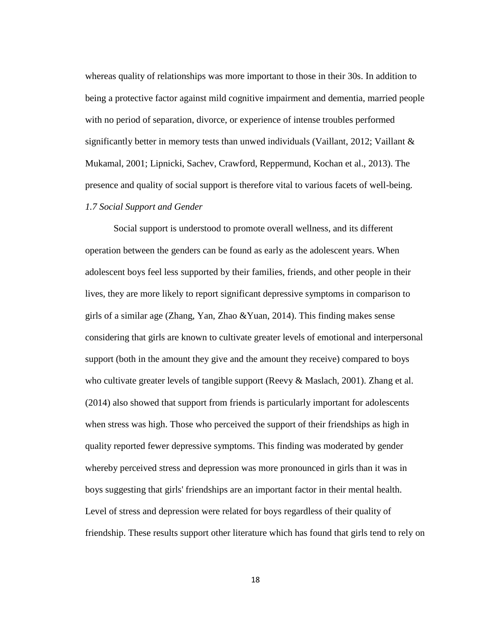whereas quality of relationships was more important to those in their 30s. In addition to being a protective factor against mild cognitive impairment and dementia, married people with no period of separation, divorce, or experience of intense troubles performed significantly better in memory tests than unwed individuals (Vaillant, 2012; Vaillant  $\&$ Mukamal, 2001; Lipnicki, Sachev, Crawford, Reppermund, Kochan et al., 2013). The presence and quality of social support is therefore vital to various facets of well-being. *1.7 Social Support and Gender* 

Social support is understood to promote overall wellness, and its different operation between the genders can be found as early as the adolescent years. When adolescent boys feel less supported by their families, friends, and other people in their lives, they are more likely to report significant depressive symptoms in comparison to girls of a similar age (Zhang, Yan, Zhao &Yuan, 2014). This finding makes sense considering that girls are known to cultivate greater levels of emotional and interpersonal support (both in the amount they give and the amount they receive) compared to boys who cultivate greater levels of tangible support (Reevy & Maslach, 2001). Zhang et al. (2014) also showed that support from friends is particularly important for adolescents when stress was high. Those who perceived the support of their friendships as high in quality reported fewer depressive symptoms. This finding was moderated by gender whereby perceived stress and depression was more pronounced in girls than it was in boys suggesting that girls' friendships are an important factor in their mental health. Level of stress and depression were related for boys regardless of their quality of friendship. These results support other literature which has found that girls tend to rely on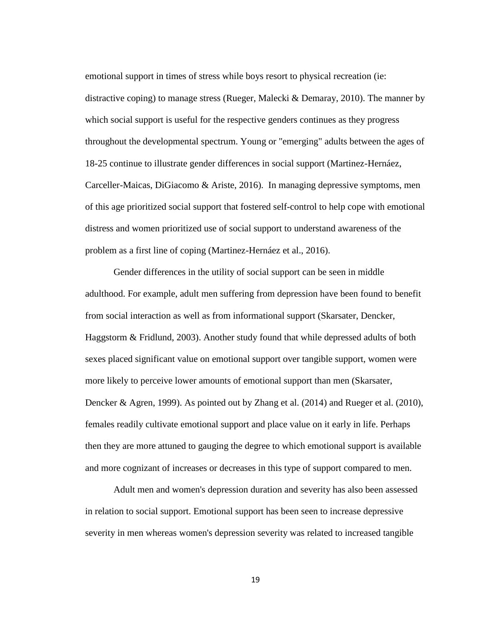emotional support in times of stress while boys resort to physical recreation (ie: distractive coping) to manage stress (Rueger, Malecki & Demaray, 2010). The manner by which social support is useful for the respective genders continues as they progress throughout the developmental spectrum. Young or "emerging" adults between the ages of 18-25 continue to illustrate gender differences in social support (Martinez-Hernáez, Carceller-Maicas, DiGiacomo & Ariste, 2016). In managing depressive symptoms, men of this age prioritized social support that fostered self-control to help cope with emotional distress and women prioritized use of social support to understand awareness of the problem as a first line of coping (Martinez-Hernáez et al., 2016).

Gender differences in the utility of social support can be seen in middle adulthood. For example, adult men suffering from depression have been found to benefit from social interaction as well as from informational support (Skarsater, Dencker, Haggstorm & Fridlund, 2003). Another study found that while depressed adults of both sexes placed significant value on emotional support over tangible support, women were more likely to perceive lower amounts of emotional support than men (Skarsater, Dencker & Agren, 1999). As pointed out by Zhang et al. (2014) and Rueger et al. (2010), females readily cultivate emotional support and place value on it early in life. Perhaps then they are more attuned to gauging the degree to which emotional support is available and more cognizant of increases or decreases in this type of support compared to men.

Adult men and women's depression duration and severity has also been assessed in relation to social support. Emotional support has been seen to increase depressive severity in men whereas women's depression severity was related to increased tangible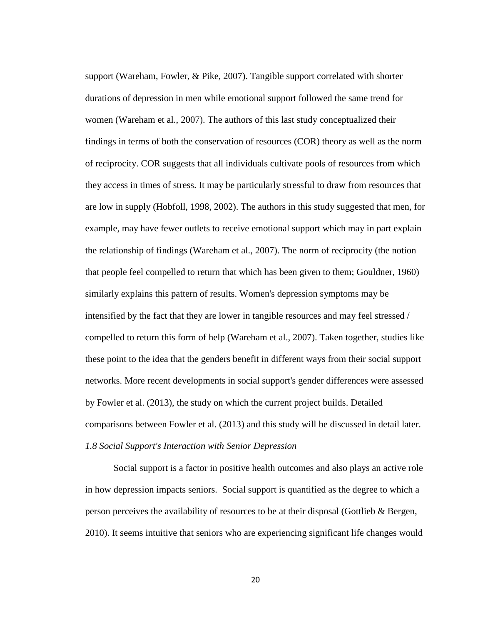support (Wareham, Fowler, & Pike, 2007). Tangible support correlated with shorter durations of depression in men while emotional support followed the same trend for women (Wareham et al., 2007). The authors of this last study conceptualized their findings in terms of both the conservation of resources (COR) theory as well as the norm of reciprocity. COR suggests that all individuals cultivate pools of resources from which they access in times of stress. It may be particularly stressful to draw from resources that are low in supply (Hobfoll, 1998, 2002). The authors in this study suggested that men, for example, may have fewer outlets to receive emotional support which may in part explain the relationship of findings (Wareham et al., 2007). The norm of reciprocity (the notion that people feel compelled to return that which has been given to them; Gouldner, 1960) similarly explains this pattern of results. Women's depression symptoms may be intensified by the fact that they are lower in tangible resources and may feel stressed / compelled to return this form of help (Wareham et al., 2007). Taken together, studies like these point to the idea that the genders benefit in different ways from their social support networks. More recent developments in social support's gender differences were assessed by Fowler et al. (2013), the study on which the current project builds. Detailed comparisons between Fowler et al. (2013) and this study will be discussed in detail later. *1.8 Social Support's Interaction with Senior Depression* 

Social support is a factor in positive health outcomes and also plays an active role in how depression impacts seniors. Social support is quantified as the degree to which a person perceives the availability of resources to be at their disposal (Gottlieb & Bergen, 2010). It seems intuitive that seniors who are experiencing significant life changes would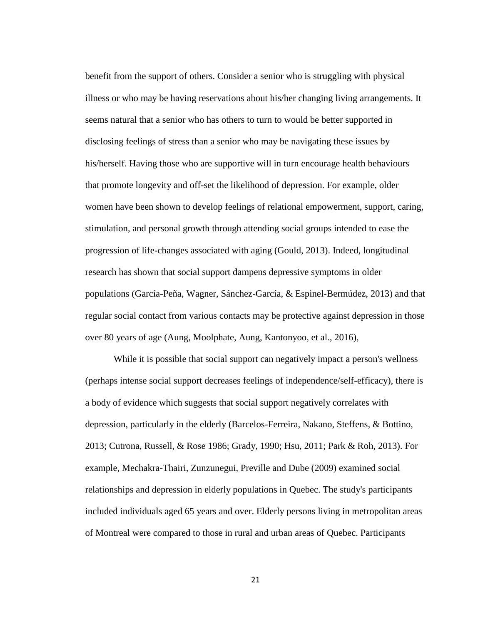benefit from the support of others. Consider a senior who is struggling with physical illness or who may be having reservations about his/her changing living arrangements. It seems natural that a senior who has others to turn to would be better supported in disclosing feelings of stress than a senior who may be navigating these issues by his/herself. Having those who are supportive will in turn encourage health behaviours that promote longevity and off-set the likelihood of depression. For example, older women have been shown to develop feelings of relational empowerment, support, caring, stimulation, and personal growth through attending social groups intended to ease the progression of life-changes associated with aging (Gould, 2013). Indeed, longitudinal research has shown that social support dampens depressive symptoms in older populations (García-Peña, Wagner, Sánchez-García, & Espinel-Bermúdez, 2013) and that regular social contact from various contacts may be protective against depression in those over 80 years of age (Aung, Moolphate, Aung, Kantonyoo, et al., 2016),

While it is possible that social support can negatively impact a person's wellness (perhaps intense social support decreases feelings of independence/self-efficacy), there is a body of evidence which suggests that social support negatively correlates with depression, particularly in the elderly (Barcelos-Ferreira, Nakano, Steffens, & Bottino, 2013; Cutrona, Russell, & Rose 1986; Grady, 1990; Hsu, 2011; Park & Roh, 2013). For example, Mechakra-Thairi, Zunzunegui, Preville and Dube (2009) examined social relationships and depression in elderly populations in Quebec. The study's participants included individuals aged 65 years and over. Elderly persons living in metropolitan areas of Montreal were compared to those in rural and urban areas of Quebec. Participants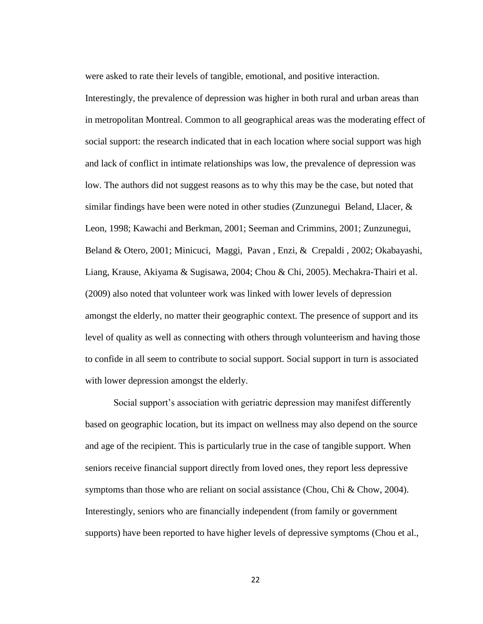were asked to rate their levels of tangible, emotional, and positive interaction.

Interestingly, the prevalence of depression was higher in both rural and urban areas than in metropolitan Montreal. Common to all geographical areas was the moderating effect of social support: the research indicated that in each location where social support was high and lack of conflict in intimate relationships was low, the prevalence of depression was low. The authors did not suggest reasons as to why this may be the case, but noted that similar findings have been were noted in other studies (Zunzunegui Beland, Llacer,  $\&$ Leon, 1998; Kawachi and Berkman, 2001; Seeman and Crimmins, 2001; Zunzunegui, Beland & Otero, 2001; Minicuci, Maggi, Pavan , Enzi, & Crepaldi , 2002; Okabayashi, Liang, Krause, Akiyama & Sugisawa, 2004; Chou & Chi, 2005). Mechakra-Thairi et al. (2009) also noted that volunteer work was linked with lower levels of depression amongst the elderly, no matter their geographic context. The presence of support and its level of quality as well as connecting with others through volunteerism and having those to confide in all seem to contribute to social support. Social support in turn is associated with lower depression amongst the elderly.

Social support's association with geriatric depression may manifest differently based on geographic location, but its impact on wellness may also depend on the source and age of the recipient. This is particularly true in the case of tangible support. When seniors receive financial support directly from loved ones, they report less depressive symptoms than those who are reliant on social assistance (Chou, Chi & Chow, 2004). Interestingly, seniors who are financially independent (from family or government supports) have been reported to have higher levels of depressive symptoms (Chou et al.,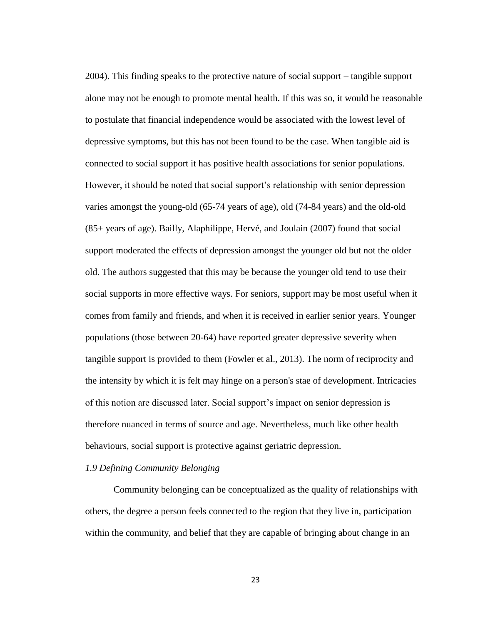2004). This finding speaks to the protective nature of social support – tangible support alone may not be enough to promote mental health. If this was so, it would be reasonable to postulate that financial independence would be associated with the lowest level of depressive symptoms, but this has not been found to be the case. When tangible aid is connected to social support it has positive health associations for senior populations. However, it should be noted that social support's relationship with senior depression varies amongst the young-old (65-74 years of age), old (74-84 years) and the old-old (85+ years of age). Bailly, Alaphilippe, Hervé, and Joulain (2007) found that social support moderated the effects of depression amongst the younger old but not the older old. The authors suggested that this may be because the younger old tend to use their social supports in more effective ways. For seniors, support may be most useful when it comes from family and friends, and when it is received in earlier senior years. Younger populations (those between 20-64) have reported greater depressive severity when tangible support is provided to them (Fowler et al., 2013). The norm of reciprocity and the intensity by which it is felt may hinge on a person's stae of development. Intricacies of this notion are discussed later. Social support's impact on senior depression is therefore nuanced in terms of source and age. Nevertheless, much like other health behaviours, social support is protective against geriatric depression.

# *1.9 Defining Community Belonging*

Community belonging can be conceptualized as the quality of relationships with others, the degree a person feels connected to the region that they live in, participation within the community, and belief that they are capable of bringing about change in an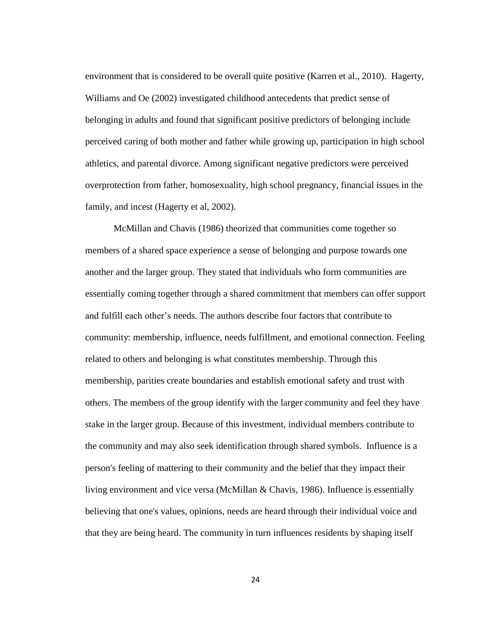environment that is considered to be overall quite positive (Karren et al., 2010). Hagerty, Williams and Oe (2002) investigated childhood antecedents that predict sense of belonging in adults and found that significant positive predictors of belonging include perceived caring of both mother and father while growing up, participation in high school athletics, and parental divorce. Among significant negative predictors were perceived overprotection from father, homosexuality, high school pregnancy, financial issues in the family, and incest (Hagerty et al, 2002).

McMillan and Chavis (1986) theorized that communities come together so members of a shared space experience a sense of belonging and purpose towards one another and the larger group. They stated that individuals who form communities are essentially coming together through a shared commitment that members can offer support and fulfill each other's needs. The authors describe four factors that contribute to community: membership, influence, needs fulfillment, and emotional connection. Feeling related to others and belonging is what constitutes membership. Through this membership, parities create boundaries and establish emotional safety and trust with others. The members of the group identify with the larger community and feel they have stake in the larger group. Because of this investment, individual members contribute to the community and may also seek identification through shared symbols. Influence is a person's feeling of mattering to their community and the belief that they impact their living environment and vice versa (McMillan & Chavis, 1986). Influence is essentially believing that one's values, opinions, needs are heard through their individual voice and that they are being heard. The community in turn influences residents by shaping itself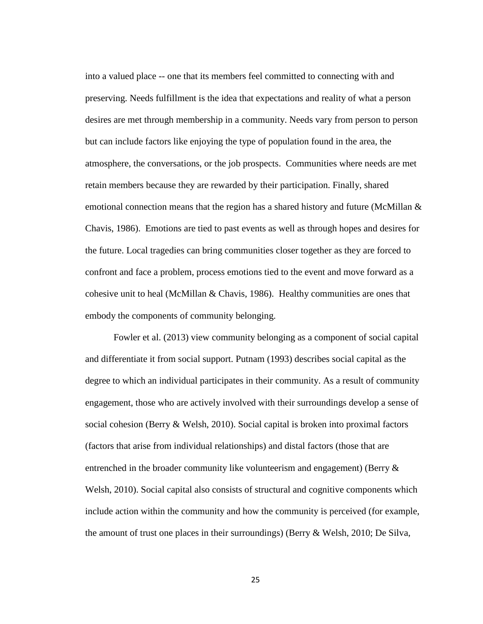into a valued place -- one that its members feel committed to connecting with and preserving. Needs fulfillment is the idea that expectations and reality of what a person desires are met through membership in a community. Needs vary from person to person but can include factors like enjoying the type of population found in the area, the atmosphere, the conversations, or the job prospects. Communities where needs are met retain members because they are rewarded by their participation. Finally, shared emotional connection means that the region has a shared history and future (McMillan  $\&$ Chavis, 1986). Emotions are tied to past events as well as through hopes and desires for the future. Local tragedies can bring communities closer together as they are forced to confront and face a problem, process emotions tied to the event and move forward as a cohesive unit to heal (McMillan & Chavis, 1986). Healthy communities are ones that embody the components of community belonging.

Fowler et al. (2013) view community belonging as a component of social capital and differentiate it from social support. Putnam (1993) describes social capital as the degree to which an individual participates in their community. As a result of community engagement, those who are actively involved with their surroundings develop a sense of social cohesion (Berry & Welsh, 2010). Social capital is broken into proximal factors (factors that arise from individual relationships) and distal factors (those that are entrenched in the broader community like volunteerism and engagement) (Berry & Welsh, 2010). Social capital also consists of structural and cognitive components which include action within the community and how the community is perceived (for example, the amount of trust one places in their surroundings) (Berry & Welsh, 2010; De Silva,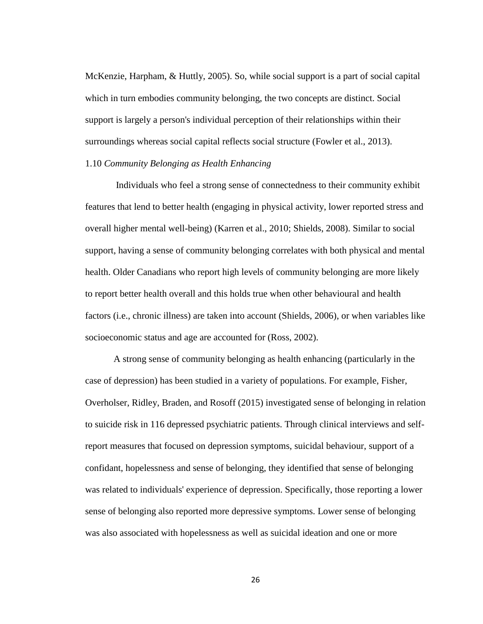McKenzie, Harpham, & Huttly, 2005). So, while social support is a part of social capital which in turn embodies community belonging, the two concepts are distinct. Social support is largely a person's individual perception of their relationships within their surroundings whereas social capital reflects social structure (Fowler et al., 2013).

# 1.10 *Community Belonging as Health Enhancing*

Individuals who feel a strong sense of connectedness to their community exhibit features that lend to better health (engaging in physical activity, lower reported stress and overall higher mental well-being) (Karren et al., 2010; Shields, 2008). Similar to social support, having a sense of community belonging correlates with both physical and mental health. Older Canadians who report high levels of community belonging are more likely to report better health overall and this holds true when other behavioural and health factors (i.e., chronic illness) are taken into account (Shields, 2006), or when variables like socioeconomic status and age are accounted for (Ross, 2002).

A strong sense of community belonging as health enhancing (particularly in the case of depression) has been studied in a variety of populations. For example, Fisher, Overholser, Ridley, Braden, and Rosoff (2015) investigated sense of belonging in relation to suicide risk in 116 depressed psychiatric patients. Through clinical interviews and selfreport measures that focused on depression symptoms, suicidal behaviour, support of a confidant, hopelessness and sense of belonging, they identified that sense of belonging was related to individuals' experience of depression. Specifically, those reporting a lower sense of belonging also reported more depressive symptoms. Lower sense of belonging was also associated with hopelessness as well as suicidal ideation and one or more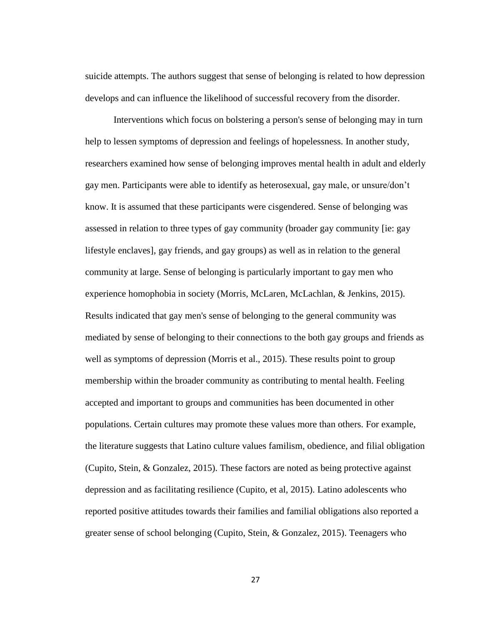suicide attempts. The authors suggest that sense of belonging is related to how depression develops and can influence the likelihood of successful recovery from the disorder.

Interventions which focus on bolstering a person's sense of belonging may in turn help to lessen symptoms of depression and feelings of hopelessness. In another study, researchers examined how sense of belonging improves mental health in adult and elderly gay men. Participants were able to identify as heterosexual, gay male, or unsure/don't know. It is assumed that these participants were cisgendered. Sense of belonging was assessed in relation to three types of gay community (broader gay community [ie: gay lifestyle enclaves], gay friends, and gay groups) as well as in relation to the general community at large. Sense of belonging is particularly important to gay men who experience homophobia in society (Morris, McLaren, McLachlan, & Jenkins, 2015). Results indicated that gay men's sense of belonging to the general community was mediated by sense of belonging to their connections to the both gay groups and friends as well as symptoms of depression (Morris et al., 2015). These results point to group membership within the broader community as contributing to mental health. Feeling accepted and important to groups and communities has been documented in other populations. Certain cultures may promote these values more than others. For example, the literature suggests that Latino culture values familism, obedience, and filial obligation (Cupito, Stein, & Gonzalez, 2015). These factors are noted as being protective against depression and as facilitating resilience (Cupito, et al, 2015). Latino adolescents who reported positive attitudes towards their families and familial obligations also reported a greater sense of school belonging (Cupito, Stein, & Gonzalez, 2015). Teenagers who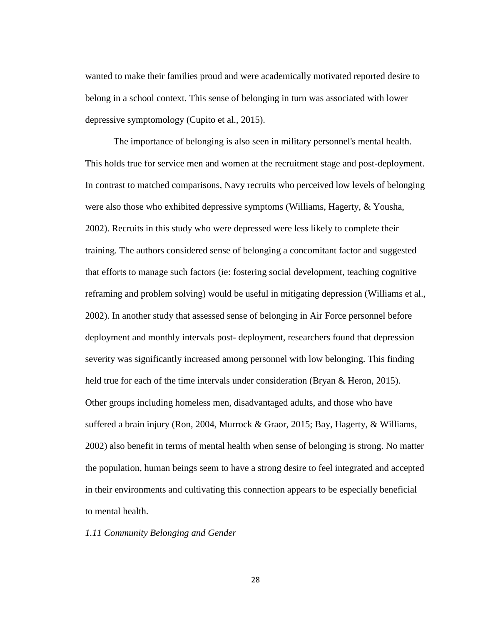wanted to make their families proud and were academically motivated reported desire to belong in a school context. This sense of belonging in turn was associated with lower depressive symptomology (Cupito et al., 2015).

The importance of belonging is also seen in military personnel's mental health. This holds true for service men and women at the recruitment stage and post-deployment. In contrast to matched comparisons, Navy recruits who perceived low levels of belonging were also those who exhibited depressive symptoms (Williams, Hagerty, & Yousha, 2002). Recruits in this study who were depressed were less likely to complete their training. The authors considered sense of belonging a concomitant factor and suggested that efforts to manage such factors (ie: fostering social development, teaching cognitive reframing and problem solving) would be useful in mitigating depression (Williams et al., 2002). In another study that assessed sense of belonging in Air Force personnel before deployment and monthly intervals post- deployment, researchers found that depression severity was significantly increased among personnel with low belonging. This finding held true for each of the time intervals under consideration (Bryan & Heron, 2015). Other groups including homeless men, disadvantaged adults, and those who have suffered a brain injury (Ron, 2004, Murrock & Graor, 2015; Bay, Hagerty, & Williams, 2002) also benefit in terms of mental health when sense of belonging is strong. No matter the population, human beings seem to have a strong desire to feel integrated and accepted in their environments and cultivating this connection appears to be especially beneficial to mental health.

# *1.11 Community Belonging and Gender*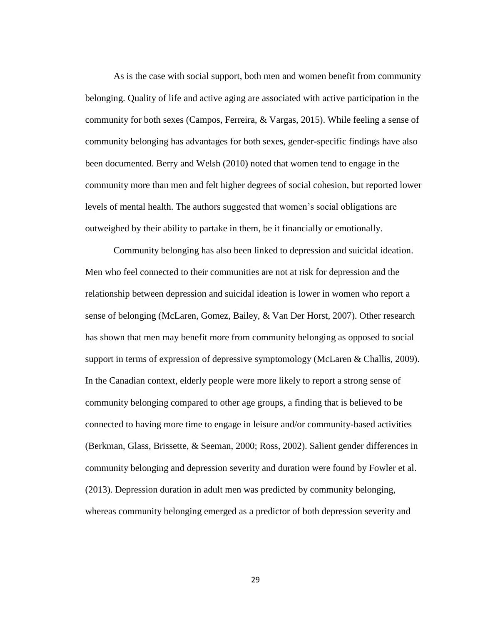As is the case with social support, both men and women benefit from community belonging. Quality of life and active aging are associated with active participation in the community for both sexes (Campos, Ferreira, & Vargas, 2015). While feeling a sense of community belonging has advantages for both sexes, gender-specific findings have also been documented. Berry and Welsh (2010) noted that women tend to engage in the community more than men and felt higher degrees of social cohesion, but reported lower levels of mental health. The authors suggested that women's social obligations are outweighed by their ability to partake in them, be it financially or emotionally.

Community belonging has also been linked to depression and suicidal ideation. Men who feel connected to their communities are not at risk for depression and the relationship between depression and suicidal ideation is lower in women who report a sense of belonging (McLaren, Gomez, Bailey, & Van Der Horst, 2007). Other research has shown that men may benefit more from community belonging as opposed to social support in terms of expression of depressive symptomology (McLaren & Challis, 2009). In the Canadian context, elderly people were more likely to report a strong sense of community belonging compared to other age groups, a finding that is believed to be connected to having more time to engage in leisure and/or community-based activities (Berkman, Glass, Brissette, & Seeman, 2000; Ross, 2002). Salient gender differences in community belonging and depression severity and duration were found by Fowler et al. (2013). Depression duration in adult men was predicted by community belonging, whereas community belonging emerged as a predictor of both depression severity and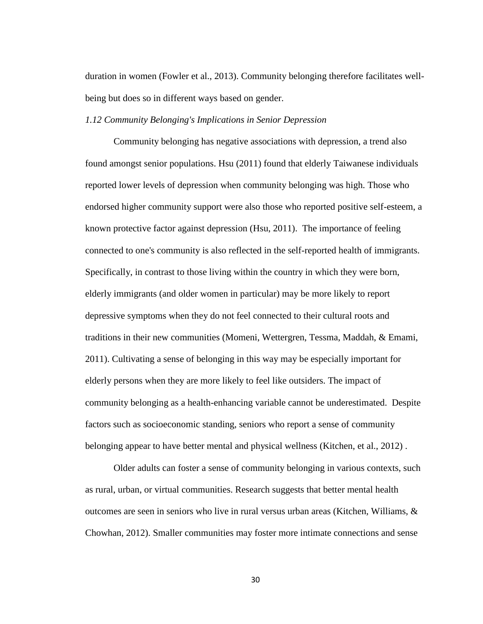duration in women (Fowler et al., 2013). Community belonging therefore facilitates wellbeing but does so in different ways based on gender.

#### *1.12 Community Belonging's Implications in Senior Depression*

Community belonging has negative associations with depression, a trend also found amongst senior populations. Hsu (2011) found that elderly Taiwanese individuals reported lower levels of depression when community belonging was high. Those who endorsed higher community support were also those who reported positive self-esteem, a known protective factor against depression (Hsu, 2011). The importance of feeling connected to one's community is also reflected in the self-reported health of immigrants. Specifically, in contrast to those living within the country in which they were born, elderly immigrants (and older women in particular) may be more likely to report depressive symptoms when they do not feel connected to their cultural roots and traditions in their new communities (Momeni, Wettergren, Tessma, Maddah, & Emami, 2011). Cultivating a sense of belonging in this way may be especially important for elderly persons when they are more likely to feel like outsiders. The impact of community belonging as a health-enhancing variable cannot be underestimated. Despite factors such as socioeconomic standing, seniors who report a sense of community belonging appear to have better mental and physical wellness (Kitchen, et al., 2012) .

Older adults can foster a sense of community belonging in various contexts, such as rural, urban, or virtual communities. Research suggests that better mental health outcomes are seen in seniors who live in rural versus urban areas (Kitchen, Williams,  $\&$ Chowhan, 2012). Smaller communities may foster more intimate connections and sense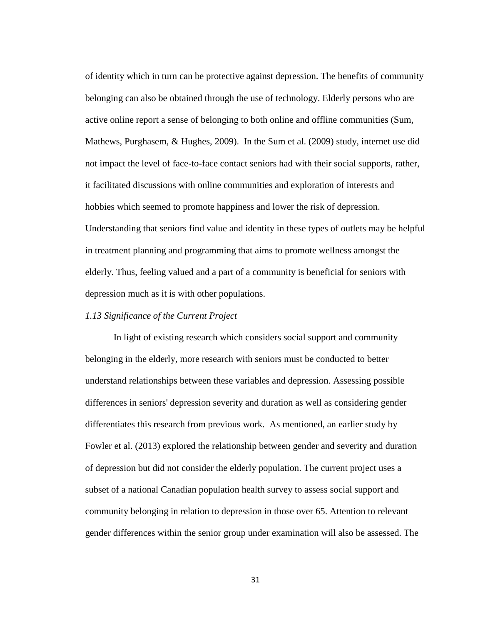of identity which in turn can be protective against depression. The benefits of community belonging can also be obtained through the use of technology. Elderly persons who are active online report a sense of belonging to both online and offline communities (Sum, Mathews, Purghasem, & Hughes, 2009). In the Sum et al. (2009) study, internet use did not impact the level of face-to-face contact seniors had with their social supports, rather, it facilitated discussions with online communities and exploration of interests and hobbies which seemed to promote happiness and lower the risk of depression. Understanding that seniors find value and identity in these types of outlets may be helpful in treatment planning and programming that aims to promote wellness amongst the elderly. Thus, feeling valued and a part of a community is beneficial for seniors with depression much as it is with other populations.

#### *1.13 Significance of the Current Project*

In light of existing research which considers social support and community belonging in the elderly, more research with seniors must be conducted to better understand relationships between these variables and depression. Assessing possible differences in seniors' depression severity and duration as well as considering gender differentiates this research from previous work. As mentioned, an earlier study by Fowler et al. (2013) explored the relationship between gender and severity and duration of depression but did not consider the elderly population. The current project uses a subset of a national Canadian population health survey to assess social support and community belonging in relation to depression in those over 65. Attention to relevant gender differences within the senior group under examination will also be assessed. The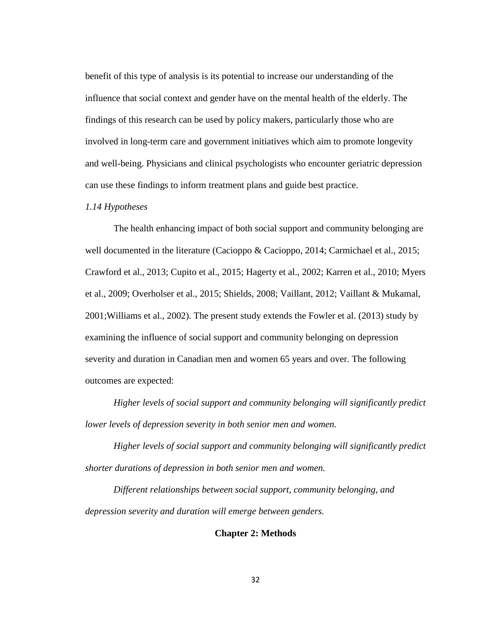benefit of this type of analysis is its potential to increase our understanding of the influence that social context and gender have on the mental health of the elderly. The findings of this research can be used by policy makers, particularly those who are involved in long-term care and government initiatives which aim to promote longevity and well-being. Physicians and clinical psychologists who encounter geriatric depression can use these findings to inform treatment plans and guide best practice.

#### *1.14 Hypotheses*

The health enhancing impact of both social support and community belonging are well documented in the literature (Cacioppo & Cacioppo, 2014; Carmichael et al., 2015; Crawford et al., 2013; Cupito et al., 2015; Hagerty et al., 2002; Karren et al., 2010; Myers et al., 2009; Overholser et al., 2015; Shields, 2008; Vaillant, 2012; Vaillant & Mukamal, 2001;Williams et al., 2002). The present study extends the Fowler et al. (2013) study by examining the influence of social support and community belonging on depression severity and duration in Canadian men and women 65 years and over. The following outcomes are expected:

*Higher levels of social support and community belonging will significantly predict lower levels of depression severity in both senior men and women.* 

*Higher levels of social support and community belonging will significantly predict shorter durations of depression in both senior men and women.*

*Different relationships between social support, community belonging, and depression severity and duration will emerge between genders.* 

#### **Chapter 2: Methods**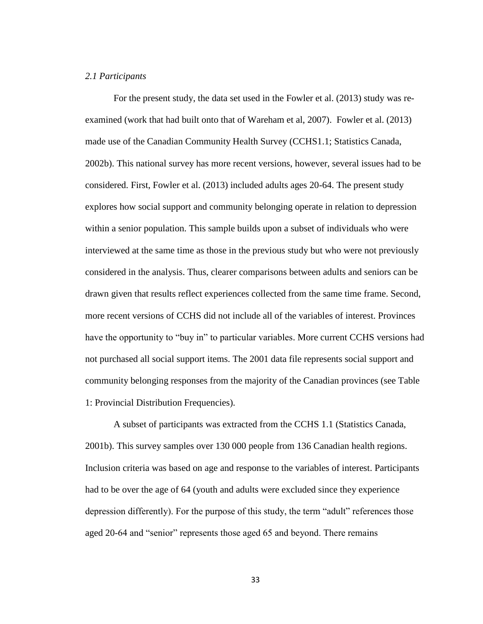## *2.1 Participants*

For the present study, the data set used in the Fowler et al. (2013) study was reexamined (work that had built onto that of Wareham et al, 2007). Fowler et al. (2013) made use of the Canadian Community Health Survey (CCHS1.1; Statistics Canada, 2002b). This national survey has more recent versions, however, several issues had to be considered. First, Fowler et al. (2013) included adults ages 20-64. The present study explores how social support and community belonging operate in relation to depression within a senior population. This sample builds upon a subset of individuals who were interviewed at the same time as those in the previous study but who were not previously considered in the analysis. Thus, clearer comparisons between adults and seniors can be drawn given that results reflect experiences collected from the same time frame. Second, more recent versions of CCHS did not include all of the variables of interest. Provinces have the opportunity to "buy in" to particular variables. More current CCHS versions had not purchased all social support items. The 2001 data file represents social support and community belonging responses from the majority of the Canadian provinces (see Table 1: Provincial Distribution Frequencies).

A subset of participants was extracted from the CCHS 1.1 (Statistics Canada, 2001b). This survey samples over 130 000 people from 136 Canadian health regions. Inclusion criteria was based on age and response to the variables of interest. Participants had to be over the age of 64 (youth and adults were excluded since they experience depression differently). For the purpose of this study, the term "adult" references those aged 20-64 and "senior" represents those aged 65 and beyond. There remains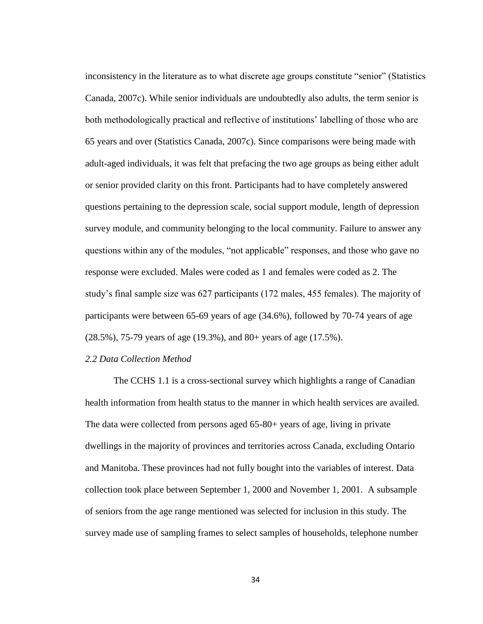inconsistency in the literature as to what discrete age groups constitute "senior" (Statistics Canada, 2007c). While senior individuals are undoubtedly also adults, the term senior is both methodologically practical and reflective of institutions' labelling of those who are 65 years and over (Statistics Canada, 2007c). Since comparisons were being made with adult-aged individuals, it was felt that prefacing the two age groups as being either adult or senior provided clarity on this front. Participants had to have completely answered questions pertaining to the depression scale, social support module, length of depression survey module, and community belonging to the local community. Failure to answer any questions within any of the modules, "not applicable" responses, and those who gave no response were excluded. Males were coded as 1 and females were coded as 2. The study's final sample size was 627 participants (172 males, 455 females). The majority of participants were between 65-69 years of age (34.6%), followed by 70-74 years of age (28.5%), 75-79 years of age (19.3%), and 80+ years of age (17.5%).

# *2.2 Data Collection Method*

The CCHS 1.1 is a cross-sectional survey which highlights a range of Canadian health information from health status to the manner in which health services are availed. The data were collected from persons aged 65-80+ years of age, living in private dwellings in the majority of provinces and territories across Canada, excluding Ontario and Manitoba. These provinces had not fully bought into the variables of interest. Data collection took place between September 1, 2000 and November 1, 2001. A subsample of seniors from the age range mentioned was selected for inclusion in this study. The survey made use of sampling frames to select samples of households, telephone number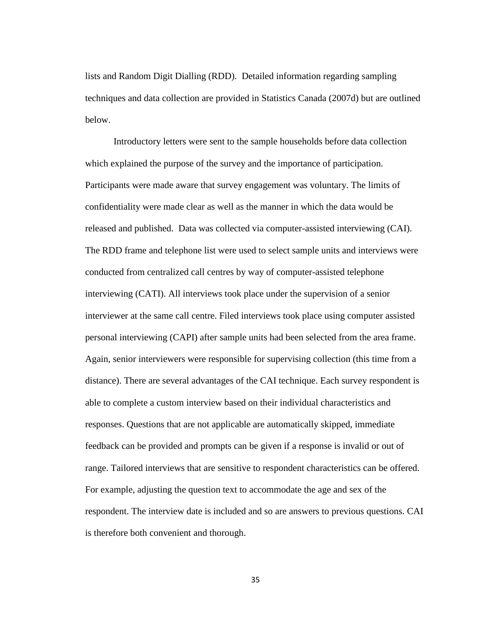lists and Random Digit Dialling (RDD). Detailed information regarding sampling techniques and data collection are provided in Statistics Canada (2007d) but are outlined below.

Introductory letters were sent to the sample households before data collection which explained the purpose of the survey and the importance of participation. Participants were made aware that survey engagement was voluntary. The limits of confidentiality were made clear as well as the manner in which the data would be released and published. Data was collected via computer-assisted interviewing (CAI). The RDD frame and telephone list were used to select sample units and interviews were conducted from centralized call centres by way of computer-assisted telephone interviewing (CATI). All interviews took place under the supervision of a senior interviewer at the same call centre. Filed interviews took place using computer assisted personal interviewing (CAPI) after sample units had been selected from the area frame. Again, senior interviewers were responsible for supervising collection (this time from a distance). There are several advantages of the CAI technique. Each survey respondent is able to complete a custom interview based on their individual characteristics and responses. Questions that are not applicable are automatically skipped, immediate feedback can be provided and prompts can be given if a response is invalid or out of range. Tailored interviews that are sensitive to respondent characteristics can be offered. For example, adjusting the question text to accommodate the age and sex of the respondent. The interview date is included and so are answers to previous questions. CAI is therefore both convenient and thorough.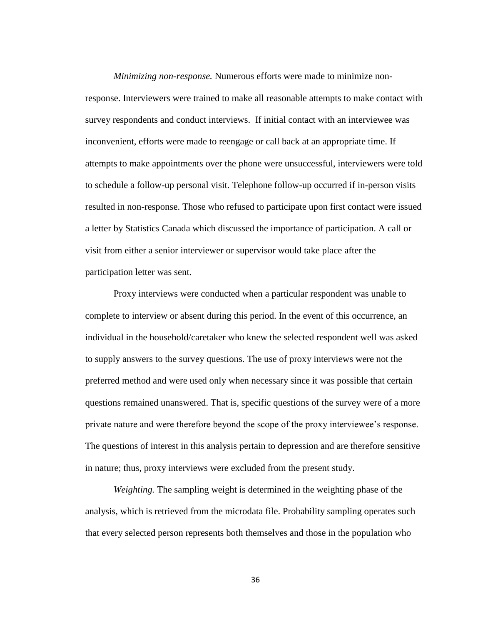*Minimizing non-response.* Numerous efforts were made to minimize nonresponse. Interviewers were trained to make all reasonable attempts to make contact with survey respondents and conduct interviews. If initial contact with an interviewee was inconvenient, efforts were made to reengage or call back at an appropriate time. If attempts to make appointments over the phone were unsuccessful, interviewers were told to schedule a follow-up personal visit. Telephone follow-up occurred if in-person visits resulted in non-response. Those who refused to participate upon first contact were issued a letter by Statistics Canada which discussed the importance of participation. A call or visit from either a senior interviewer or supervisor would take place after the participation letter was sent.

Proxy interviews were conducted when a particular respondent was unable to complete to interview or absent during this period. In the event of this occurrence, an individual in the household/caretaker who knew the selected respondent well was asked to supply answers to the survey questions. The use of proxy interviews were not the preferred method and were used only when necessary since it was possible that certain questions remained unanswered. That is, specific questions of the survey were of a more private nature and were therefore beyond the scope of the proxy interviewee's response. The questions of interest in this analysis pertain to depression and are therefore sensitive in nature; thus, proxy interviews were excluded from the present study.

*Weighting.* The sampling weight is determined in the weighting phase of the analysis, which is retrieved from the microdata file. Probability sampling operates such that every selected person represents both themselves and those in the population who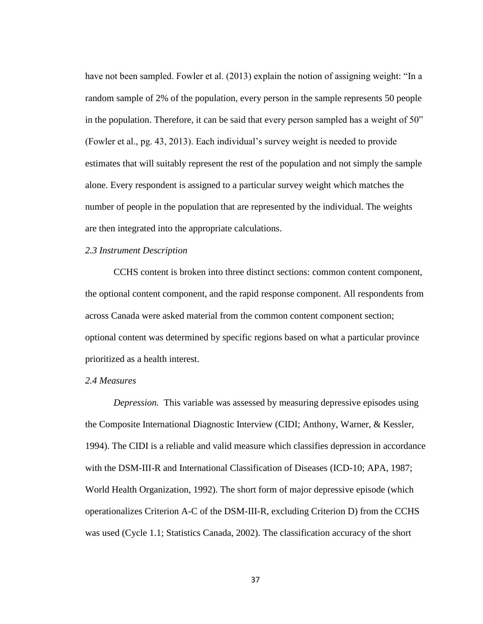have not been sampled. Fowler et al. (2013) explain the notion of assigning weight: "In a random sample of 2% of the population, every person in the sample represents 50 people in the population. Therefore, it can be said that every person sampled has a weight of 50" (Fowler et al., pg. 43, 2013). Each individual's survey weight is needed to provide estimates that will suitably represent the rest of the population and not simply the sample alone. Every respondent is assigned to a particular survey weight which matches the number of people in the population that are represented by the individual. The weights are then integrated into the appropriate calculations.

# *2.3 Instrument Description*

CCHS content is broken into three distinct sections: common content component, the optional content component, and the rapid response component. All respondents from across Canada were asked material from the common content component section; optional content was determined by specific regions based on what a particular province prioritized as a health interest.

## *2.4 Measures*

*Depression.* This variable was assessed by measuring depressive episodes using the Composite International Diagnostic Interview (CIDI; Anthony, Warner, & Kessler, 1994). The CIDI is a reliable and valid measure which classifies depression in accordance with the DSM-III-R and International Classification of Diseases (ICD-10; APA, 1987; World Health Organization, 1992). The short form of major depressive episode (which operationalizes Criterion A-C of the DSM-III-R, excluding Criterion D) from the CCHS was used (Cycle 1.1; Statistics Canada, 2002). The classification accuracy of the short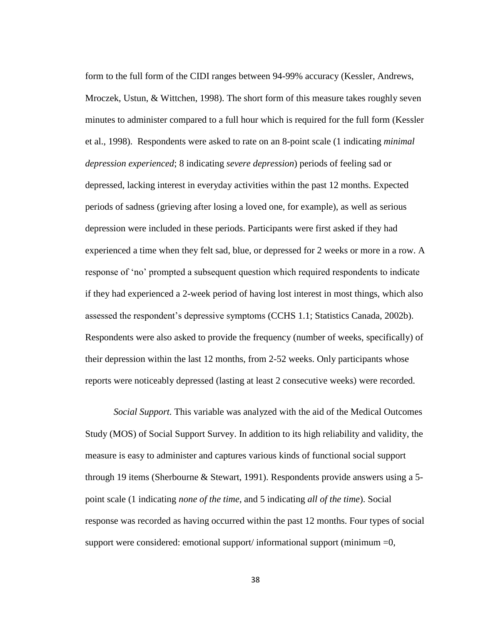form to the full form of the CIDI ranges between 94-99% accuracy (Kessler, Andrews, Mroczek, Ustun, & Wittchen, 1998). The short form of this measure takes roughly seven minutes to administer compared to a full hour which is required for the full form (Kessler et al., 1998). Respondents were asked to rate on an 8-point scale (1 indicating *minimal depression experienced*; 8 indicating *severe depression*) periods of feeling sad or depressed, lacking interest in everyday activities within the past 12 months. Expected periods of sadness (grieving after losing a loved one, for example), as well as serious depression were included in these periods. Participants were first asked if they had experienced a time when they felt sad, blue, or depressed for 2 weeks or more in a row. A response of 'no' prompted a subsequent question which required respondents to indicate if they had experienced a 2-week period of having lost interest in most things, which also assessed the respondent's depressive symptoms (CCHS 1.1; Statistics Canada, 2002b). Respondents were also asked to provide the frequency (number of weeks, specifically) of their depression within the last 12 months, from 2-52 weeks. Only participants whose reports were noticeably depressed (lasting at least 2 consecutive weeks) were recorded.

*Social Support.* This variable was analyzed with the aid of the Medical Outcomes Study (MOS) of Social Support Survey. In addition to its high reliability and validity, the measure is easy to administer and captures various kinds of functional social support through 19 items (Sherbourne & Stewart, 1991). Respondents provide answers using a 5 point scale (1 indicating *none of the time*, and 5 indicating *all of the time*). Social response was recorded as having occurred within the past 12 months. Four types of social support were considered: emotional support/ informational support (minimum  $=0$ ,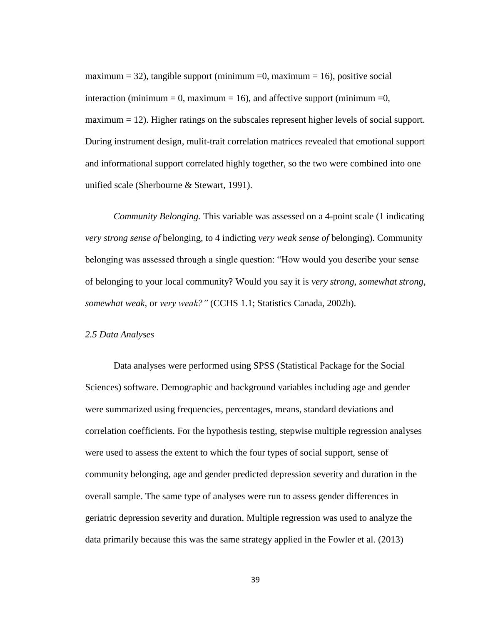maximum = 32), tangible support (minimum = 0, maximum = 16), positive social interaction (minimum = 0, maximum = 16), and affective support (minimum = 0,  $maximum = 12$ ). Higher ratings on the subscales represent higher levels of social support. During instrument design, mulit-trait correlation matrices revealed that emotional support and informational support correlated highly together, so the two were combined into one unified scale (Sherbourne & Stewart, 1991).

*Community Belonging.* This variable was assessed on a 4-point scale (1 indicating *very strong sense of* belonging, to 4 indicting *very weak sense of* belonging). Community belonging was assessed through a single question: "How would you describe your sense of belonging to your local community? Would you say it is *very strong, somewhat strong, somewhat weak,* or *very weak?"* (CCHS 1.1; Statistics Canada, 2002b).

#### *2.5 Data Analyses*

Data analyses were performed using SPSS (Statistical Package for the Social Sciences) software. Demographic and background variables including age and gender were summarized using frequencies, percentages, means, standard deviations and correlation coefficients. For the hypothesis testing, stepwise multiple regression analyses were used to assess the extent to which the four types of social support, sense of community belonging, age and gender predicted depression severity and duration in the overall sample. The same type of analyses were run to assess gender differences in geriatric depression severity and duration. Multiple regression was used to analyze the data primarily because this was the same strategy applied in the Fowler et al. (2013)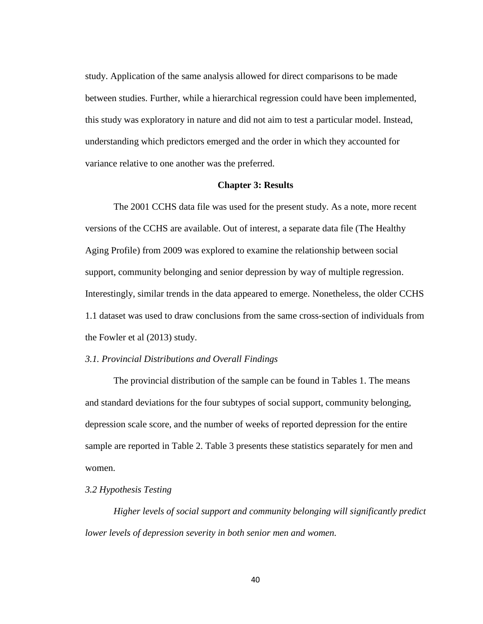study. Application of the same analysis allowed for direct comparisons to be made between studies. Further, while a hierarchical regression could have been implemented, this study was exploratory in nature and did not aim to test a particular model. Instead, understanding which predictors emerged and the order in which they accounted for variance relative to one another was the preferred.

#### **Chapter 3: Results**

The 2001 CCHS data file was used for the present study. As a note, more recent versions of the CCHS are available. Out of interest, a separate data file (The Healthy Aging Profile) from 2009 was explored to examine the relationship between social support, community belonging and senior depression by way of multiple regression. Interestingly, similar trends in the data appeared to emerge. Nonetheless, the older CCHS 1.1 dataset was used to draw conclusions from the same cross-section of individuals from the Fowler et al (2013) study.

# *3.1. Provincial Distributions and Overall Findings*

The provincial distribution of the sample can be found in Tables 1. The means and standard deviations for the four subtypes of social support, community belonging, depression scale score, and the number of weeks of reported depression for the entire sample are reported in Table 2. Table 3 presents these statistics separately for men and women.

# *3.2 Hypothesis Testing*

*Higher levels of social support and community belonging will significantly predict lower levels of depression severity in both senior men and women.*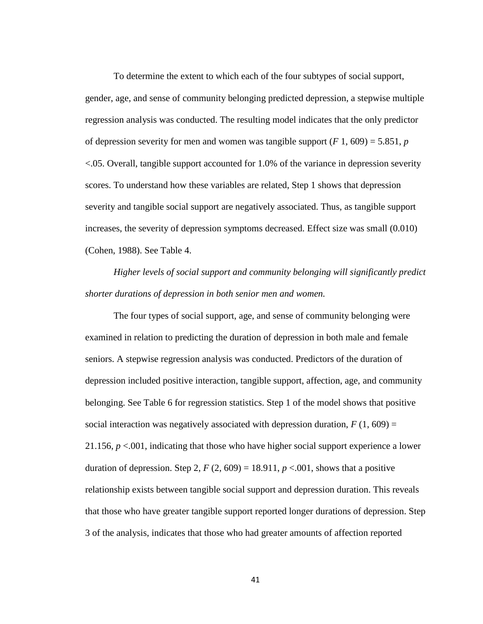To determine the extent to which each of the four subtypes of social support, gender, age, and sense of community belonging predicted depression, a stepwise multiple regression analysis was conducted. The resulting model indicates that the only predictor of depression severity for men and women was tangible support  $(F_1, 609) = 5.851$ , *p* <.05. Overall, tangible support accounted for 1.0% of the variance in depression severity scores. To understand how these variables are related, Step 1 shows that depression severity and tangible social support are negatively associated. Thus, as tangible support increases, the severity of depression symptoms decreased. Effect size was small (0.010) (Cohen, 1988). See Table 4.

*Higher levels of social support and community belonging will significantly predict shorter durations of depression in both senior men and women.* 

The four types of social support, age, and sense of community belonging were examined in relation to predicting the duration of depression in both male and female seniors. A stepwise regression analysis was conducted. Predictors of the duration of depression included positive interaction, tangible support, affection, age, and community belonging. See Table 6 for regression statistics. Step 1 of the model shows that positive social interaction was negatively associated with depression duration,  $F(1, 609) =$ 21.156,  $p < 0.001$ , indicating that those who have higher social support experience a lower duration of depression. Step 2,  $F(2, 609) = 18.911$ ,  $p < .001$ , shows that a positive relationship exists between tangible social support and depression duration. This reveals that those who have greater tangible support reported longer durations of depression. Step 3 of the analysis, indicates that those who had greater amounts of affection reported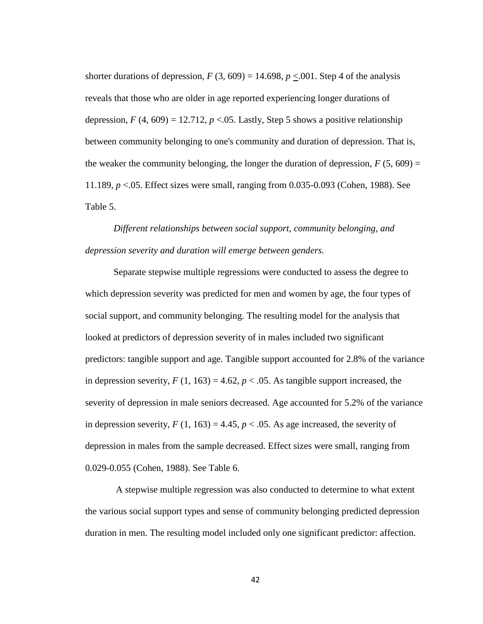shorter durations of depression,  $F(3, 609) = 14.698$ ,  $p < .001$ . Step 4 of the analysis reveals that those who are older in age reported experiencing longer durations of depression,  $F(4, 609) = 12.712$ ,  $p < 0.05$ . Lastly, Step 5 shows a positive relationship between community belonging to one's community and duration of depression. That is, the weaker the community belonging, the longer the duration of depression,  $F(5, 609) =$ 11.189, *p* <.05. Effect sizes were small, ranging from 0.035-0.093 (Cohen, 1988). See Table 5.

*Different relationships between social support, community belonging, and depression severity and duration will emerge between genders.* 

Separate stepwise multiple regressions were conducted to assess the degree to which depression severity was predicted for men and women by age, the four types of social support, and community belonging. The resulting model for the analysis that looked at predictors of depression severity of in males included two significant predictors: tangible support and age. Tangible support accounted for 2.8% of the variance in depression severity,  $F(1, 163) = 4.62$ ,  $p < .05$ . As tangible support increased, the severity of depression in male seniors decreased. Age accounted for 5.2% of the variance in depression severity,  $F(1, 163) = 4.45$ ,  $p < .05$ . As age increased, the severity of depression in males from the sample decreased. Effect sizes were small, ranging from 0.029-0.055 (Cohen, 1988). See Table 6.

A stepwise multiple regression was also conducted to determine to what extent the various social support types and sense of community belonging predicted depression duration in men. The resulting model included only one significant predictor: affection.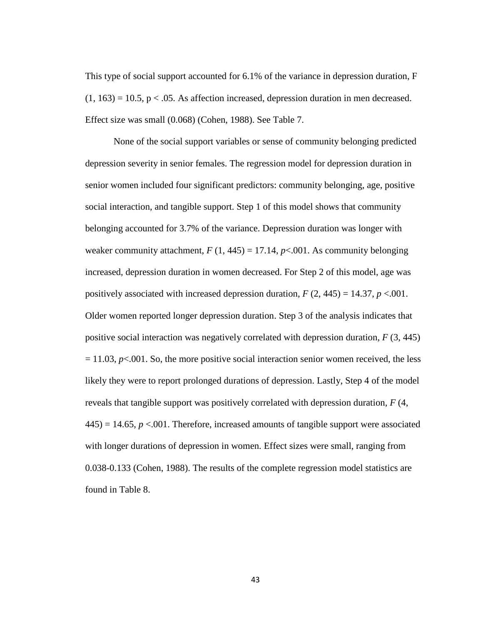This type of social support accounted for 6.1% of the variance in depression duration, F  $(1, 163) = 10.5$ , p < .05. As affection increased, depression duration in men decreased. Effect size was small (0.068) (Cohen, 1988). See Table 7.

None of the social support variables or sense of community belonging predicted depression severity in senior females. The regression model for depression duration in senior women included four significant predictors: community belonging, age, positive social interaction, and tangible support. Step 1 of this model shows that community belonging accounted for 3.7% of the variance. Depression duration was longer with weaker community attachment,  $F(1, 445) = 17.14$ ,  $p<.001$ . As community belonging increased, depression duration in women decreased. For Step 2 of this model, age was positively associated with increased depression duration,  $F(2, 445) = 14.37$ ,  $p < 0.001$ . Older women reported longer depression duration. Step 3 of the analysis indicates that positive social interaction was negatively correlated with depression duration, *F* (3, 445)  $= 11.03$ ,  $p<.001$ . So, the more positive social interaction senior women received, the less likely they were to report prolonged durations of depression. Lastly, Step 4 of the model reveals that tangible support was positively correlated with depression duration, *F* (4,  $445$ ) = 14.65,  $p < 0.001$ . Therefore, increased amounts of tangible support were associated with longer durations of depression in women. Effect sizes were small, ranging from 0.038-0.133 (Cohen, 1988). The results of the complete regression model statistics are found in Table 8.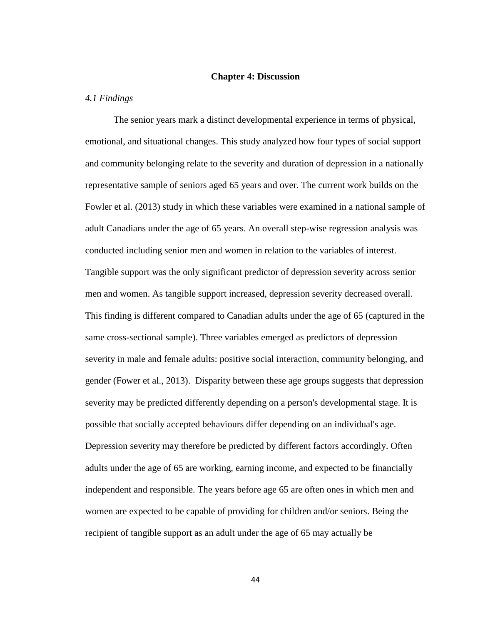#### **Chapter 4: Discussion**

#### *4.1 Findings*

The senior years mark a distinct developmental experience in terms of physical, emotional, and situational changes. This study analyzed how four types of social support and community belonging relate to the severity and duration of depression in a nationally representative sample of seniors aged 65 years and over. The current work builds on the Fowler et al. (2013) study in which these variables were examined in a national sample of adult Canadians under the age of 65 years. An overall step-wise regression analysis was conducted including senior men and women in relation to the variables of interest. Tangible support was the only significant predictor of depression severity across senior men and women. As tangible support increased, depression severity decreased overall. This finding is different compared to Canadian adults under the age of 65 (captured in the same cross-sectional sample). Three variables emerged as predictors of depression severity in male and female adults: positive social interaction, community belonging, and gender (Fower et al., 2013). Disparity between these age groups suggests that depression severity may be predicted differently depending on a person's developmental stage. It is possible that socially accepted behaviours differ depending on an individual's age. Depression severity may therefore be predicted by different factors accordingly. Often adults under the age of 65 are working, earning income, and expected to be financially independent and responsible. The years before age 65 are often ones in which men and women are expected to be capable of providing for children and/or seniors. Being the recipient of tangible support as an adult under the age of 65 may actually be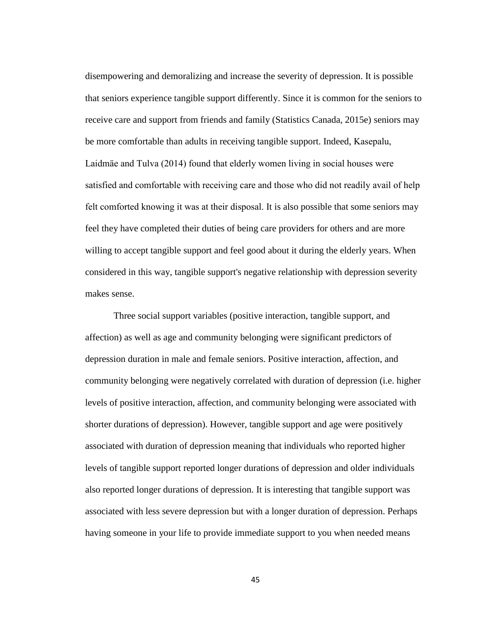disempowering and demoralizing and increase the severity of depression. It is possible that seniors experience tangible support differently. Since it is common for the seniors to receive care and support from friends and family (Statistics Canada, 2015e) seniors may be more comfortable than adults in receiving tangible support. Indeed, Kasepalu, Laidmäe and Tulva (2014) found that elderly women living in social houses were satisfied and comfortable with receiving care and those who did not readily avail of help felt comforted knowing it was at their disposal. It is also possible that some seniors may feel they have completed their duties of being care providers for others and are more willing to accept tangible support and feel good about it during the elderly years. When considered in this way, tangible support's negative relationship with depression severity makes sense.

Three social support variables (positive interaction, tangible support, and affection) as well as age and community belonging were significant predictors of depression duration in male and female seniors. Positive interaction, affection, and community belonging were negatively correlated with duration of depression (i.e. higher levels of positive interaction, affection, and community belonging were associated with shorter durations of depression). However, tangible support and age were positively associated with duration of depression meaning that individuals who reported higher levels of tangible support reported longer durations of depression and older individuals also reported longer durations of depression. It is interesting that tangible support was associated with less severe depression but with a longer duration of depression. Perhaps having someone in your life to provide immediate support to you when needed means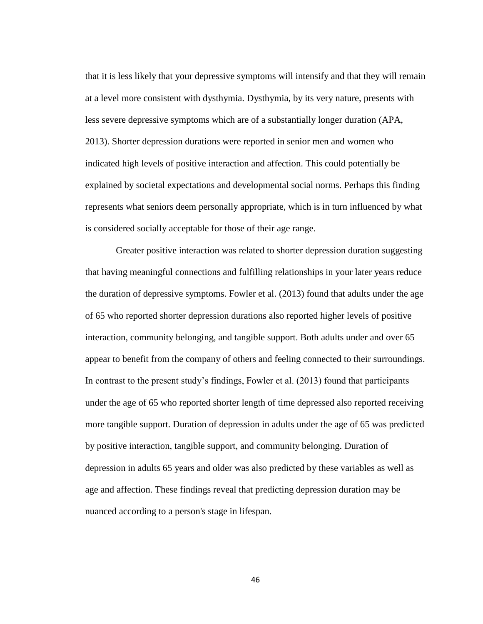that it is less likely that your depressive symptoms will intensify and that they will remain at a level more consistent with dysthymia. Dysthymia, by its very nature, presents with less severe depressive symptoms which are of a substantially longer duration (APA, 2013). Shorter depression durations were reported in senior men and women who indicated high levels of positive interaction and affection. This could potentially be explained by societal expectations and developmental social norms. Perhaps this finding represents what seniors deem personally appropriate, which is in turn influenced by what is considered socially acceptable for those of their age range.

Greater positive interaction was related to shorter depression duration suggesting that having meaningful connections and fulfilling relationships in your later years reduce the duration of depressive symptoms. Fowler et al. (2013) found that adults under the age of 65 who reported shorter depression durations also reported higher levels of positive interaction, community belonging, and tangible support. Both adults under and over 65 appear to benefit from the company of others and feeling connected to their surroundings. In contrast to the present study's findings, Fowler et al. (2013) found that participants under the age of 65 who reported shorter length of time depressed also reported receiving more tangible support. Duration of depression in adults under the age of 65 was predicted by positive interaction, tangible support, and community belonging. Duration of depression in adults 65 years and older was also predicted by these variables as well as age and affection. These findings reveal that predicting depression duration may be nuanced according to a person's stage in lifespan.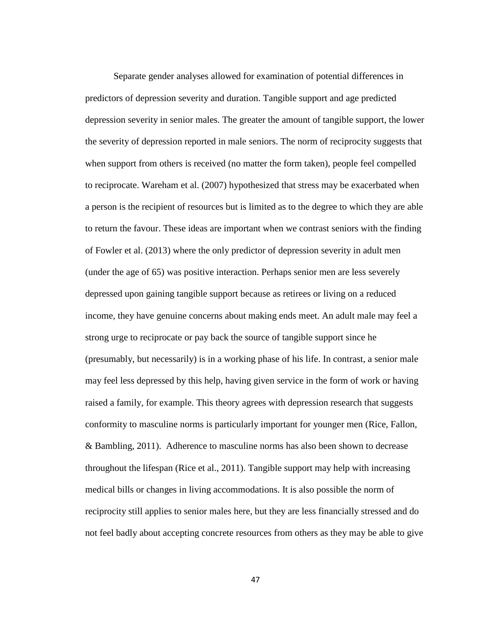Separate gender analyses allowed for examination of potential differences in predictors of depression severity and duration. Tangible support and age predicted depression severity in senior males. The greater the amount of tangible support, the lower the severity of depression reported in male seniors. The norm of reciprocity suggests that when support from others is received (no matter the form taken), people feel compelled to reciprocate. Wareham et al. (2007) hypothesized that stress may be exacerbated when a person is the recipient of resources but is limited as to the degree to which they are able to return the favour. These ideas are important when we contrast seniors with the finding of Fowler et al. (2013) where the only predictor of depression severity in adult men (under the age of 65) was positive interaction. Perhaps senior men are less severely depressed upon gaining tangible support because as retirees or living on a reduced income, they have genuine concerns about making ends meet. An adult male may feel a strong urge to reciprocate or pay back the source of tangible support since he (presumably, but necessarily) is in a working phase of his life. In contrast, a senior male may feel less depressed by this help, having given service in the form of work or having raised a family, for example. This theory agrees with depression research that suggests conformity to masculine norms is particularly important for younger men (Rice, Fallon, & Bambling, 2011). Adherence to masculine norms has also been shown to decrease throughout the lifespan (Rice et al., 2011). Tangible support may help with increasing medical bills or changes in living accommodations. It is also possible the norm of reciprocity still applies to senior males here, but they are less financially stressed and do not feel badly about accepting concrete resources from others as they may be able to give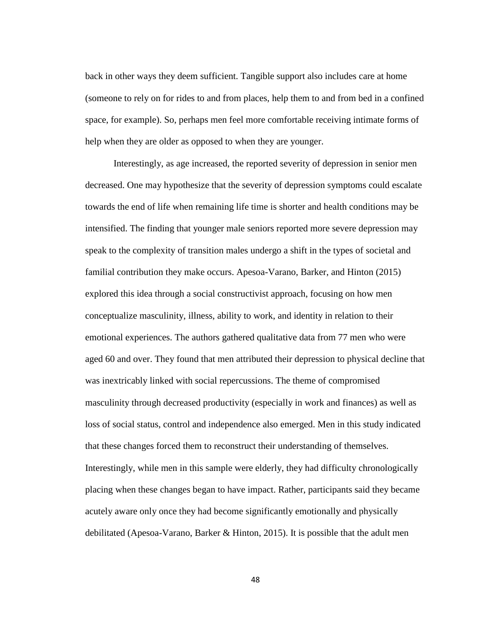back in other ways they deem sufficient. Tangible support also includes care at home (someone to rely on for rides to and from places, help them to and from bed in a confined space, for example). So, perhaps men feel more comfortable receiving intimate forms of help when they are older as opposed to when they are younger.

Interestingly, as age increased, the reported severity of depression in senior men decreased. One may hypothesize that the severity of depression symptoms could escalate towards the end of life when remaining life time is shorter and health conditions may be intensified. The finding that younger male seniors reported more severe depression may speak to the complexity of transition males undergo a shift in the types of societal and familial contribution they make occurs. Apesoa-Varano, Barker, and Hinton (2015) explored this idea through a social constructivist approach, focusing on how men conceptualize masculinity, illness, ability to work, and identity in relation to their emotional experiences. The authors gathered qualitative data from 77 men who were aged 60 and over. They found that men attributed their depression to physical decline that was inextricably linked with social repercussions. The theme of compromised masculinity through decreased productivity (especially in work and finances) as well as loss of social status, control and independence also emerged. Men in this study indicated that these changes forced them to reconstruct their understanding of themselves. Interestingly, while men in this sample were elderly, they had difficulty chronologically placing when these changes began to have impact. Rather, participants said they became acutely aware only once they had become significantly emotionally and physically debilitated (Apesoa-Varano, Barker & Hinton, 2015). It is possible that the adult men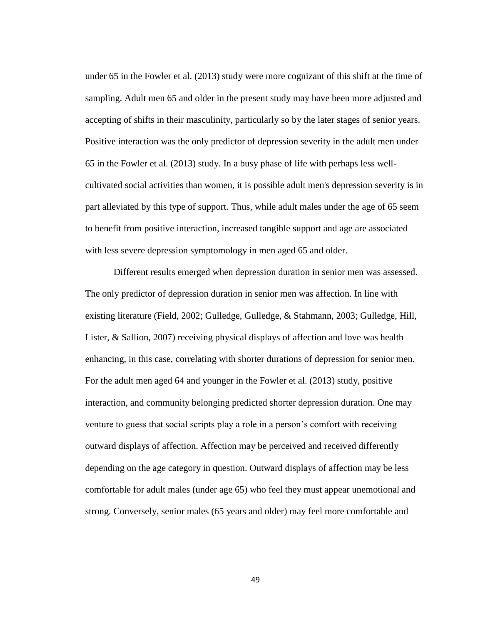under 65 in the Fowler et al. (2013) study were more cognizant of this shift at the time of sampling. Adult men 65 and older in the present study may have been more adjusted and accepting of shifts in their masculinity, particularly so by the later stages of senior years. Positive interaction was the only predictor of depression severity in the adult men under 65 in the Fowler et al. (2013) study. In a busy phase of life with perhaps less wellcultivated social activities than women, it is possible adult men's depression severity is in part alleviated by this type of support. Thus, while adult males under the age of 65 seem to benefit from positive interaction, increased tangible support and age are associated with less severe depression symptomology in men aged 65 and older.

Different results emerged when depression duration in senior men was assessed. The only predictor of depression duration in senior men was affection. In line with existing literature (Field, 2002; Gulledge, Gulledge, & Stahmann, 2003; Gulledge, Hill, Lister, & Sallion, 2007) receiving physical displays of affection and love was health enhancing, in this case, correlating with shorter durations of depression for senior men. For the adult men aged 64 and younger in the Fowler et al. (2013) study, positive interaction, and community belonging predicted shorter depression duration. One may venture to guess that social scripts play a role in a person's comfort with receiving outward displays of affection. Affection may be perceived and received differently depending on the age category in question. Outward displays of affection may be less comfortable for adult males (under age 65) who feel they must appear unemotional and strong. Conversely, senior males (65 years and older) may feel more comfortable and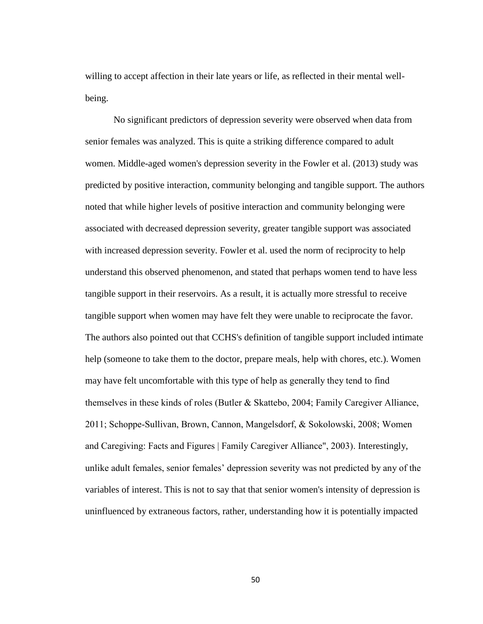willing to accept affection in their late years or life, as reflected in their mental wellbeing.

No significant predictors of depression severity were observed when data from senior females was analyzed. This is quite a striking difference compared to adult women. Middle-aged women's depression severity in the Fowler et al. (2013) study was predicted by positive interaction, community belonging and tangible support. The authors noted that while higher levels of positive interaction and community belonging were associated with decreased depression severity, greater tangible support was associated with increased depression severity. Fowler et al. used the norm of reciprocity to help understand this observed phenomenon, and stated that perhaps women tend to have less tangible support in their reservoirs. As a result, it is actually more stressful to receive tangible support when women may have felt they were unable to reciprocate the favor. The authors also pointed out that CCHS's definition of tangible support included intimate help (someone to take them to the doctor, prepare meals, help with chores, etc.). Women may have felt uncomfortable with this type of help as generally they tend to find themselves in these kinds of roles (Butler & Skattebo, 2004; Family Caregiver Alliance, 2011; Schoppe-Sullivan, Brown, Cannon, Mangelsdorf, & Sokolowski, 2008; Women and Caregiving: Facts and Figures | Family Caregiver Alliance", 2003). Interestingly, unlike adult females, senior females' depression severity was not predicted by any of the variables of interest. This is not to say that that senior women's intensity of depression is uninfluenced by extraneous factors, rather, understanding how it is potentially impacted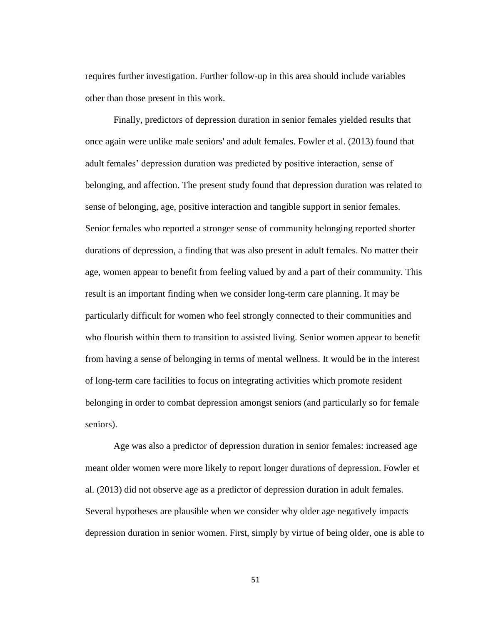requires further investigation. Further follow-up in this area should include variables other than those present in this work.

Finally, predictors of depression duration in senior females yielded results that once again were unlike male seniors' and adult females. Fowler et al. (2013) found that adult females' depression duration was predicted by positive interaction, sense of belonging, and affection. The present study found that depression duration was related to sense of belonging, age, positive interaction and tangible support in senior females. Senior females who reported a stronger sense of community belonging reported shorter durations of depression, a finding that was also present in adult females. No matter their age, women appear to benefit from feeling valued by and a part of their community. This result is an important finding when we consider long-term care planning. It may be particularly difficult for women who feel strongly connected to their communities and who flourish within them to transition to assisted living. Senior women appear to benefit from having a sense of belonging in terms of mental wellness. It would be in the interest of long-term care facilities to focus on integrating activities which promote resident belonging in order to combat depression amongst seniors (and particularly so for female seniors).

Age was also a predictor of depression duration in senior females: increased age meant older women were more likely to report longer durations of depression. Fowler et al. (2013) did not observe age as a predictor of depression duration in adult females. Several hypotheses are plausible when we consider why older age negatively impacts depression duration in senior women. First, simply by virtue of being older, one is able to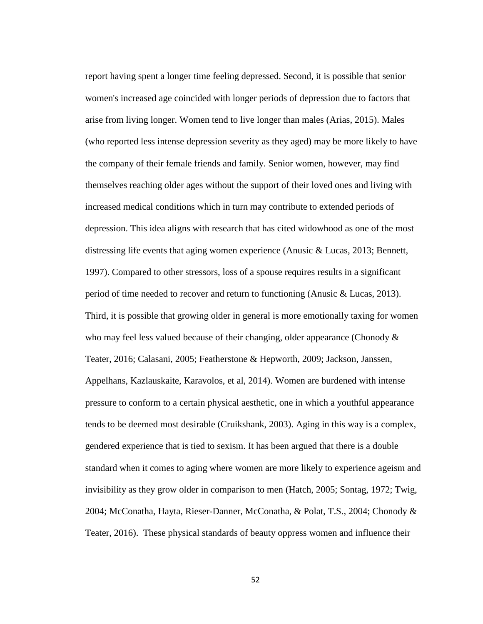report having spent a longer time feeling depressed. Second, it is possible that senior women's increased age coincided with longer periods of depression due to factors that arise from living longer. Women tend to live longer than males (Arias, 2015). Males (who reported less intense depression severity as they aged) may be more likely to have the company of their female friends and family. Senior women, however, may find themselves reaching older ages without the support of their loved ones and living with increased medical conditions which in turn may contribute to extended periods of depression. This idea aligns with research that has cited widowhood as one of the most distressing life events that aging women experience (Anusic & Lucas, 2013; Bennett, 1997). Compared to other stressors, loss of a spouse requires results in a significant period of time needed to recover and return to functioning (Anusic & Lucas, 2013). Third, it is possible that growing older in general is more emotionally taxing for women who may feel less valued because of their changing, older appearance (Chonody & Teater, 2016; Calasani, 2005; Featherstone & Hepworth, 2009; Jackson, Janssen, Appelhans, Kazlauskaite, Karavolos, et al, 2014). Women are burdened with intense pressure to conform to a certain physical aesthetic, one in which a youthful appearance tends to be deemed most desirable (Cruikshank, 2003). Aging in this way is a complex, gendered experience that is tied to sexism. It has been argued that there is a double standard when it comes to aging where women are more likely to experience ageism and invisibility as they grow older in comparison to men (Hatch, 2005; Sontag, 1972; Twig, 2004; McConatha, Hayta, Rieser-Danner, McConatha, & Polat, T.S., 2004; Chonody & Teater, 2016). These physical standards of beauty oppress women and influence their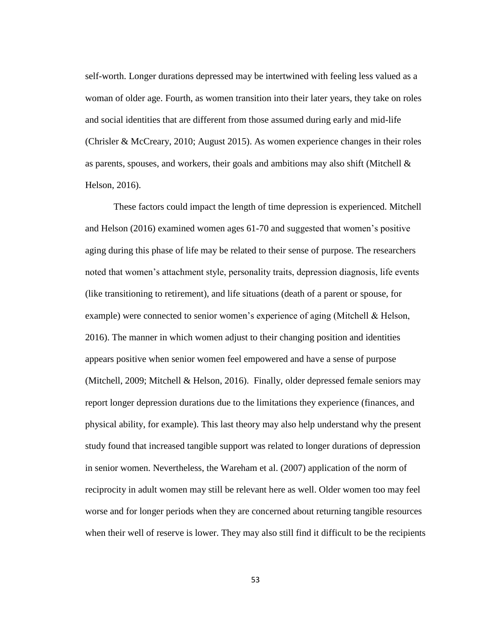self-worth. Longer durations depressed may be intertwined with feeling less valued as a woman of older age. Fourth, as women transition into their later years, they take on roles and social identities that are different from those assumed during early and mid-life (Chrisler & McCreary, 2010; August 2015). As women experience changes in their roles as parents, spouses, and workers, their goals and ambitions may also shift (Mitchell  $\&$ Helson, 2016).

These factors could impact the length of time depression is experienced. Mitchell and Helson (2016) examined women ages 61-70 and suggested that women's positive aging during this phase of life may be related to their sense of purpose. The researchers noted that women's attachment style, personality traits, depression diagnosis, life events (like transitioning to retirement), and life situations (death of a parent or spouse, for example) were connected to senior women's experience of aging (Mitchell & Helson, 2016). The manner in which women adjust to their changing position and identities appears positive when senior women feel empowered and have a sense of purpose (Mitchell, 2009; Mitchell & Helson, 2016). Finally, older depressed female seniors may report longer depression durations due to the limitations they experience (finances, and physical ability, for example). This last theory may also help understand why the present study found that increased tangible support was related to longer durations of depression in senior women. Nevertheless, the Wareham et al. (2007) application of the norm of reciprocity in adult women may still be relevant here as well. Older women too may feel worse and for longer periods when they are concerned about returning tangible resources when their well of reserve is lower. They may also still find it difficult to be the recipients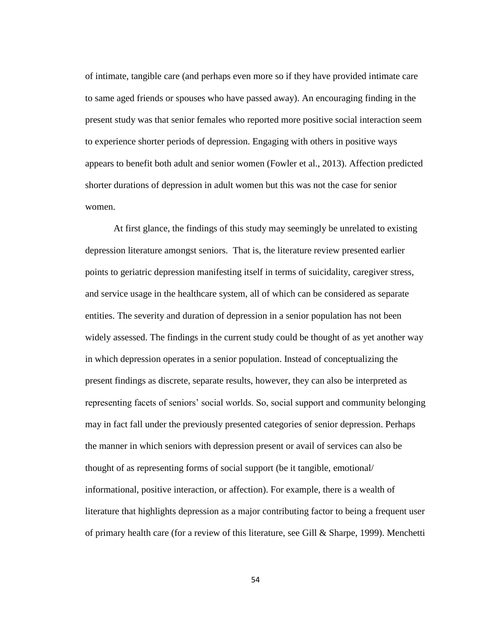of intimate, tangible care (and perhaps even more so if they have provided intimate care to same aged friends or spouses who have passed away). An encouraging finding in the present study was that senior females who reported more positive social interaction seem to experience shorter periods of depression. Engaging with others in positive ways appears to benefit both adult and senior women (Fowler et al., 2013). Affection predicted shorter durations of depression in adult women but this was not the case for senior women.

At first glance, the findings of this study may seemingly be unrelated to existing depression literature amongst seniors. That is, the literature review presented earlier points to geriatric depression manifesting itself in terms of suicidality, caregiver stress, and service usage in the healthcare system, all of which can be considered as separate entities. The severity and duration of depression in a senior population has not been widely assessed. The findings in the current study could be thought of as yet another way in which depression operates in a senior population. Instead of conceptualizing the present findings as discrete, separate results, however, they can also be interpreted as representing facets of seniors' social worlds. So, social support and community belonging may in fact fall under the previously presented categories of senior depression. Perhaps the manner in which seniors with depression present or avail of services can also be thought of as representing forms of social support (be it tangible, emotional/ informational, positive interaction, or affection). For example, there is a wealth of literature that highlights depression as a major contributing factor to being a frequent user of primary health care (for a review of this literature, see Gill & Sharpe, 1999). Menchetti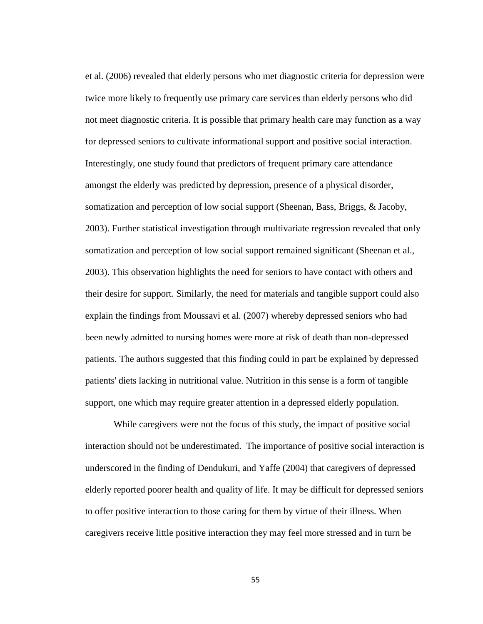et al. (2006) revealed that elderly persons who met diagnostic criteria for depression were twice more likely to frequently use primary care services than elderly persons who did not meet diagnostic criteria. It is possible that primary health care may function as a way for depressed seniors to cultivate informational support and positive social interaction. Interestingly, one study found that predictors of frequent primary care attendance amongst the elderly was predicted by depression, presence of a physical disorder, somatization and perception of low social support (Sheenan, Bass, Briggs, & Jacoby, 2003). Further statistical investigation through multivariate regression revealed that only somatization and perception of low social support remained significant (Sheenan et al., 2003). This observation highlights the need for seniors to have contact with others and their desire for support. Similarly, the need for materials and tangible support could also explain the findings from Moussavi et al. (2007) whereby depressed seniors who had been newly admitted to nursing homes were more at risk of death than non-depressed patients. The authors suggested that this finding could in part be explained by depressed patients' diets lacking in nutritional value. Nutrition in this sense is a form of tangible support, one which may require greater attention in a depressed elderly population.

While caregivers were not the focus of this study, the impact of positive social interaction should not be underestimated. The importance of positive social interaction is underscored in the finding of Dendukuri, and Yaffe (2004) that caregivers of depressed elderly reported poorer health and quality of life. It may be difficult for depressed seniors to offer positive interaction to those caring for them by virtue of their illness. When caregivers receive little positive interaction they may feel more stressed and in turn be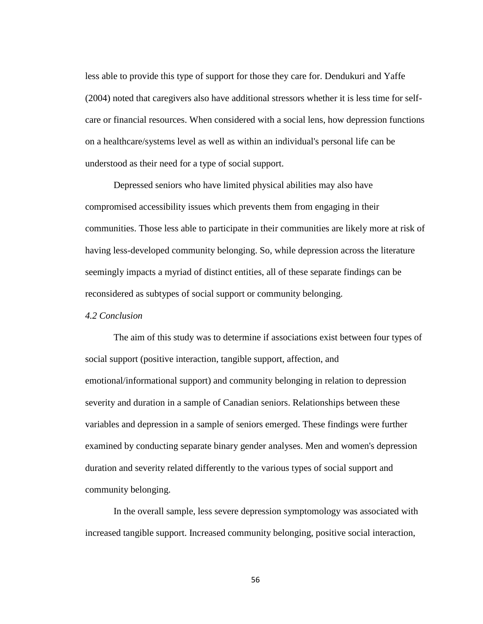less able to provide this type of support for those they care for. Dendukuri and Yaffe (2004) noted that caregivers also have additional stressors whether it is less time for selfcare or financial resources. When considered with a social lens, how depression functions on a healthcare/systems level as well as within an individual's personal life can be understood as their need for a type of social support.

Depressed seniors who have limited physical abilities may also have compromised accessibility issues which prevents them from engaging in their communities. Those less able to participate in their communities are likely more at risk of having less-developed community belonging. So, while depression across the literature seemingly impacts a myriad of distinct entities, all of these separate findings can be reconsidered as subtypes of social support or community belonging.

## *4.2 Conclusion*

The aim of this study was to determine if associations exist between four types of social support (positive interaction, tangible support, affection, and emotional/informational support) and community belonging in relation to depression severity and duration in a sample of Canadian seniors. Relationships between these variables and depression in a sample of seniors emerged. These findings were further examined by conducting separate binary gender analyses. Men and women's depression duration and severity related differently to the various types of social support and community belonging.

In the overall sample, less severe depression symptomology was associated with increased tangible support. Increased community belonging, positive social interaction,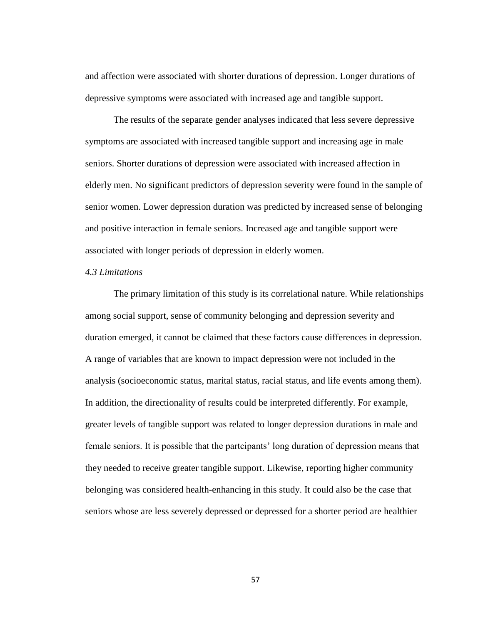and affection were associated with shorter durations of depression. Longer durations of depressive symptoms were associated with increased age and tangible support.

The results of the separate gender analyses indicated that less severe depressive symptoms are associated with increased tangible support and increasing age in male seniors. Shorter durations of depression were associated with increased affection in elderly men. No significant predictors of depression severity were found in the sample of senior women. Lower depression duration was predicted by increased sense of belonging and positive interaction in female seniors. Increased age and tangible support were associated with longer periods of depression in elderly women.

## *4.3 Limitations*

The primary limitation of this study is its correlational nature. While relationships among social support, sense of community belonging and depression severity and duration emerged, it cannot be claimed that these factors cause differences in depression. A range of variables that are known to impact depression were not included in the analysis (socioeconomic status, marital status, racial status, and life events among them). In addition, the directionality of results could be interpreted differently. For example, greater levels of tangible support was related to longer depression durations in male and female seniors. It is possible that the partcipants' long duration of depression means that they needed to receive greater tangible support. Likewise, reporting higher community belonging was considered health-enhancing in this study. It could also be the case that seniors whose are less severely depressed or depressed for a shorter period are healthier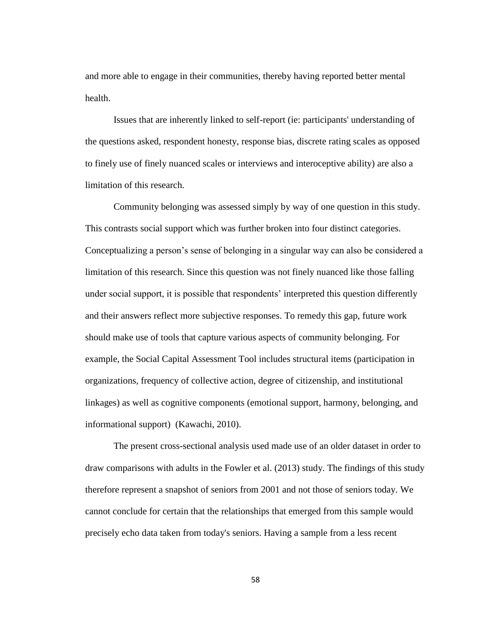and more able to engage in their communities, thereby having reported better mental health.

Issues that are inherently linked to self-report (ie: participants' understanding of the questions asked, respondent honesty, response bias, discrete rating scales as opposed to finely use of finely nuanced scales or interviews and interoceptive ability) are also a limitation of this research.

Community belonging was assessed simply by way of one question in this study. This contrasts social support which was further broken into four distinct categories. Conceptualizing a person's sense of belonging in a singular way can also be considered a limitation of this research. Since this question was not finely nuanced like those falling under social support, it is possible that respondents' interpreted this question differently and their answers reflect more subjective responses. To remedy this gap, future work should make use of tools that capture various aspects of community belonging. For example, the Social Capital Assessment Tool includes structural items (participation in organizations, frequency of collective action, degree of citizenship, and institutional linkages) as well as cognitive components (emotional support, harmony, belonging, and informational support) (Kawachi, 2010).

The present cross-sectional analysis used made use of an older dataset in order to draw comparisons with adults in the Fowler et al. (2013) study. The findings of this study therefore represent a snapshot of seniors from 2001 and not those of seniors today. We cannot conclude for certain that the relationships that emerged from this sample would precisely echo data taken from today's seniors. Having a sample from a less recent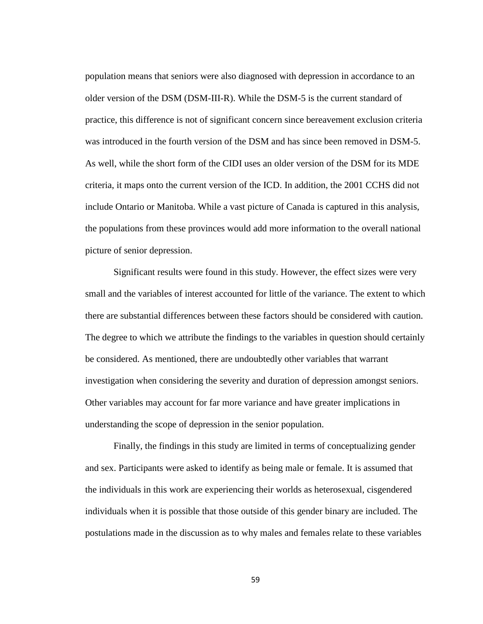population means that seniors were also diagnosed with depression in accordance to an older version of the DSM (DSM-III-R). While the DSM-5 is the current standard of practice, this difference is not of significant concern since bereavement exclusion criteria was introduced in the fourth version of the DSM and has since been removed in DSM-5. As well, while the short form of the CIDI uses an older version of the DSM for its MDE criteria, it maps onto the current version of the ICD. In addition, the 2001 CCHS did not include Ontario or Manitoba. While a vast picture of Canada is captured in this analysis, the populations from these provinces would add more information to the overall national picture of senior depression.

Significant results were found in this study. However, the effect sizes were very small and the variables of interest accounted for little of the variance. The extent to which there are substantial differences between these factors should be considered with caution. The degree to which we attribute the findings to the variables in question should certainly be considered. As mentioned, there are undoubtedly other variables that warrant investigation when considering the severity and duration of depression amongst seniors. Other variables may account for far more variance and have greater implications in understanding the scope of depression in the senior population.

Finally, the findings in this study are limited in terms of conceptualizing gender and sex. Participants were asked to identify as being male or female. It is assumed that the individuals in this work are experiencing their worlds as heterosexual, cisgendered individuals when it is possible that those outside of this gender binary are included. The postulations made in the discussion as to why males and females relate to these variables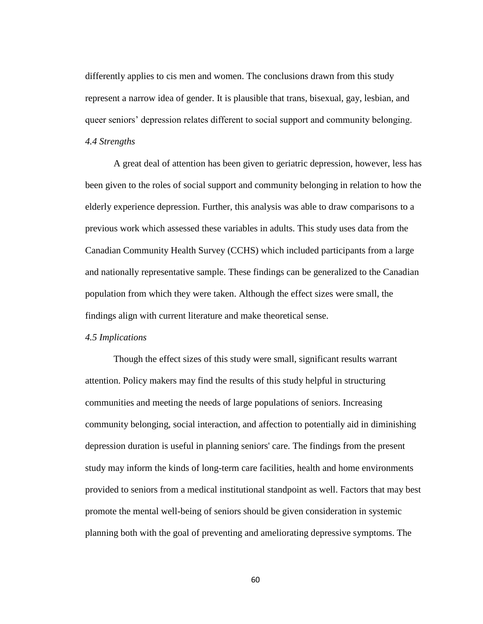differently applies to cis men and women. The conclusions drawn from this study represent a narrow idea of gender. It is plausible that trans, bisexual, gay, lesbian, and queer seniors' depression relates different to social support and community belonging. *4.4 Strengths*

A great deal of attention has been given to geriatric depression, however, less has been given to the roles of social support and community belonging in relation to how the elderly experience depression. Further, this analysis was able to draw comparisons to a previous work which assessed these variables in adults. This study uses data from the Canadian Community Health Survey (CCHS) which included participants from a large and nationally representative sample. These findings can be generalized to the Canadian population from which they were taken. Although the effect sizes were small, the findings align with current literature and make theoretical sense.

# *4.5 Implications*

Though the effect sizes of this study were small, significant results warrant attention. Policy makers may find the results of this study helpful in structuring communities and meeting the needs of large populations of seniors. Increasing community belonging, social interaction, and affection to potentially aid in diminishing depression duration is useful in planning seniors' care. The findings from the present study may inform the kinds of long-term care facilities, health and home environments provided to seniors from a medical institutional standpoint as well. Factors that may best promote the mental well-being of seniors should be given consideration in systemic planning both with the goal of preventing and ameliorating depressive symptoms. The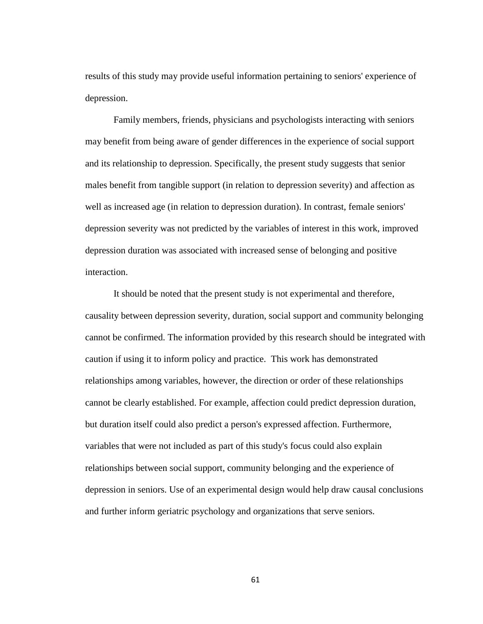results of this study may provide useful information pertaining to seniors' experience of depression.

Family members, friends, physicians and psychologists interacting with seniors may benefit from being aware of gender differences in the experience of social support and its relationship to depression. Specifically, the present study suggests that senior males benefit from tangible support (in relation to depression severity) and affection as well as increased age (in relation to depression duration). In contrast, female seniors' depression severity was not predicted by the variables of interest in this work, improved depression duration was associated with increased sense of belonging and positive interaction.

It should be noted that the present study is not experimental and therefore, causality between depression severity, duration, social support and community belonging cannot be confirmed. The information provided by this research should be integrated with caution if using it to inform policy and practice. This work has demonstrated relationships among variables, however, the direction or order of these relationships cannot be clearly established. For example, affection could predict depression duration, but duration itself could also predict a person's expressed affection. Furthermore, variables that were not included as part of this study's focus could also explain relationships between social support, community belonging and the experience of depression in seniors. Use of an experimental design would help draw causal conclusions and further inform geriatric psychology and organizations that serve seniors.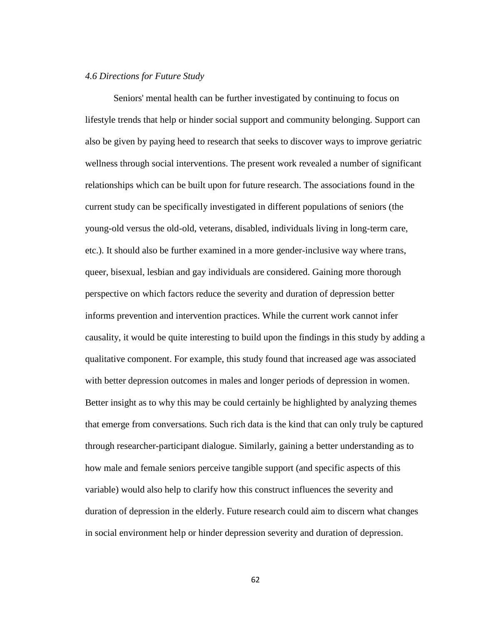## *4.6 Directions for Future Study*

Seniors' mental health can be further investigated by continuing to focus on lifestyle trends that help or hinder social support and community belonging. Support can also be given by paying heed to research that seeks to discover ways to improve geriatric wellness through social interventions. The present work revealed a number of significant relationships which can be built upon for future research. The associations found in the current study can be specifically investigated in different populations of seniors (the young-old versus the old-old, veterans, disabled, individuals living in long-term care, etc.). It should also be further examined in a more gender-inclusive way where trans, queer, bisexual, lesbian and gay individuals are considered. Gaining more thorough perspective on which factors reduce the severity and duration of depression better informs prevention and intervention practices. While the current work cannot infer causality, it would be quite interesting to build upon the findings in this study by adding a qualitative component. For example, this study found that increased age was associated with better depression outcomes in males and longer periods of depression in women. Better insight as to why this may be could certainly be highlighted by analyzing themes that emerge from conversations. Such rich data is the kind that can only truly be captured through researcher-participant dialogue. Similarly, gaining a better understanding as to how male and female seniors perceive tangible support (and specific aspects of this variable) would also help to clarify how this construct influences the severity and duration of depression in the elderly. Future research could aim to discern what changes in social environment help or hinder depression severity and duration of depression.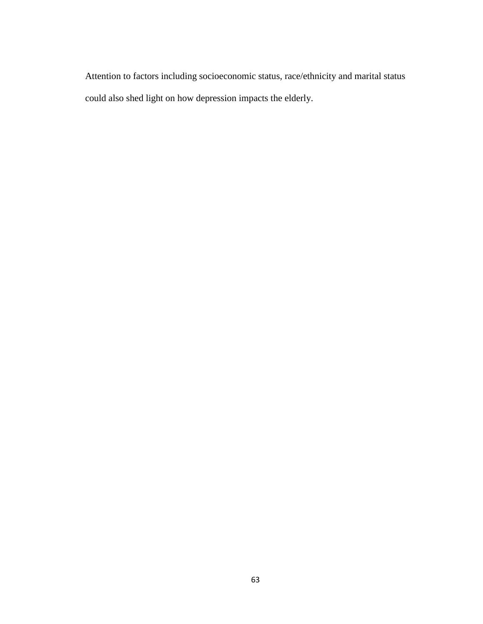Attention to factors including socioeconomic status, race/ethnicity and marital status could also shed light on how depression impacts the elderly.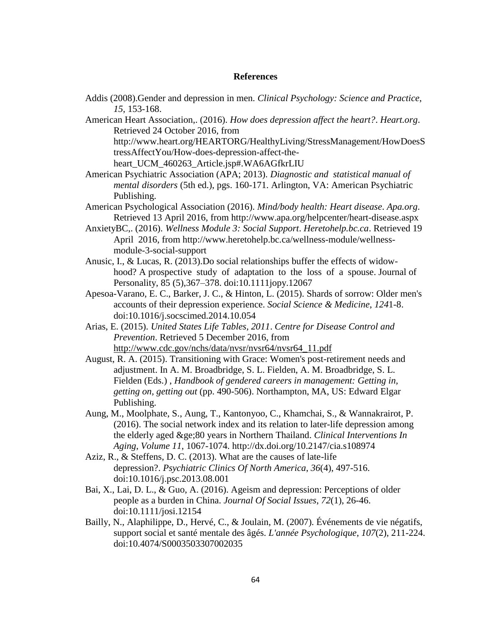## **References**

Addis (2008).Gender and depression in men. *Clinical Psychology: Science and Practice*, *15*, 153-168.

American Heart Association,. (2016). *How does depression affect the heart?*. *Heart.org*. Retrieved 24 October 2016, from http://www.heart.org/HEARTORG/HealthyLiving/StressManagement/HowDoesS tressAffectYou/How-does-depression-affect-the-

heart\_UCM\_460263\_Article.jsp#.WA6AGfkrLIU

- American Psychiatric Association (APA; 2013). *Diagnostic and statistical manual of mental disorders* (5th ed.), pgs. 160-171. Arlington, VA: American Psychiatric Publishing.
- American Psychological Association (2016). *Mind/body health: Heart disease*. *Apa.org*. Retrieved 13 April 2016, from http://www.apa.org/helpcenter/heart-disease.aspx
- AnxietyBC,. (2016). *Wellness Module 3: Social Support*. *Heretohelp.bc.ca*. Retrieved 19 April 2016, from http://www.heretohelp.bc.ca/wellness-module/wellnessmodule-3-social-support
- Anusic, I., & Lucas, R. (2013).Do social relationships buffer the effects of widowhood? A prospective study of adaptation to the loss of a spouse. Journal of Personality, 85 (5),367–378. doi:10.1111jopy.12067
- Apesoa-Varano, E. C., Barker, J. C., & Hinton, L. (2015). Shards of sorrow: Older men's accounts of their depression experience. *Social Science & Medicine*, *124*1-8. doi:10.1016/j.socscimed.2014.10.054
- Arias, E. (2015). *United States Life Tables, 2011*. *Centre for Disease Control and Prevention*. Retrieved 5 December 2016, from [http://www.cdc.gov/nchs/data/nvsr/nvsr64/nvsr64\\_11.pdf](http://www.cdc.gov/nchs/data/nvsr/nvsr64/nvsr64_11.pdf)
- August, R. A. (2015). Transitioning with Grace: Women's post-retirement needs and adjustment. In A. M. Broadbridge, S. L. Fielden, A. M. Broadbridge, S. L. Fielden (Eds.) , *Handbook of gendered careers in management: Getting in, getting on, getting out* (pp. 490-506). Northampton, MA, US: Edward Elgar Publishing.
- Aung, M., Moolphate, S., Aung, T., Kantonyoo, C., Khamchai, S., & Wannakrairot, P. (2016). The social network index and its relation to later-life depression among the elderly aged ≥80 years in Northern Thailand. *Clinical Interventions In Aging*, *Volume 11*, 1067-1074. http://dx.doi.org/10.2147/cia.s108974
- Aziz, R., & Steffens, D. C. (2013). What are the causes of late-life depression?. *Psychiatric Clinics Of North America*, *36*(4), 497-516. doi:10.1016/j.psc.2013.08.001
- Bai, X., Lai, D. L., & Guo, A. (2016). Ageism and depression: Perceptions of older people as a burden in China. *Journal Of Social Issues*, *72*(1), 26-46. doi:10.1111/josi.12154
- Bailly, N., Alaphilippe, D., Hervé, C., & Joulain, M. (2007). Événements de vie négatifs, support social et santé mentale des âgés. *L'année Psychologique*, *107*(2), 211-224. doi:10.4074/S0003503307002035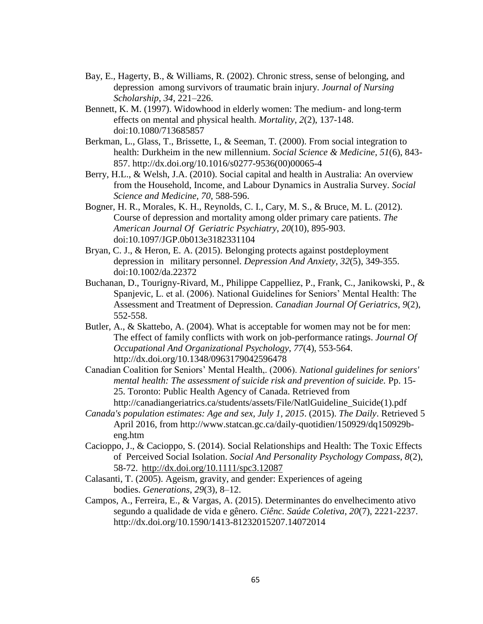- Bay, E., Hagerty, B., & Williams, R. (2002). Chronic stress, sense of belonging, and depression among survivors of traumatic brain injury. *Journal of Nursing Scholarship*, *34*, 221–226.
- Bennett, K. M. (1997). Widowhood in elderly women: The medium- and long-term effects on mental and physical health. *Mortality*, *2*(2), 137-148. doi:10.1080/713685857
- Berkman, L., Glass, T., Brissette, I., & Seeman, T. (2000). From social integration to health: Durkheim in the new millennium. *Social Science & Medicine*, *51*(6), 843- 857. http://dx.doi.org/10.1016/s0277-9536(00)00065-4
- Berry, H.L., & Welsh, J.A. (2010). Social capital and health in Australia: An overview from the Household, Income, and Labour Dynamics in Australia Survey. *Social Science and Medicine, 70,* 588-596.
- Bogner, H. R., Morales, K. H., Reynolds, C. I., Cary, M. S., & Bruce, M. L. (2012). Course of depression and mortality among older primary care patients. *The American Journal Of Geriatric Psychiatry*, *20*(10), 895-903. doi:10.1097/JGP.0b013e3182331104
- Bryan, C. J., & Heron, E. A. (2015). Belonging protects against postdeployment depression in military personnel. *Depression And Anxiety*, *32*(5), 349-355. doi:10.1002/da.22372
- Buchanan, D., Tourigny-Rivard, M., Philippe Cappelliez, P., Frank, C., Janikowski, P., & Spanjevic, L. et al. (2006). National Guidelines for Seniors' Mental Health: The Assessment and Treatment of Depression. *Canadian Journal Of Geriatrics*, *9*(2), 552-558.
- Butler, A., & Skattebo, A. (2004). What is acceptable for women may not be for men: The effect of family conflicts with work on job-performance ratings. *Journal Of Occupational And Organizational Psychology*, *77*(4), 553-564. http://dx.doi.org/10.1348/0963179042596478
- Canadian Coalition for Seniors' Mental Health,. (2006). *National guidelines for seniors' mental health: The assessment of suicide risk and prevention of suicide.* Pp. 15-25. Toronto: Public Health Agency of Canada. Retrieved from http://canadiangeriatrics.ca/students/assets/File/NatlGuideline\_Suicide(1).pdf
- *Canada's population estimates: Age and sex, July 1, 2015*. (2015). *The Daily*. Retrieved 5 April 2016, from http://www.statcan.gc.ca/daily-quotidien/150929/dq150929beng.htm
- Cacioppo, J., & Cacioppo, S. (2014). Social Relationships and Health: The Toxic Effects of Perceived Social Isolation. *Social And Personality Psychology Compass*, *8*(2), 58-72. <http://dx.doi.org/10.1111/spc3.12087>
- Calasanti, T. (2005). Ageism, gravity, and gender: Experiences of ageing bodies. *Generations*, *29*(3), 8–12.
- Campos, A., Ferreira, E., & Vargas, A. (2015). Determinantes do envelhecimento ativo segundo a qualidade de vida e gênero. *Ciênc. Saúde Coletiva*, *20*(7), 2221-2237. http://dx.doi.org/10.1590/1413-81232015207.14072014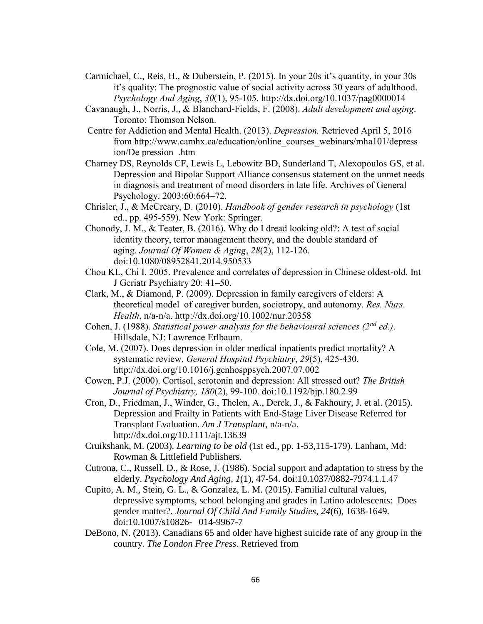- Carmichael, C., Reis, H., & Duberstein, P. (2015). In your 20s it's quantity, in your 30s it's quality: The prognostic value of social activity across 30 years of adulthood. *Psychology And Aging*, *30*(1), 95-105. http://dx.doi.org/10.1037/pag0000014
- Cavanaugh, J., Norris, J., & Blanchard-Fields, F. (2008). *Adult development and aging*. Toronto: Thomson Nelson.
- Centre for Addiction and Mental Health. (2013). *Depression.* Retrieved April 5, 2016 from http://www.camhx.ca/education/online\_courses\_webinars/mha101/depress ion/De pression\_.htm
- Charney DS, Reynolds CF, Lewis L, Lebowitz BD, Sunderland T, Alexopoulos GS, et al. Depression and Bipolar Support Alliance consensus statement on the unmet needs in diagnosis and treatment of mood disorders in late life. Archives of General Psychology. 2003;60:664–72.
- Chrisler, J., & McCreary, D. (2010). *Handbook of gender research in psychology* (1st ed., pp. 495-559). New York: Springer.
- Chonody, J. M., & Teater, B. (2016). Why do I dread looking old?: A test of social identity theory, terror management theory, and the double standard of aging. *Journal Of Women & Aging*, *28*(2), 112-126. doi:10.1080/08952841.2014.950533
- Chou KL, Chi I. 2005. Prevalence and correlates of depression in Chinese oldest-old. Int J Geriatr Psychiatry 20: 41–50.
- Clark, M., & Diamond, P. (2009). Depression in family caregivers of elders: A theoretical model of caregiver burden, sociotropy, and autonomy. *Res. Nurs. Health*, n/a-n/a.<http://dx.doi.org/10.1002/nur.20358>
- Cohen, J. (1988). *Statistical power analysis for the behavioural sciences (2nd ed.)*. Hillsdale, NJ: Lawrence Erlbaum.
- Cole, M. (2007). Does depression in older medical inpatients predict mortality? A systematic review. *General Hospital Psychiatry*, *29*(5), 425-430. http://dx.doi.org/10.1016/j.genhosppsych.2007.07.002
- Cowen, P.J. (2000). Cortisol, serotonin and depression: All stressed out? *The British Journal of Psychiatry, 180*(2), 99-100. doi:10.1192/bjp.180.2.99
- Cron, D., Friedman, J., Winder, G., Thelen, A., Derck, J., & Fakhoury, J. et al. (2015). Depression and Frailty in Patients with End-Stage Liver Disease Referred for Transplant Evaluation. *Am J Transplant*, n/a-n/a. http://dx.doi.org/10.1111/ajt.13639
- Cruikshank, M. (2003). *Learning to be old* (1st ed., pp. 1-53,115-179). Lanham, Md: Rowman & Littlefield Publishers.
- Cutrona, C., Russell, D., & Rose, J. (1986). Social support and adaptation to stress by the elderly. *Psychology And Aging*, *1*(1), 47-54. doi:10.1037/0882-7974.1.1.47
- Cupito, A. M., Stein, G. L., & Gonzalez, L. M. (2015). Familial cultural values, depressive symptoms, school belonging and grades in Latino adolescents: Does gender matter?. *Journal Of Child And Family Studies*, *24*(6), 1638-1649. doi:10.1007/s10826- 014-9967-7
- DeBono, N. (2013). Canadians 65 and older have highest suicide rate of any group in the country. *The London Free Press*. Retrieved from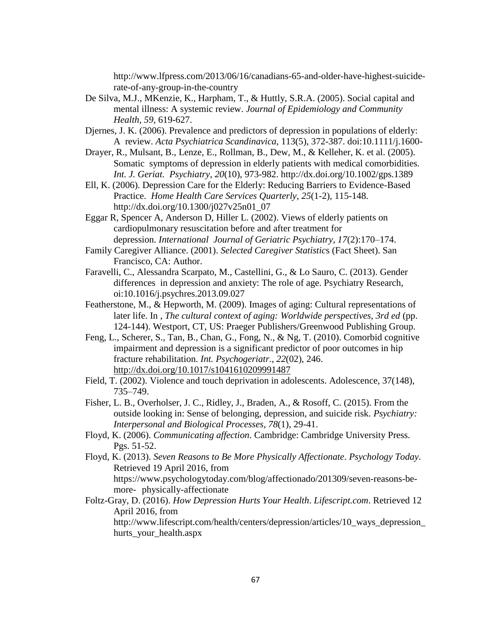http://www.lfpress.com/2013/06/16/canadians-65-and-older-have-highest-suiciderate-of-any-group-in-the-country

- De Silva, M.J., MKenzie, K., Harpham, T., & Huttly, S.R.A. (2005). Social capital and mental illness: A systemic review. *Journal of Epidemiology and Community Health, 59*, 619-627.
- Djernes, J. K. (2006). Prevalence and predictors of depression in populations of elderly: A review. *Acta Psychiatrica Scandinavica*, 113(5), 372-387. doi:10.1111/j.1600-
- Drayer, R., Mulsant, B., Lenze, E., Rollman, B., Dew, M., & Kelleher, K. et al. (2005). Somatic symptoms of depression in elderly patients with medical comorbidities. *Int. J. Geriat. Psychiatry*, *20*(10), 973-982. http://dx.doi.org/10.1002/gps.1389
- Ell, K. (2006). Depression Care for the Elderly: Reducing Barriers to Evidence-Based Practice. *Home Health Care Services Quarterly*, *25*(1-2), 115-148. http://dx.doi.org/10.1300/j027v25n01\_07
- Eggar R, Spencer A, Anderson D, Hiller L. (2002). Views of elderly patients on cardiopulmonary resuscitation before and after treatment for depression. *International Journal of Geriatric Psychiatry, 17*(2):170–174.
- Family Caregiver Alliance. (2001). *Selected Caregiver Statistic*s (Fact Sheet). San Francisco, CA: Author.
- Faravelli, C., Alessandra Scarpato, M., Castellini, G., & Lo Sauro, C. (2013). Gender differences in depression and anxiety: The role of age. Psychiatry Research, oi:10.1016/j.psychres.2013.09.027
- Featherstone, M., & Hepworth, M. (2009). Images of aging: Cultural representations of later life. In , *The cultural context of aging: Worldwide perspectives, 3rd ed* (pp. 124-144). Westport, CT, US: Praeger Publishers/Greenwood Publishing Group.
- Feng, L., Scherer, S., Tan, B., Chan, G., Fong, N., & Ng, T. (2010). Comorbid cognitive impairment and depression is a significant predictor of poor outcomes in hip fracture rehabilitation. *Int. Psychogeriatr.*, *22*(02), 246. <http://dx.doi.org/10.1017/s1041610209991487>
- Field, T. (2002). Violence and touch deprivation in adolescents. Adolescence, 37(148), 735–749.
- Fisher, L. B., Overholser, J. C., Ridley, J., Braden, A., & Rosoff, C. (2015). From the outside looking in: Sense of belonging, depression, and suicide risk. *Psychiatry: Interpersonal and Biological Processes*, *78*(1), 29-41.
- Floyd, K. (2006). *Communicating affection*. Cambridge: Cambridge University Press. Pgs. 51-52.

Floyd, K. (2013). *Seven Reasons to Be More Physically Affectionate*. *Psychology Today*. Retrieved 19 April 2016, from https://www.psychologytoday.com/blog/affectionado/201309/seven-reasons-bemore- physically-affectionate

Foltz-Gray, D. (2016). *How Depression Hurts Your Health*. *Lifescript.com*. Retrieved 12 April 2016, from http://www.lifescript.com/health/centers/depression/articles/10\_ways\_depression\_

hurts\_your\_health.aspx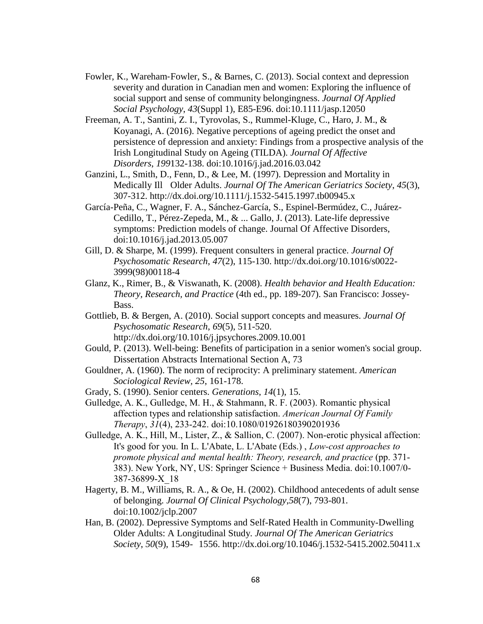- Fowler, K., Wareham‐Fowler, S., & Barnes, C. (2013). Social context and depression severity and duration in Canadian men and women: Exploring the influence of social support and sense of community belongingness. *Journal Of Applied Social Psychology*, *43*(Suppl 1), E85-E96. doi:10.1111/jasp.12050
- Freeman, A. T., Santini, Z. I., Tyrovolas, S., Rummel-Kluge, C., Haro, J. M., & Koyanagi, A. (2016). Negative perceptions of ageing predict the onset and persistence of depression and anxiety: Findings from a prospective analysis of the Irish Longitudinal Study on Ageing (TILDA). *Journal Of Affective Disorders*, *199*132-138. doi:10.1016/j.jad.2016.03.042
- Ganzini, L., Smith, D., Fenn, D., & Lee, M. (1997). Depression and Mortality in Medically Ill Older Adults. *Journal Of The American Geriatrics Society*, *45*(3), 307-312. http://dx.doi.org/10.1111/j.1532-5415.1997.tb00945.x
- García-Peña, C., Wagner, F. A., Sánchez-García, S., Espinel-Bermúdez, C., Juárez-Cedillo, T., Pérez-Zepeda, M., & ... Gallo, J. (2013). Late-life depressive symptoms: Prediction models of change. Journal Of Affective Disorders, doi:10.1016/j.jad.2013.05.007
- Gill, D. & Sharpe, M. (1999). Frequent consulters in general practice. *Journal Of Psychosomatic Research*, *47*(2), 115-130. http://dx.doi.org/10.1016/s0022- 3999(98)00118-4
- Glanz, K., Rimer, B., & Viswanath, K. (2008). *Health behavior and Health Education: Theory, Research, and Practice* (4th ed., pp. 189-207). San Francisco: Jossey-Bass.
- Gottlieb, B. & Bergen, A. (2010). Social support concepts and measures. *Journal Of Psychosomatic Research*, *69*(5), 511-520. http://dx.doi.org/10.1016/j.jpsychores.2009.10.001
- Gould, P. (2013). Well-being: Benefits of participation in a senior women's social group. Dissertation Abstracts International Section A, 73
- Gouldner, A. (1960). The norm of reciprocity: A preliminary statement. *American Sociological Review, 25*, 161-178.
- Grady, S. (1990). Senior centers. *Generations*, *14*(1), 15.
- Gulledge, A. K., Gulledge, M. H., & Stahmann, R. F. (2003). Romantic physical affection types and relationship satisfaction. *American Journal Of Family Therapy*, *31*(4), 233-242. doi:10.1080/01926180390201936
- Gulledge, A. K., Hill, M., Lister, Z., & Sallion, C. (2007). Non-erotic physical affection: It's good for you. In L. L'Abate, L. L'Abate (Eds.) , *Low-cost approaches to promote physical and mental health: Theory, research, and practice* (pp. 371- 383). New York, NY, US: Springer Science + Business Media. doi:10.1007/0- 387-36899-X\_18
- Hagerty, B. M., Williams, R. A., & Oe, H. (2002). Childhood antecedents of adult sense of belonging. *Journal Of Clinical Psychology*,*58*(7), 793-801. doi:10.1002/jclp.2007
- Han, B. (2002). Depressive Symptoms and Self-Rated Health in Community-Dwelling Older Adults: A Longitudinal Study. *Journal Of The American Geriatrics Society*, *50*(9), 1549- 1556. http://dx.doi.org/10.1046/j.1532-5415.2002.50411.x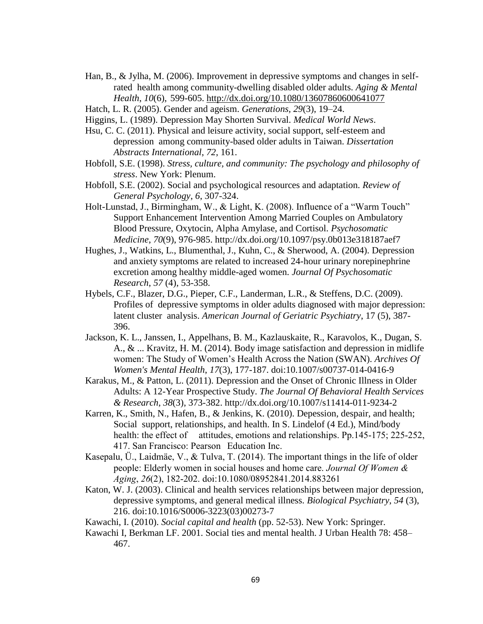- Han, B., & Jylha, M. (2006). Improvement in depressive symptoms and changes in selfrated health among community-dwelling disabled older adults. *Aging & Mental Health*, *10*(6), 599-605.<http://dx.doi.org/10.1080/13607860600641077>
- Hatch, L. R. (2005). Gender and ageism. *Generations, 29*(3), 19–24.
- Higgins, L. (1989). Depression May Shorten Survival. *Medical World News*.
- Hsu, C. C. (2011). Physical and leisure activity, social support, self-esteem and depression among community-based older adults in Taiwan. *Dissertation Abstracts International*, *72*, 161.
- Hobfoll, S.E. (1998). *Stress, culture, and community: The psychology and philosophy of stress*. New York: Plenum.
- Hobfoll, S.E. (2002). Social and psychological resources and adaptation. *Review of General Psychology*, *6*, 307-324.
- Holt-Lunstad, J., Birmingham, W., & Light, K. (2008). Influence of a "Warm Touch" Support Enhancement Intervention Among Married Couples on Ambulatory Blood Pressure, Oxytocin, Alpha Amylase, and Cortisol. *Psychosomatic Medicine*, *70*(9), 976-985. http://dx.doi.org/10.1097/psy.0b013e318187aef7
- Hughes, J., Watkins, L., Blumenthal, J., Kuhn, C., & Sherwood, A. (2004). Depression and anxiety symptoms are related to increased 24-hour urinary norepinephrine excretion among healthy middle-aged women. *Journal Of Psychosomatic Research*, *57* (4), 53-358.
- Hybels, C.F., Blazer, D.G., Pieper, C.F., Landerman, L.R., & Steffens, D.C. (2009). Profiles of depressive symptoms in older adults diagnosed with major depression: latent cluster analysis. *American Journal of Geriatric Psychiatry*, 17 (5), 387- 396.
- Jackson, K. L., Janssen, I., Appelhans, B. M., Kazlauskaite, R., Karavolos, K., Dugan, S. A., & ... Kravitz, H. M. (2014). Body image satisfaction and depression in midlife women: The Study of Women's Health Across the Nation (SWAN). *Archives Of Women's Mental Health*, *17*(3), 177-187. doi:10.1007/s00737-014-0416-9
- Karakus, M., & Patton, L. (2011). Depression and the Onset of Chronic Illness in Older Adults: A 12-Year Prospective Study. *The Journal Of Behavioral Health Services & Research*, *38*(3), 373-382. http://dx.doi.org/10.1007/s11414-011-9234-2
- Karren, K., Smith, N., Hafen, B., & Jenkins, K. (2010). Depession, despair, and health; Social support, relationships, and health. In S. Lindelof (4 Ed.), Mind/body health: the effect of attitudes, emotions and relationships. Pp. 145-175; 225-252, 417. San Francisco: Pearson Education Inc.
- Kasepalu, Ü., Laidmäe, V., & Tulva, T. (2014). The important things in the life of older people: Elderly women in social houses and home care. *Journal Of Women & Aging*, *26*(2), 182-202. doi:10.1080/08952841.2014.883261
- Katon, W. J. (2003). Clinical and health services relationships between major depression, depressive symptoms, and general medical illness. *Biological Psychiatry*, *54* (3), 216. doi:10.1016/S0006-3223(03)00273-7
- Kawachi, I. (2010). *Social capital and health* (pp. 52-53). New York: Springer.
- Kawachi I, Berkman LF. 2001. Social ties and mental health. J Urban Health 78: 458– 467.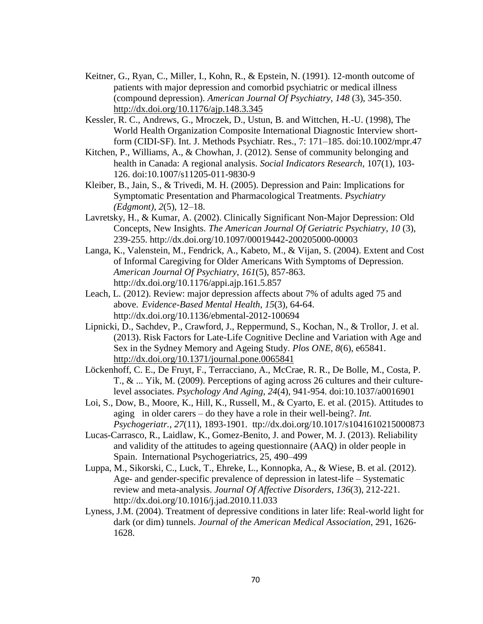- Keitner, G., Ryan, C., Miller, I., Kohn, R., & Epstein, N. (1991). 12-month outcome of patients with major depression and comorbid psychiatric or medical illness (compound depression). *American Journal Of Psychiatry*, *148* (3), 345-350. <http://dx.doi.org/10.1176/ajp.148.3.345>
- Kessler, R. C., Andrews, G., Mroczek, D., Ustun, B. and Wittchen, H.-U. (1998), The World Health Organization Composite International Diagnostic Interview shortform (CIDI-SF). Int. J. Methods Psychiatr. Res., 7: 171–185. doi:10.1002/mpr.47
- Kitchen, P., Williams, A., & Chowhan, J. (2012). Sense of community belonging and health in Canada: A regional analysis. *Social Indicators Research,* 107(1), 103- 126. doi:10.1007/s11205-011-9830-9
- Kleiber, B., Jain, S., & Trivedi, M. H. (2005). Depression and Pain: Implications for Symptomatic Presentation and Pharmacological Treatments. *Psychiatry (Edgmont)*, *2*(5), 12–18.
- Lavretsky, H., & Kumar, A. (2002). Clinically Significant Non-Major Depression: Old Concepts, New Insights. *The American Journal Of Geriatric Psychiatry*, *10* (3), 239-255. http://dx.doi.org/10.1097/00019442-200205000-00003
- Langa, K., Valenstein, M., Fendrick, A., Kabeto, M., & Vijan, S. (2004). Extent and Cost of Informal Caregiving for Older Americans With Symptoms of Depression. *American Journal Of Psychiatry*, *161*(5), 857-863. http://dx.doi.org/10.1176/appi.ajp.161.5.857
- Leach, L. (2012). Review: major depression affects about 7% of adults aged 75 and above. *Evidence-Based Mental Health*, *15*(3), 64-64. http://dx.doi.org/10.1136/ebmental-2012-100694
- Lipnicki, D., Sachdev, P., Crawford, J., Reppermund, S., Kochan, N., & Trollor, J. et al. (2013). Risk Factors for Late-Life Cognitive Decline and Variation with Age and Sex in the Sydney Memory and Ageing Study. *Plos ONE*, *8*(6), e65841. <http://dx.doi.org/10.1371/journal.pone.0065841>
- Löckenhoff, C. E., De Fruyt, F., Terracciano, A., McCrae, R. R., De Bolle, M., Costa, P. T., & ... Yik, M. (2009). Perceptions of aging across 26 cultures and their culturelevel associates. *Psychology And Aging*, *24*(4), 941-954. doi:10.1037/a0016901
- Loi, S., Dow, B., Moore, K., Hill, K., Russell, M., & Cyarto, E. et al. (2015). Attitudes to aging in older carers – do they have a role in their well-being?. *Int. Psychogeriatr.*, *27*(11), 1893-1901. ttp://dx.doi.org/10.1017/s1041610215000873
- Lucas-Carrasco, R., Laidlaw, K., Gomez-Benito, J. and Power, M. J. (2013). Reliability and validity of the attitudes to ageing questionnaire (AAQ) in older people in Spain. International Psychogeriatrics, 25, 490–499
- Luppa, M., Sikorski, C., Luck, T., Ehreke, L., Konnopka, A., & Wiese, B. et al. (2012). Age- and gender-specific prevalence of depression in latest-life – Systematic review and meta-analysis. *Journal Of Affective Disorders*, *136*(3), 212-221. http://dx.doi.org/10.1016/j.jad.2010.11.033
- Lyness, J.M. (2004). Treatment of depressive conditions in later life: Real-world light for dark (or dim) tunnels. *Journal of the American Medical Association*, 291, 1626- 1628.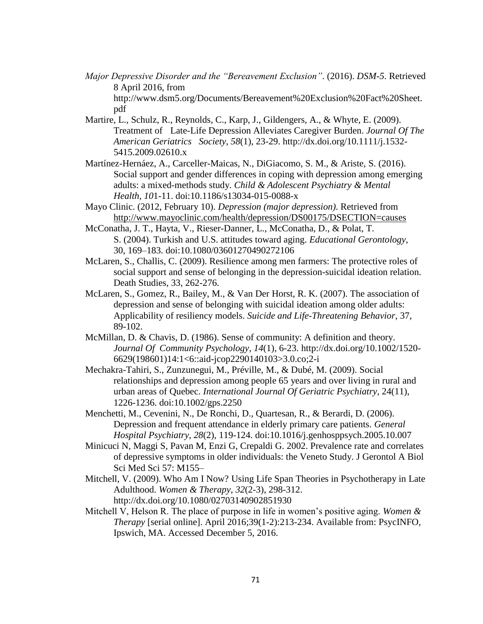- *Major Depressive Disorder and the "Bereavement Exclusion"*. (2016). *DSM-5*. Retrieved 8 April 2016, from http://www.dsm5.org/Documents/Bereavement%20Exclusion%20Fact%20Sheet. pdf
- Martire, L., Schulz, R., Reynolds, C., Karp, J., Gildengers, A., & Whyte, E. (2009). Treatment of Late-Life Depression Alleviates Caregiver Burden. *Journal Of The American Geriatrics Society*, *58*(1), 23-29. http://dx.doi.org/10.1111/j.1532- 5415.2009.02610.x
- Martínez-Hernáez, A., Carceller-Maicas, N., DiGiacomo, S. M., & Ariste, S. (2016). Social support and gender differences in coping with depression among emerging adults: a mixed-methods study. *Child & Adolescent Psychiatry & Mental Health*, *10*1-11. doi:10.1186/s13034-015-0088-x
- Mayo Clinic. (2012, February 10). *Depression (major depression)*. Retrieved from <http://www.mayoclinic.com/health/depression/DS00175/DSECTION=causes>
- McConatha, J. T., Hayta, V., Rieser-Danner, L., McConatha, D., & Polat, T. S. (2004). Turkish and U.S. attitudes toward aging. *Educational Gerontology*, 30, 169–183. doi:10.1080/03601270490272106
- McLaren, S., Challis, C. (2009). Resilience among men farmers: The protective roles of social support and sense of belonging in the depression-suicidal ideation relation. Death Studies, 33, 262-276.
- McLaren, S., Gomez, R., Bailey, M., & Van Der Horst, R. K. (2007). The association of depression and sense of belonging with suicidal ideation among older adults: Applicability of resiliency models. *Suicide and Life-Threatening Behavior*, 37, 89-102.
- McMillan, D. & Chavis, D. (1986). Sense of community: A definition and theory. *Journal Of Community Psychology*, *14*(1), 6-23. http://dx.doi.org/10.1002/1520- 6629(198601)14:1<6::aid-jcop2290140103>3.0.co;2-i
- Mechakra-Tahiri, S., Zunzunegui, M., Préville, M., & Dubé, M. (2009). Social relationships and depression among people 65 years and over living in rural and urban areas of Quebec. *International Journal Of Geriatric Psychiatry*, 24(11), 1226-1236. doi:10.1002/gps.2250
- Menchetti, M., Cevenini, N., De Ronchi, D., Quartesan, R., & Berardi, D. (2006). Depression and frequent attendance in elderly primary care patients. *General Hospital Psychiatry*, *28*(2), 119-124. doi:10.1016/j.genhosppsych.2005.10.007
- Minicuci N, Maggi S, Pavan M, Enzi G, Crepaldi G. 2002. Prevalence rate and correlates of depressive symptoms in older individuals: the Veneto Study. J Gerontol A Biol Sci Med Sci 57: M155–
- Mitchell, V. (2009). Who Am I Now? Using Life Span Theories in Psychotherapy in Late Adulthood. *Women & Therapy*, *32*(2-3), 298-312. http://dx.doi.org/10.1080/02703140902851930
- Mitchell V, Helson R. The place of purpose in life in women's positive aging. *Women & Therapy* [serial online]. April 2016;39(1-2):213-234. Available from: PsycINFO, Ipswich, MA. Accessed December 5, 2016.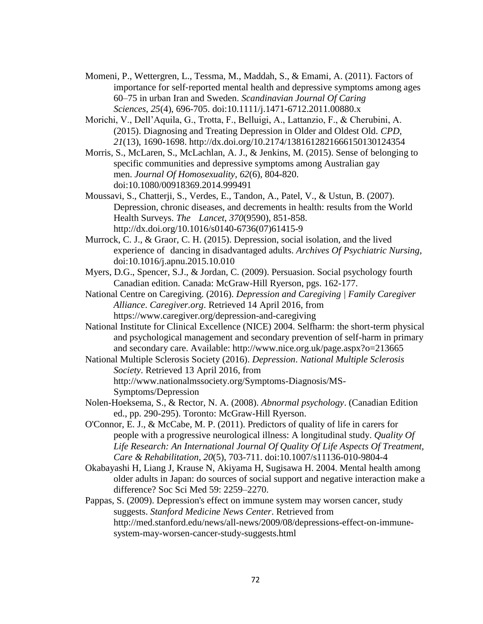- Momeni, P., Wettergren, L., Tessma, M., Maddah, S., & Emami, A. (2011). Factors of importance for self‐reported mental health and depressive symptoms among ages 60–75 in urban Iran and Sweden. *Scandinavian Journal Of Caring Sciences*, *25*(4), 696-705. doi:10.1111/j.1471-6712.2011.00880.x
- Morichi, V., Dell'Aquila, G., Trotta, F., Belluigi, A., Lattanzio, F., & Cherubini, A. (2015). Diagnosing and Treating Depression in Older and Oldest Old. *CPD*, *21*(13), 1690-1698. http://dx.doi.org/10.2174/1381612821666150130124354
- Morris, S., McLaren, S., McLachlan, A. J., & Jenkins, M. (2015). Sense of belonging to specific communities and depressive symptoms among Australian gay men. *Journal Of Homosexuality*, *62*(6), 804-820. doi:10.1080/00918369.2014.999491
- Moussavi, S., Chatterji, S., Verdes, E., Tandon, A., Patel, V., & Ustun, B. (2007). Depression, chronic diseases, and decrements in health: results from the World Health Surveys. *The Lancet*, *370*(9590), 851-858. http://dx.doi.org/10.1016/s0140-6736(07)61415-9
- Murrock, C. J., & Graor, C. H. (2015). Depression, social isolation, and the lived experience of dancing in disadvantaged adults. *Archives Of Psychiatric Nursing*, doi:10.1016/j.apnu.2015.10.010
- Myers, D.G., Spencer, S.J., & Jordan, C. (2009). Persuasion. Social psychology fourth Canadian edition. Canada: McGraw-Hill Ryerson, pgs. 162-177.
- National Centre on Caregiving. (2016). *Depression and Caregiving | Family Caregiver Alliance*. *Caregiver.org*. Retrieved 14 April 2016, from https://www.caregiver.org/depression-and-caregiving
- National Institute for Clinical Excellence (NICE) 2004. Selfharm: the short-term physical and psychological management and secondary prevention of self-harm in primary and secondary care. Available: http://www.nice.org.uk/page.aspx?o=213665
- National Multiple Sclerosis Society (2016). *Depression*. *National Multiple Sclerosis Society*. Retrieved 13 April 2016, from http://www.nationalmssociety.org/Symptoms-Diagnosis/MS-Symptoms/Depression
- Nolen-Hoeksema, S., & Rector, N. A. (2008). *Abnormal psychology*. (Canadian Edition ed., pp. 290-295). Toronto: McGraw-Hill Ryerson.
- O'Connor, E. J., & McCabe, M. P. (2011). Predictors of quality of life in carers for people with a progressive neurological illness: A longitudinal study. *Quality Of Life Research: An International Journal Of Quality Of Life Aspects Of Treatment, Care & Rehabilitation*, *20*(5), 703-711. doi:10.1007/s11136-010-9804-4
- Okabayashi H, Liang J, Krause N, Akiyama H, Sugisawa H. 2004. Mental health among older adults in Japan: do sources of social support and negative interaction make a difference? Soc Sci Med 59: 2259–2270.
- Pappas, S. (2009). Depression's effect on immune system may worsen cancer, study suggests. *Stanford Medicine News Center*. Retrieved from http://med.stanford.edu/news/all-news/2009/08/depressions-effect-on-immunesystem-may-worsen-cancer-study-suggests.html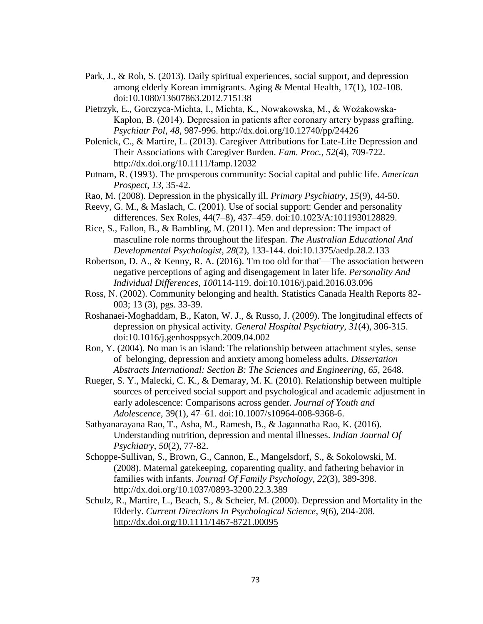- Park, J., & Roh, S. (2013). Daily spiritual experiences, social support, and depression among elderly Korean immigrants. Aging & Mental Health, 17(1), 102-108. doi:10.1080/13607863.2012.715138
- Pietrzyk, E., Gorczyca-Michta, I., Michta, K., Nowakowska, M., & Wożakowska-Kapłon, B. (2014). Depression in patients after coronary artery bypass grafting. *Psychiatr Pol*, *48*, 987-996. http://dx.doi.org/10.12740/pp/24426
- Polenick, C., & Martire, L. (2013). Caregiver Attributions for Late-Life Depression and Their Associations with Caregiver Burden. *Fam. Proc.*, *52*(4), 709-722. http://dx.doi.org/10.1111/famp.12032
- Putnam, R. (1993). The prosperous community: Social capital and public life. *American Prospect*, *13*, 35-42.
- Rao, M. (2008). Depression in the physically ill. *Primary Psychiatry*, *15*(9), 44-50.
- Reevy, G. M., & Maslach, C. (2001). Use of social support: Gender and personality differences. Sex Roles, 44(7–8), 437–459. doi:10.1023/A:1011930128829.
- Rice, S., Fallon, B., & Bambling, M. (2011). Men and depression: The impact of masculine role norms throughout the lifespan. *The Australian Educational And Developmental Psychologist*, *28*(2), 133-144. doi:10.1375/aedp.28.2.133
- Robertson, D. A., & Kenny, R. A. (2016). 'I'm too old for that'—The association between negative perceptions of aging and disengagement in later life. *Personality And Individual Differences*, *100*114-119. doi:10.1016/j.paid.2016.03.096
- Ross, N. (2002). Community belonging and health. Statistics Canada Health Reports 82- 003; 13 (3), pgs. 33-39.
- Roshanaei-Moghaddam, B., Katon, W. J., & Russo, J. (2009). The longitudinal effects of depression on physical activity. *General Hospital Psychiatry*, *31*(4), 306-315. doi:10.1016/j.genhosppsych.2009.04.002
- Ron, Y. (2004). No man is an island: The relationship between attachment styles, sense of belonging, depression and anxiety among homeless adults. *Dissertation Abstracts International: Section B: The Sciences and Engineering*, *65*, 2648.
- Rueger, S. Y., Malecki, C. K., & Demaray, M. K. (2010). Relationship between multiple sources of perceived social support and psychological and academic adjustment in early adolescence: Comparisons across gender. *Journal of Youth and Adolescence*, 39(1), 47–61. doi:10.1007/s10964-008-9368-6.
- Sathyanarayana Rao, T., Asha, M., Ramesh, B., & Jagannatha Rao, K. (2016). Understanding nutrition, depression and mental illnesses. *Indian Journal Of Psychiatry*, *50*(2), 77-82.
- Schoppe-Sullivan, S., Brown, G., Cannon, E., Mangelsdorf, S., & Sokolowski, M. (2008). Maternal gatekeeping, coparenting quality, and fathering behavior in families with infants. *Journal Of Family Psychology*, *22*(3), 389-398. http://dx.doi.org/10.1037/0893-3200.22.3.389
- Schulz, R., Martire, L., Beach, S., & Scheier, M. (2000). Depression and Mortality in the Elderly. *Current Directions In Psychological Science*, *9*(6), 204-208. <http://dx.doi.org/10.1111/1467-8721.00095>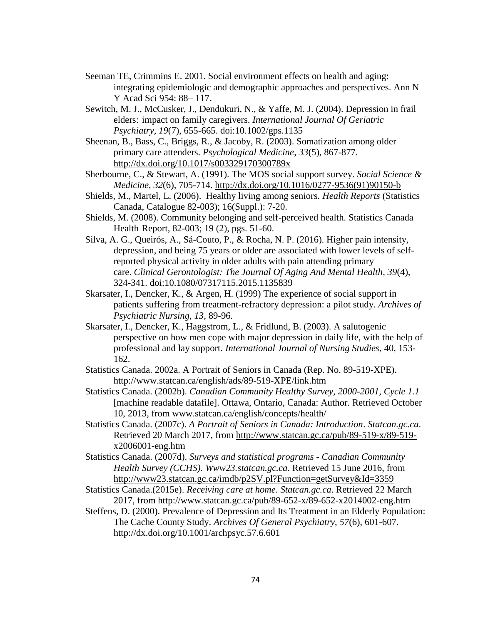- Seeman TE, Crimmins E. 2001. Social environment effects on health and aging: integrating epidemiologic and demographic approaches and perspectives. Ann N Y Acad Sci 954: 88– 117.
- Sewitch, M. J., McCusker, J., Dendukuri, N., & Yaffe, M. J. (2004). Depression in frail elders: impact on family caregivers. *International Journal Of Geriatric Psychiatry*, *19*(7), 655-665. doi:10.1002/gps.1135
- Sheenan, B., Bass, C., Briggs, R., & Jacoby, R. (2003). Somatization among older primary care attenders. *Psychological Medicine*, *33*(5), 867-877. <http://dx.doi.org/10.1017/s003329170300789x>
- Sherbourne, C., & Stewart, A. (1991). The MOS social support survey. *Social Science & Medicine*, *32*(6), 705-714. [http://dx.doi.org/10.1016/0277-9536\(91\)90150-b](http://dx.doi.org/10.1016/0277-9536(91)90150-b)
- Shields, M., Martel, L. (2006). Healthy living among seniors. *Health Reports* (Statistics Canada, Catalogue [82-003\)](http://www.statcan.gc.ca/cgi-bin/af-fdr.cgi?l=eng&loc=/pub/82-003-s/2005000/pdf/9086-eng.pdf&t=Healthy%20living%20among%20seniors); 16(Suppl.): 7-20.
- Shields, M. (2008). Community belonging and self-perceived health. Statistics Canada Health Report, 82-003; 19 (2), pgs. 51-60.
- Silva, A. G., Queirós, A., Sá-Couto, P., & Rocha, N. P. (2016). Higher pain intensity, depression, and being 75 years or older are associated with lower levels of selfreported physical activity in older adults with pain attending primary care. *Clinical Gerontologist: The Journal Of Aging And Mental Health*, *39*(4), 324-341. doi:10.1080/07317115.2015.1135839
- Skarsater, I., Dencker, K., & Argen, H. (1999) The experience of social support in patients suffering from treatment-refractory depression: a pilot study. *Archives of Psychiatric Nursing, 13,* 89-96.
- Skarsater, I., Dencker, K., Haggstrom, L., & Fridlund, B. (2003). A salutogenic perspective on how men cope with major depression in daily life, with the help of professional and lay support. *International Journal of Nursing Studies*, 40*,* 153- 162.
- Statistics Canada. 2002a. A Portrait of Seniors in Canada (Rep. No. 89-519-XPE). http://www.statcan.ca/english/ads/89-519-XPE/link.htm
- Statistics Canada. (2002b). *Canadian Community Healthy Survey, 2000-2001, Cycle 1.1* [machine readable datafile]. Ottawa, Ontario, Canada: Author. Retrieved October 10, 2013, from www.statcan.ca/english/concepts/health/
- Statistics Canada. (2007c). *A Portrait of Seniors in Canada: Introduction*. *Statcan.gc.ca*. Retrieved 20 March 2017, from [http://www.statcan.gc.ca/pub/89-519-x/89-519](http://www.statcan.gc.ca/pub/89-519-x/89-519-) x2006001-eng.htm
- Statistics Canada. (2007d). *Surveys and statistical programs - Canadian Community Health Survey (CCHS)*. *Www23.statcan.gc.ca*. Retrieved 15 June 2016, from <http://www23.statcan.gc.ca/imdb/p2SV.pl?Function=getSurvey&Id=3359>
- Statistics Canada.(2015e). *Receiving care at home*. *Statcan.gc.ca*. Retrieved 22 March 2017, from http://www.statcan.gc.ca/pub/89-652-x/89-652-x2014002-eng.htm
- Steffens, D. (2000). Prevalence of Depression and Its Treatment in an Elderly Population: The Cache County Study. *Archives Of General Psychiatry*, *57*(6), 601-607. http://dx.doi.org/10.1001/archpsyc.57.6.601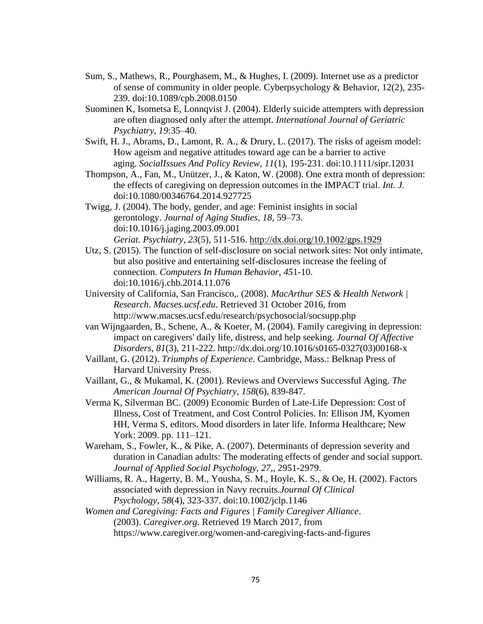- Sum, S., Mathews, R., Pourghasem, M., & Hughes, I. (2009). Internet use as a predictor of sense of community in older people. Cyberpsychology & Behavior, 12(2), 235- 239. doi:10.1089/cpb.2008.0150
- Suominen K, Isometsa E, Lonnqvist J. (2004). Elderly suicide attempters with depression are often diagnosed only after the attempt. *International Journal of Geriatric Psychiatry, 19*:35–40.
- Swift, H. J., Abrams, D., Lamont, R. A., & Drury, L. (2017). The risks of ageism model: How ageism and negative attitudes toward age can be a barrier to active aging. *SocialIssues And Policy Review*, *11*(1), 195-231. doi:10.1111/sipr.12031
- Thompson, A., Fan, M., Unützer, J., & Katon, W. (2008). One extra month of depression: the effects of caregiving on depression outcomes in the IMPACT trial. *Int. J.*  doi:10.1080/00346764.2014.927725
- Twigg, J. (2004). The body, gender, and age: Feminist insights in social gerontology. *Journal of Aging Studies, 18,* 59–73. doi:10.1016/j.jaging.2003.09.001 *Geriat. Psychiatry*, *23*(5), 511-516.<http://dx.doi.org/10.1002/gps.1929>
- Utz, S. (2015). The function of self-disclosure on social network sites: Not only intimate, but also positive and entertaining self-disclosures increase the feeling of connection. *Computers In Human Behavior*, *45*1-10. doi:10.1016/j.chb.2014.11.076
- University of California, San Francisco,. (2008). *MacArthur SES & Health Network | Research*. *Macses.ucsf.edu*. Retrieved 31 October 2016, from http://www.macses.ucsf.edu/research/psychosocial/socsupp.php
- van Wijngaarden, B., Schene, A., & Koeter, M. (2004). Family caregiving in depression: impact on caregivers' daily life, distress, and help seeking. *Journal Of Affective Disorders*, *81*(3), 211-222. http://dx.doi.org/10.1016/s0165-0327(03)00168-x
- Vaillant, G. (2012). *Triumphs of Experience*. Cambridge, Mass.: Belknap Press of Harvard University Press.
- Vaillant, G., & Mukamal, K. (2001). Reviews and Overviews Successful Aging. *The American Journal Of Psychiatry*, *158*(6), 839-847.
- Verma K, Silverman BC. (2009) Economic Burden of Late-Life Depression: Cost of Illness, Cost of Treatment, and Cost Control Policies. In: Ellison JM, Kyomen HH, Verma S, editors. Mood disorders in later life. Informa Healthcare; New York: 2009. pp. 111–121.
- Wareham, S., Fowler, K., & Pike, A. (2007). Determinants of depression severity and duration in Canadian adults: The moderating effects of gender and social support. *Journal of Applied Social Psychology, 27,*, 2951-2979.
- Williams, R. A., Hagerty, B. M., Yousha, S. M., Hoyle, K. S., & Oe, H. (2002). Factors associated with depression in Navy recruits.*Journal Of Clinical Psychology*, *58*(4), 323-337. doi:10.1002/jclp.1146
- *Women and Caregiving: Facts and Figures | Family Caregiver Alliance*. (2003). *Caregiver.org*. Retrieved 19 March 2017, from https://www.caregiver.org/women-and-caregiving-facts-and-figures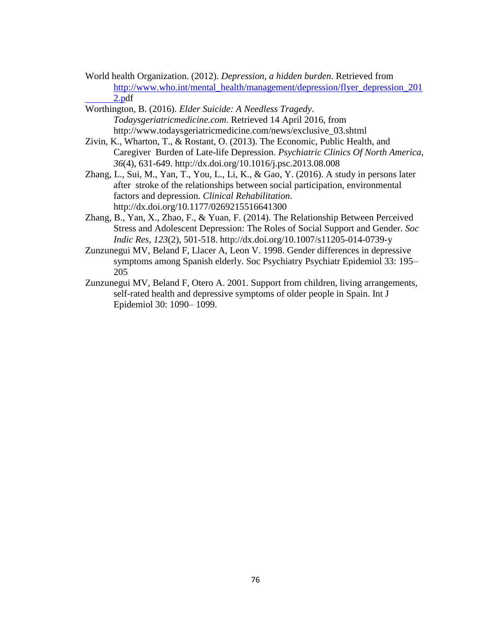- World health Organization. (2012). *Depression, a hidden burden*. Retrieved from [http://www.who.int/mental\\_health/management/depression/flyer\\_depression\\_201](http://www.who.int/mental_health/management/depression/flyer_depression_201%092.p) [2.pd](http://www.who.int/mental_health/management/depression/flyer_depression_201%092.p)f
- Worthington, B. (2016). *Elder Suicide: A Needless Tragedy*. *Todaysgeriatricmedicine.com*. Retrieved 14 April 2016, from http://www.todaysgeriatricmedicine.com/news/exclusive\_03.shtml
- Zivin, K., Wharton, T., & Rostant, O. (2013). The Economic, Public Health, and Caregiver Burden of Late-life Depression. *Psychiatric Clinics Of North America*, *36*(4), 631-649. http://dx.doi.org/10.1016/j.psc.2013.08.008
- Zhang, L., Sui, M., Yan, T., You, L., Li, K., & Gao, Y. (2016). A study in persons later after stroke of the relationships between social participation, environmental factors and depression. *Clinical Rehabilitation*. http://dx.doi.org/10.1177/0269215516641300
- Zhang, B., Yan, X., Zhao, F., & Yuan, F. (2014). The Relationship Between Perceived Stress and Adolescent Depression: The Roles of Social Support and Gender. *Soc Indic Res*, *123*(2), 501-518. http://dx.doi.org/10.1007/s11205-014-0739-y
- Zunzunegui MV, Beland F, Llacer A, Leon V. 1998. Gender differences in depressive symptoms among Spanish elderly. Soc Psychiatry Psychiatr Epidemiol 33: 195– 205
- Zunzunegui MV, Beland F, Otero A. 2001. Support from children, living arrangements, self-rated health and depressive symptoms of older people in Spain. Int J Epidemiol 30: 1090– 1099.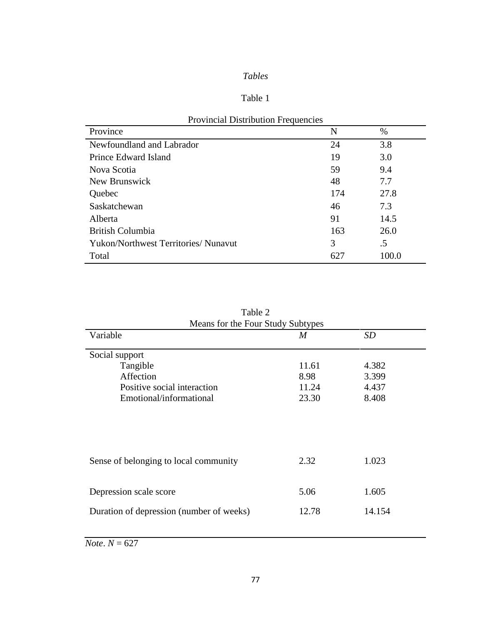## *Tables*

## Table 1

| Province                                    | N   | $\%$  |
|---------------------------------------------|-----|-------|
| Newfoundland and Labrador                   | 24  | 3.8   |
| Prince Edward Island                        | 19  | 3.0   |
| Nova Scotia                                 | 59  | 9.4   |
| New Brunswick                               | 48  | 7.7   |
| Quebec                                      | 174 | 27.8  |
| Saskatchewan                                | 46  | 7.3   |
| Alberta                                     | 91  | 14.5  |
| <b>British Columbia</b>                     | 163 | 26.0  |
| <b>Yukon/Northwest Territories/ Nunavut</b> | 3   | .5    |
| Total                                       | 627 | 100.0 |

| <b>Provincial Distribution Frequencies</b> |  |
|--------------------------------------------|--|
|--------------------------------------------|--|

| Means for the Four Study Subtypes        |       |        |  |
|------------------------------------------|-------|--------|--|
| Variable                                 | M     | SD     |  |
| Social support                           |       |        |  |
| Tangible                                 | 11.61 | 4.382  |  |
| Affection                                | 8.98  | 3.399  |  |
| Positive social interaction              | 11.24 | 4.437  |  |
| Emotional/informational                  | 23.30 | 8.408  |  |
| Sense of belonging to local community    | 2.32  | 1.023  |  |
| Depression scale score                   | 5.06  | 1.605  |  |
| Duration of depression (number of weeks) | 12.78 | 14.154 |  |

|  | Table 2 |                                 |
|--|---------|---------------------------------|
|  |         | leans for the Four Study Subtyp |

 $$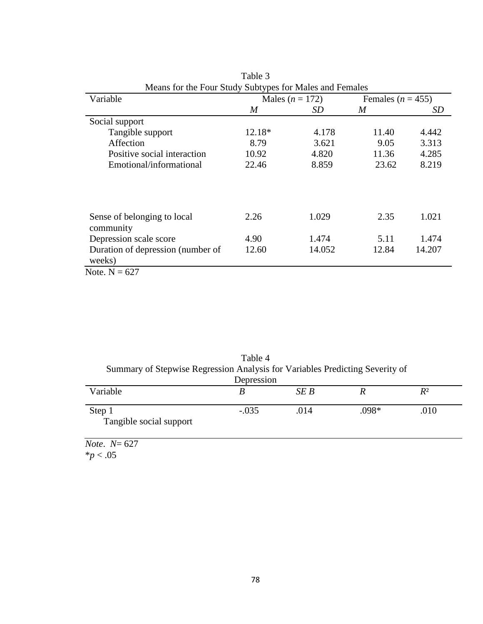| Variable                                    | Males $(n = 172)$ |        |       | Females ( $n = 455$ ) |  |
|---------------------------------------------|-------------------|--------|-------|-----------------------|--|
|                                             | M                 | SD     | M     | SD                    |  |
| Social support                              |                   |        |       |                       |  |
| Tangible support                            | 12.18*            | 4.178  | 11.40 | 4.442                 |  |
| Affection                                   | 8.79              | 3.621  | 9.05  | 3.313                 |  |
| Positive social interaction                 | 10.92             | 4.820  | 11.36 | 4.285                 |  |
| Emotional/informational                     | 22.46             | 8.859  | 23.62 | 8.219                 |  |
|                                             |                   |        |       |                       |  |
| Sense of belonging to local<br>community    | 2.26              | 1.029  | 2.35  | 1.021                 |  |
| Depression scale score                      | 4.90              | 1.474  | 5.11  | 1.474                 |  |
| Duration of depression (number of<br>weeks) | 12.60             | 14.052 | 12.84 | 14.207                |  |

Table 3 Means for the Four Study Subtypes for Males and Females

| Note, $N = 627$ |  |
|-----------------|--|
|-----------------|--|

| Summary of Stepwise Regression Analysis for Variables Predicting Severity of | Table 4    |      |         |       |
|------------------------------------------------------------------------------|------------|------|---------|-------|
|                                                                              | Depression |      |         |       |
| Variable                                                                     |            | SE B |         | $R^2$ |
| Step 1<br>Tangible social support                                            | $-.035$    | .014 | $.098*$ | .010  |

*Note*. *N*= 627

 $*p < .05$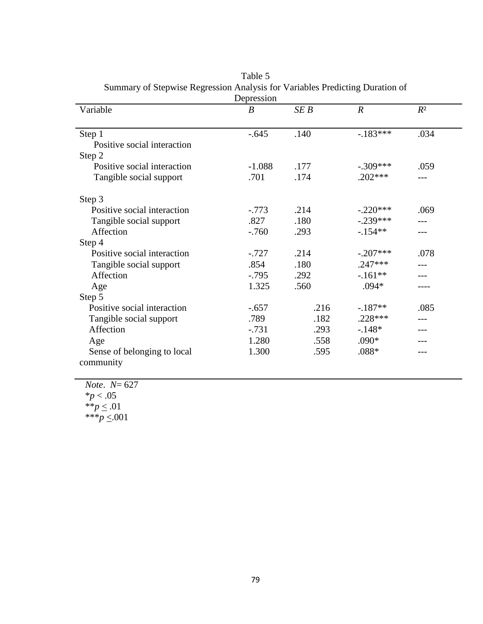|                             | Depression       |      |                  |       |
|-----------------------------|------------------|------|------------------|-------|
| Variable                    | $\boldsymbol{B}$ | SEB  | $\boldsymbol{R}$ | $R^2$ |
|                             |                  |      |                  |       |
| Step 1                      | $-.645$          | .140 | $-183***$        | .034  |
| Positive social interaction |                  |      |                  |       |
| Step 2                      |                  |      |                  |       |
| Positive social interaction | $-1.088$         | .177 | $-.309***$       | .059  |
| Tangible social support     | .701             | .174 | $.202***$        |       |
| Step 3                      |                  |      |                  |       |
| Positive social interaction | $-.773$          | .214 | $-.220***$       | .069  |
| Tangible social support     | .827             | .180 | $-.239***$       |       |
| Affection                   | $-.760$          | .293 | $-154**$         |       |
| Step 4                      |                  |      |                  |       |
| Positive social interaction | $-.727$          | .214 | $-.207***$       | .078  |
| Tangible social support     | .854             | .180 | $.247***$        |       |
| Affection                   | $-.795$          | .292 | $-.161**$        |       |
| Age                         | 1.325            | .560 | $.094*$          |       |
| Step 5                      |                  |      |                  |       |
| Positive social interaction | $-.657$          | .216 | $-.187**$        | .085  |
| Tangible social support     | .789             | .182 | .228 ***         |       |
| Affection                   | $-.731$          | .293 | $-.148*$         |       |
| Age                         | 1.280            | .558 | $.090*$          |       |
| Sense of belonging to local | 1.300            | .595 | $.088*$          |       |
| community                   |                  |      |                  |       |

Table 5 Summary of Stepwise Regression Analysis for Variables Predicting Duration of

| <i>Note.</i> $N = 627$ |
|------------------------|
| $*_{p}$ < .05          |
| ** $p \leq .01$        |
| *** $p \le 001$        |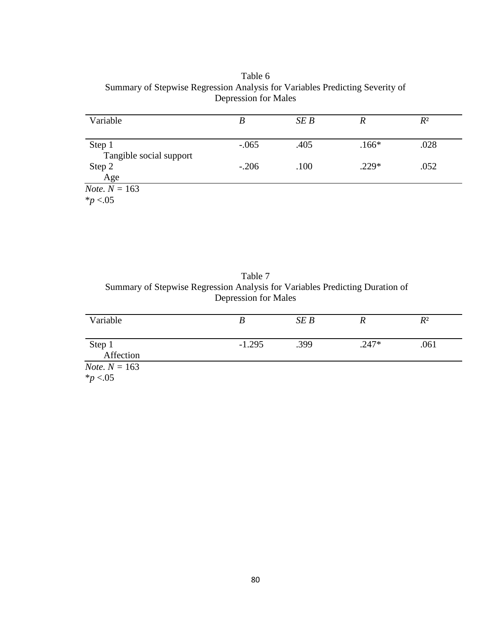Table 6 Summary of Stepwise Regression Analysis for Variables Predicting Severity of Depression for Males

| Variable                | B       | SEB  | R       | $R^2$ |  |
|-------------------------|---------|------|---------|-------|--|
|                         |         |      |         |       |  |
| Step 1                  | $-.065$ | .405 | $.166*$ | .028  |  |
| Tangible social support |         |      |         |       |  |
| Step 2                  | $-.206$ | .100 | $.229*$ | .052  |  |
| Age                     |         |      |         |       |  |
| <i>Note</i> . $N = 163$ |         |      |         |       |  |
| $*_{p}$ <.05            |         |      |         |       |  |

Table 7 Summary of Stepwise Regression Analysis for Variables Predicting Duration of Depression for Males

| Variable               |          | SEB  |         | $R^2$ |
|------------------------|----------|------|---------|-------|
|                        |          |      |         |       |
|                        |          |      |         |       |
| Step 1                 | $-1.295$ | .399 | $.247*$ | .061  |
| Affection              |          |      |         |       |
|                        |          |      |         |       |
| <i>Note.</i> $N = 163$ |          |      |         |       |
| * $p < 0.05$           |          |      |         |       |
|                        |          |      |         |       |